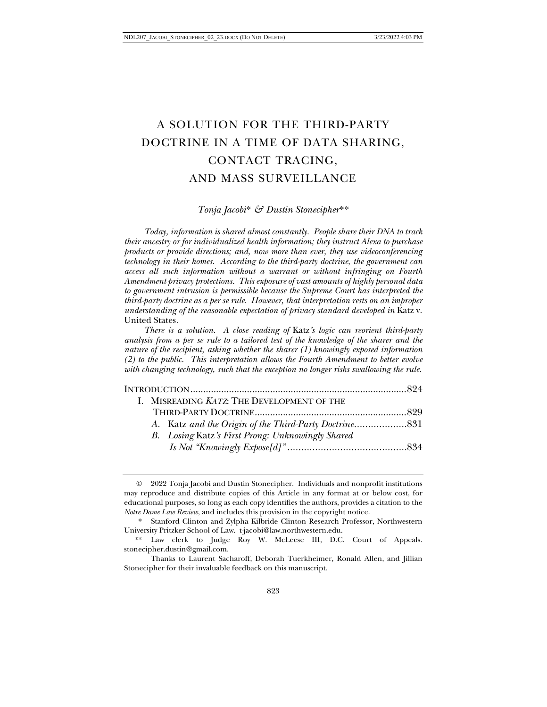# A SOLUTION FOR THE THIRD-PARTY DOCTRINE IN A TIME OF DATA SHARING, CONTACT TRACING, AND MASS SURVEILLANCE

## *Tonja Jacobi*[\\*](#page-0-0) *& Dustin Stonecipher*[\\*\\*](#page-0-1)

*Today, information is shared almost constantly. People share their DNA to track their ancestry or for individualized health information; they instruct Alexa to purchase products or provide directions; and, now more than ever, they use videoconferencing technology in their homes. According to the third-party doctrine, the government can access all such information without a warrant or without infringing on Fourth Amendment privacy protections. This exposure of vast amounts of highly personal data to government intrusion is permissible because the Supreme Court has interpreted the third-party doctrine as a per se rule. However, that interpretation rests on an improper understanding of the reasonable expectation of privacy standard developed in* Katz v. United States*.* 

*There is a solution. A close reading of* Katz*'s logic can reorient third-party analysis from a per se rule to a tailored test of the knowledge of the sharer and the nature of the recipient, asking whether the sharer (1) knowingly exposed information (2) to the public. This interpretation allows the Fourth Amendment to better evolve with changing technology, such that the exception no longer risks swallowing the rule.*

| I. MISREADING KATZ: THE DEVELOPMENT OF THE |                                                  |  |
|--------------------------------------------|--------------------------------------------------|--|
|                                            |                                                  |  |
|                                            |                                                  |  |
|                                            | B. Losing Katz's First Prong: Unknowingly Shared |  |
|                                            |                                                  |  |

<span id="page-0-0"></span><sup>©</sup> 2022 Tonja Jacobi and Dustin Stonecipher. Individuals and nonprofit institutions may reproduce and distribute copies of this Article in any format at or below cost, for educational purposes, so long as each copy identifies the authors, provides a citation to the *Notre Dame Law Review*, and includes this provision in the copyright notice.

<sup>\*</sup> Stanford Clinton and Zylpha Kilbride Clinton Research Professor, Northwestern University Pritzker School of Law. t-jacobi@law.northwestern.edu.

<span id="page-0-1"></span><sup>\*\*</sup> Law clerk to Judge Roy W. McLeese III, D.C. Court of Appeals. stonecipher.dustin@gmail.com.

Thanks to Laurent Sacharoff, Deborah Tuerkheimer, Ronald Allen, and Jillian Stonecipher for their invaluable feedback on this manuscript.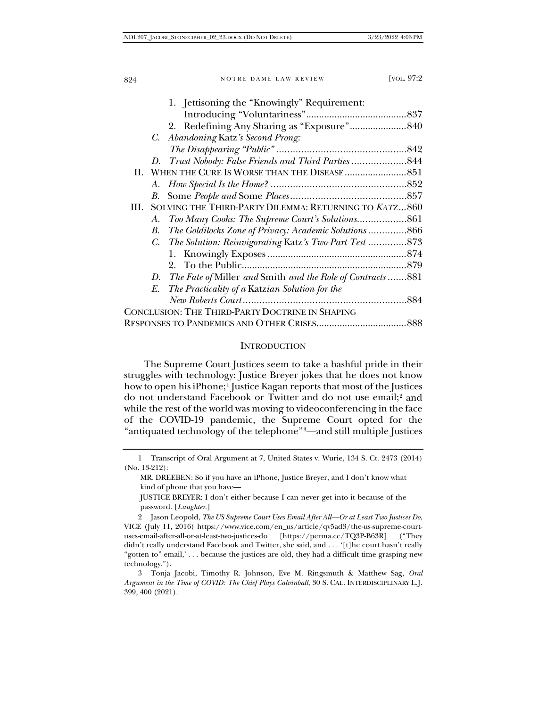|            | 1. Jettisoning the "Knowingly" Requirement:               |  |
|------------|-----------------------------------------------------------|--|
|            |                                                           |  |
|            |                                                           |  |
|            | C. Abandoning Katz's Second Prong:                        |  |
|            |                                                           |  |
|            |                                                           |  |
|            |                                                           |  |
|            |                                                           |  |
| B.         |                                                           |  |
| HI.        | SOLVING THE THIRD-PARTY DILEMMA: RETURNING TO KATZ860     |  |
| А.         |                                                           |  |
| <i>B</i> . | The Goldilocks Zone of Privacy: Academic Solutions866     |  |
|            | C. The Solution: Reinvigorating Katz's Two-Part Test 873  |  |
|            |                                                           |  |
|            |                                                           |  |
| D.         | The Fate of Miller and Smith and the Role of Contracts881 |  |
| E.         | The Practicality of a Katzian Solution for the            |  |
|            |                                                           |  |
|            | CONCLUSION: THE THIRD-PARTY DOCTRINE IN SHAPING           |  |
|            |                                                           |  |
|            |                                                           |  |

#### **INTRODUCTION**

The Supreme Court Justices seem to take a bashful pride in their struggles with technology: Justice Breyer jokes that he does not know how to open his iPhone;<sup>[1](#page-1-0)</sup> Justice Kagan reports that most of the Justices do not understand Facebook or Twitter and do not use email;<sup>[2](#page-1-1)</sup> and while the rest of the world was moving to videoconferencing in the face of the COVID-19 pandemic, the Supreme Court opted for the "antiquated technology of the telephone"[3](#page-1-2)—and still multiple Justices

MR. DREEBEN: So if you have an iPhone, Justice Breyer, and I don't know what kind of phone that you have—

JUSTICE BREYER: I don't either because I can never get into it because of the password. [*Laughter*.]

<span id="page-1-1"></span>2 Jason Leopold, *The US Supreme Court Uses Email After All—Or at Least Two Justices Do*, VICE (July 11, 2016) https://www.vice.com/en\_us/article/qv5ad3/the-us-supreme-courtuses-email-after-all-or-at-least-two-justices-do [https://perma.cc/TQ3P-B63R] ("They didn't really understand Facebook and Twitter, she said, and . . . '[t]he court hasn't really "gotten to" email,' . . . because the justices are old, they had a difficult time grasping new technology.").

<span id="page-1-2"></span>3 Tonja Jacobi, Timothy R. Johnson, Eve M. Ringsmuth & Matthew Sag, *Oral Argument in the Time of COVID: The Chief Plays Calvinball*, 30 S. CAL. INTERDISCIPLINARY L.J. 399, 400 (2021).

<span id="page-1-0"></span><sup>1</sup> Transcript of Oral Argument at 7, United States v. Wurie, 134 S. Ct. 2473 (2014) (No. 13-212):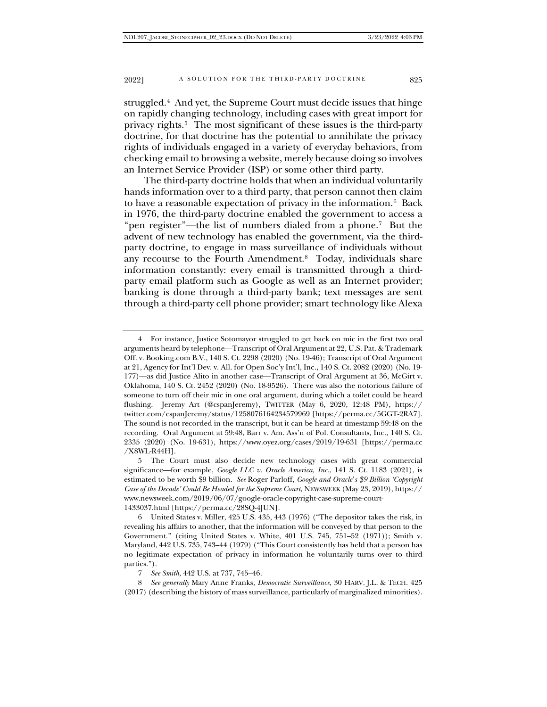struggled.[4](#page-2-0) And yet, the Supreme Court must decide issues that hinge on rapidly changing technology, including cases with great import for privacy rights.[5](#page-2-1) The most significant of these issues is the third-party doctrine, for that doctrine has the potential to annihilate the privacy rights of individuals engaged in a variety of everyday behaviors, from checking email to browsing a website, merely because doing so involves an Internet Service Provider (ISP) or some other third party.

The third-party doctrine holds that when an individual voluntarily hands information over to a third party, that person cannot then claim to have a reasonable expectation of privacy in the information.[6](#page-2-2) Back in 1976, the third-party doctrine enabled the government to access a "pen register"—the list of numbers dialed from a phone.[7](#page-2-3) But the advent of new technology has enabled the government, via the thirdparty doctrine, to engage in mass surveillance of individuals without any recourse to the Fourth Amendment.[8](#page-2-4) Today, individuals share information constantly: every email is transmitted through a thirdparty email platform such as Google as well as an Internet provider; banking is done through a third-party bank; text messages are sent through a third-party cell phone provider; smart technology like Alexa

<span id="page-2-0"></span><sup>4</sup> For instance, Justice Sotomayor struggled to get back on mic in the first two oral arguments heard by telephone—Transcript of Oral Argument at 22, U.S. Pat. & Trademark Off. v. Booking.com B.V., 140 S. Ct. 2298 (2020) (No. 19-46); Transcript of Oral Argument at 21, Agency for Int'l Dev. v. All. for Open Soc'y Int'l, Inc., 140 S. Ct. 2082 (2020) (No. 19- 177)—as did Justice Alito in another case—Transcript of Oral Argument at 36, McGirt v. Oklahoma, 140 S. Ct. 2452 (2020) (No. 18-9526). There was also the notorious failure of someone to turn off their mic in one oral argument, during which a toilet could be heard flushing. Jeremy Art (@cspanJeremy), TWITTER (May 6, 2020, 12:48 PM), https:// twitter.com/cspanJeremy/status/1258076164234579969 [https://perma.cc/5GGT-2RA7]. The sound is not recorded in the transcript, but it can be heard at timestamp 59:48 on the recording. Oral Argument at 59:48, Barr v. Am. Ass'n of Pol. Consultants, Inc., 140 S. Ct. 2335 (2020) (No. 19-631), https://www.oyez.org/cases/2019/19-631 [https://perma.cc /X8WL-R44H].

<span id="page-2-1"></span><sup>5</sup> The Court must also decide new technology cases with great commercial significance—for example, *Google LLC v. Oracle America, Inc.*, 141 S. Ct. 1183 (2021), is estimated to be worth \$9 billion. *See* Roger Parloff, *Google and Oracle*'*s \$9 Billion 'Copyright Case of the Decade' Could Be Headed for the Supreme Court*, NEWSWEEK (May 23, 2019), https:// www.newsweek.com/2019/06/07/google-oracle-copyright-case-supreme-court-1433037.html [https://perma.cc/28SQ-4JUN].

<span id="page-2-2"></span><sup>6</sup> United States v. Miller, 425 U.S. 435, 443 (1976) ("The depositor takes the risk, in revealing his affairs to another, that the information will be conveyed by that person to the Government." (citing United States v. White, 401 U.S. 745, 751–52 (1971)); Smith v. Maryland, 442 U.S. 735, 743–44 (1979) ("This Court consistently has held that a person has no legitimate expectation of privacy in information he voluntarily turns over to third parties.").

<sup>7</sup> *See Smith*, 442 U.S. at 737, 745–46.

<span id="page-2-4"></span><span id="page-2-3"></span><sup>8</sup> *See generally* Mary Anne Franks, *Democratic Surveillance*, 30 HARV. J.L. & TECH. 425 (2017) (describing the history of mass surveillance, particularly of marginalized minorities).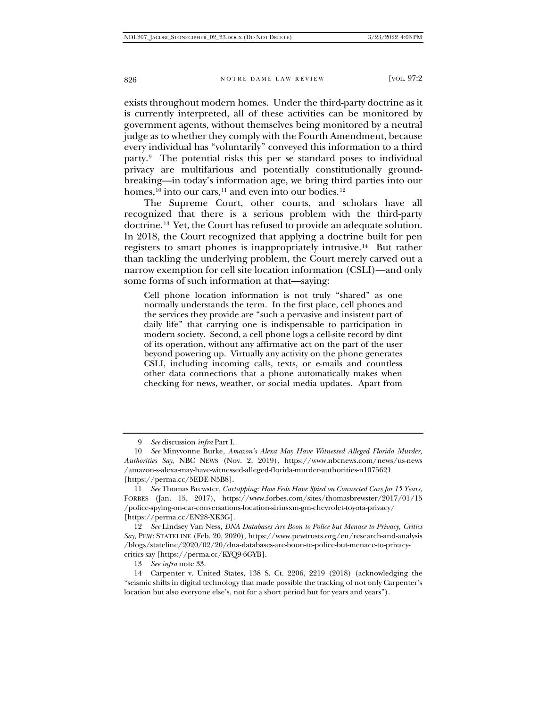exists throughout modern homes. Under the third-party doctrine as it is currently interpreted, all of these activities can be monitored by government agents, without themselves being monitored by a neutral judge as to whether they comply with the Fourth Amendment, because every individual has "voluntarily" conveyed this information to a third party.[9](#page-3-0) The potential risks this per se standard poses to individual privacy are multifarious and potentially constitutionally groundbreaking—in today's information age, we bring third parties into our homes,  $^{10}$  into our cars,<sup>[11](#page-3-2)</sup> and even into our bodies.<sup>[12](#page-3-3)</sup>

The Supreme Court, other courts, and scholars have all recognized that there is a serious problem with the third-party doctrine[.13](#page-3-4) Yet, the Court has refused to provide an adequate solution. In 2018, the Court recognized that applying a doctrine built for pen registers to smart phones is inappropriately intrusive.[14](#page-3-5) But rather than tackling the underlying problem, the Court merely carved out a narrow exemption for cell site location information (CSLI)—and only some forms of such information at that—saying:

Cell phone location information is not truly "shared" as one normally understands the term. In the first place, cell phones and the services they provide are "such a pervasive and insistent part of daily life" that carrying one is indispensable to participation in modern society. Second, a cell phone logs a cell-site record by dint of its operation, without any affirmative act on the part of the user beyond powering up. Virtually any activity on the phone generates CSLI, including incoming calls, texts, or e-mails and countless other data connections that a phone automatically makes when checking for news, weather, or social media updates. Apart from

<span id="page-3-3"></span>12 *See* Lindsey Van Ness, *DNA Databases Are Boon to Police but Menace to Privacy, Critics Say*, PEW: STATELINE (Feb. 20, 2020), https://www.pewtrusts.org/en/research-and-analysis /blogs/stateline/2020/02/20/dna-databases-are-boon-to-police-but-menace-to-privacycritics-say [https://perma.cc/KYQ9-6GYB].

13 *See infra* note 33.

<span id="page-3-5"></span><span id="page-3-4"></span>14 Carpenter v. United States, 138 S. Ct. 2206, 2219 (2018) (acknowledging the "seismic shifts in digital technology that made possible the tracking of not only Carpenter's location but also everyone else's, not for a short period but for years and years").

<sup>9</sup> *See* discussion *infra* Part I.

<span id="page-3-1"></span><span id="page-3-0"></span><sup>10</sup> *See* Minyvonne Burke, *Amazon's Alexa May Have Witnessed Alleged Florida Murder, Authorities Say*, NBC NEWS (Nov. 2, 2019), https://www.nbcnews.com/news/us-news /amazon-s-alexa-may-have-witnessed-alleged-florida-murder-authorities-n1075621 [https://perma.cc/5EDE-N5B8].

<span id="page-3-2"></span><sup>11</sup> *See* Thomas Brewster, *Cartapping: How Feds Have Spied on Connected Cars for 15 Years*, FORBES (Jan. 15, 2017), https://www.forbes.com/sites/thomasbrewster/2017/01/15 /police-spying-on-car-conversations-location-siriusxm-gm-chevrolet-toyota-privacy/ [https://perma.cc/EN28-XK3G].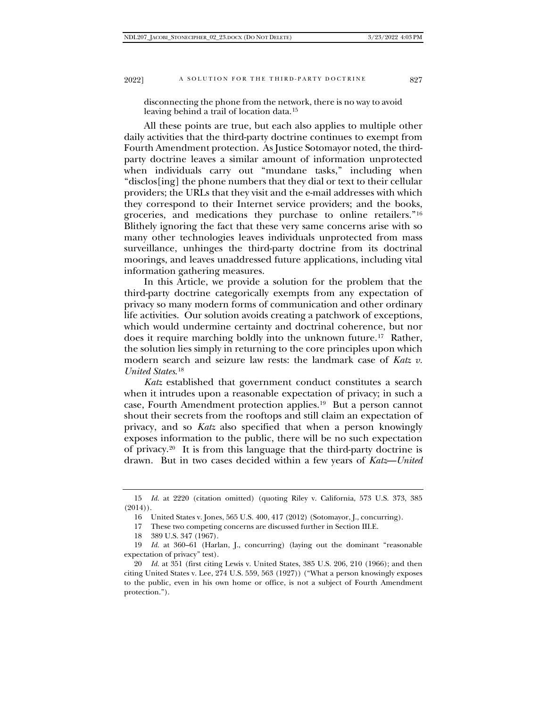disconnecting the phone from the network, there is no way to avoid leaving behind a trail of location data.[15](#page-4-0)

All these points are true, but each also applies to multiple other daily activities that the third-party doctrine continues to exempt from Fourth Amendment protection. As Justice Sotomayor noted, the thirdparty doctrine leaves a similar amount of information unprotected when individuals carry out "mundane tasks," including when "disclos[ing] the phone numbers that they dial or text to their cellular providers; the URLs that they visit and the e-mail addresses with which they correspond to their Internet service providers; and the books, groceries, and medications they purchase to online retailers."[16](#page-4-1) Blithely ignoring the fact that these very same concerns arise with so many other technologies leaves individuals unprotected from mass surveillance, unhinges the third-party doctrine from its doctrinal moorings, and leaves unaddressed future applications, including vital information gathering measures.

In this Article, we provide a solution for the problem that the third-party doctrine categorically exempts from any expectation of privacy so many modern forms of communication and other ordinary life activities. Our solution avoids creating a patchwork of exceptions, which would undermine certainty and doctrinal coherence, but nor does it require marching boldly into the unknown future.[17](#page-4-2) Rather, the solution lies simply in returning to the core principles upon which modern search and seizure law rests: the landmark case of *Katz v. United States*.[18](#page-4-3)

*Katz* established that government conduct constitutes a search when it intrudes upon a reasonable expectation of privacy; in such a case, Fourth Amendment protection applies[.19](#page-4-4) But a person cannot shout their secrets from the rooftops and still claim an expectation of privacy, and so *Katz* also specified that when a person knowingly exposes information to the public, there will be no such expectation of privacy.[20](#page-4-5) It is from this language that the third-party doctrine is drawn. But in two cases decided within a few years of *Katz*—*United* 

<span id="page-4-1"></span><span id="page-4-0"></span><sup>15</sup> *Id.* at 2220 (citation omitted) (quoting Riley v. California, 573 U.S. 373, 385  $(2014)$ .

<sup>16</sup> United States v. Jones, 565 U.S. 400, 417 (2012) (Sotomayor, J., concurring).

<sup>17</sup> These two competing concerns are discussed further in Section III.E.

<sup>18</sup> 389 U.S. 347 (1967).

<span id="page-4-4"></span><span id="page-4-3"></span><span id="page-4-2"></span><sup>19</sup> *Id.* at 360–61 (Harlan, J., concurring) (laying out the dominant "reasonable expectation of privacy" test).

<span id="page-4-5"></span><sup>20</sup> *Id.* at 351 (first citing Lewis v. United States, 385 U.S. 206, 210 (1966); and then citing United States v. Lee, 274 U.S. 559, 563 (1927)) ("What a person knowingly exposes to the public, even in his own home or office, is not a subject of Fourth Amendment protection.").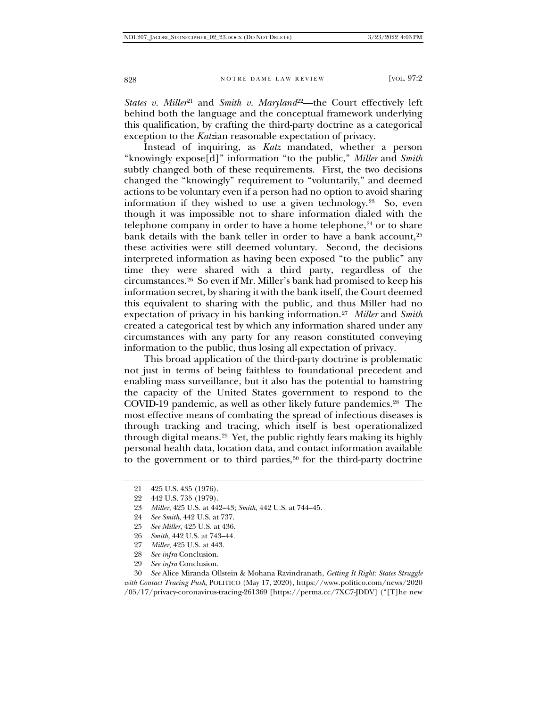*States v. Miller*<sup>[21](#page-5-0)</sup> and *Smith v. Maryland*<sup>22</sup>—the Court effectively left behind both the language and the conceptual framework underlying this qualification, by crafting the third-party doctrine as a categorical exception to the *Katz*ian reasonable expectation of privacy.

Instead of inquiring, as *Katz* mandated, whether a person "knowingly expose[d]" information "to the public," *Miller* and *Smith* subtly changed both of these requirements. First, the two decisions changed the "knowingly" requirement to "voluntarily," and deemed actions to be voluntary even if a person had no option to avoid sharing information if they wished to use a given technology.<sup>23</sup> So, even though it was impossible not to share information dialed with the telephone company in order to have a home telephone, $24$  or to share bank details with the bank teller in order to have a bank account,<sup>[25](#page-5-4)</sup> these activities were still deemed voluntary. Second, the decisions interpreted information as having been exposed "to the public" any time they were shared with a third party, regardless of the circumstances.[26](#page-5-5) So even if Mr. Miller's bank had promised to keep his information secret, by sharing it with the bank itself, the Court deemed this equivalent to sharing with the public, and thus Miller had no expectation of privacy in his banking information.[27](#page-5-6) *Miller* and *Smith* created a categorical test by which any information shared under any circumstances with any party for any reason constituted conveying information to the public, thus losing all expectation of privacy.

This broad application of the third-party doctrine is problematic not just in terms of being faithless to foundational precedent and enabling mass surveillance, but it also has the potential to hamstring the capacity of the United States government to respond to the COVID-19 pandemic, as well as other likely future pandemics.<sup>[28](#page-5-7)</sup> The most effective means of combating the spread of infectious diseases is through tracking and tracing, which itself is best operationalized through digital means.[29](#page-5-8) Yet, the public rightly fears making its highly personal health data, location data, and contact information available to the government or to third parties, $30$  for the third-party doctrine

- <span id="page-5-3"></span>24 *See Smith*, 442 U.S. at 737.
- 25 *See Miller*, 425 U.S. at 436.
- 26 *Smith*, 442 U.S. at 743–44.
- 27 *Miller*, 425 U.S. at 443.
- 28 *See infra* Conclusion.
- 29 *See infra* Conclusion.

<span id="page-5-9"></span><span id="page-5-8"></span><span id="page-5-7"></span><span id="page-5-6"></span><span id="page-5-5"></span><span id="page-5-4"></span>30 *See* Alice Miranda Ollstein & Mohana Ravindranath, *Getting It Right: States Struggle with Contact Tracing Push*, POLITICO (May 17, 2020), https://www.politico.com/news/2020 /05/17/privacy-coronavirus-tracing-261369 [https://perma.cc/7XC7-JDDV] ("[T]he new

<span id="page-5-0"></span><sup>21</sup> 425 U.S. 435 (1976).

<span id="page-5-1"></span><sup>22</sup> 442 U.S. 735 (1979).

<span id="page-5-2"></span><sup>23</sup> *Miller*, 425 U.S. at 442–43; *Smith*, 442 U.S. at 744–45.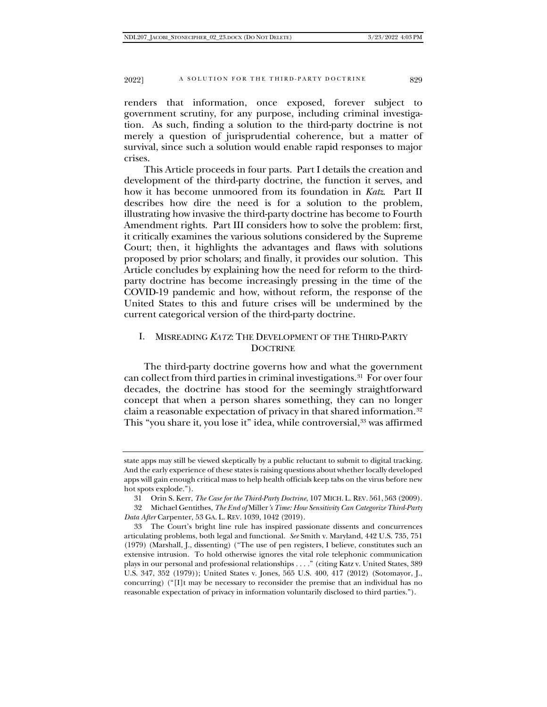renders that information, once exposed, forever subject to government scrutiny, for any purpose, including criminal investigation. As such, finding a solution to the third-party doctrine is not merely a question of jurisprudential coherence, but a matter of survival, since such a solution would enable rapid responses to major crises.

This Article proceeds in four parts. Part I details the creation and development of the third-party doctrine, the function it serves, and how it has become unmoored from its foundation in *Katz*. Part II describes how dire the need is for a solution to the problem, illustrating how invasive the third-party doctrine has become to Fourth Amendment rights. Part III considers how to solve the problem: first, it critically examines the various solutions considered by the Supreme Court; then, it highlights the advantages and flaws with solutions proposed by prior scholars; and finally, it provides our solution. This Article concludes by explaining how the need for reform to the thirdparty doctrine has become increasingly pressing in the time of the COVID-19 pandemic and how, without reform, the response of the United States to this and future crises will be undermined by the current categorical version of the third-party doctrine.

## I. MISREADING *KATZ*: THE DEVELOPMENT OF THE THIRD-PARTY **DOCTRINE**

The third-party doctrine governs how and what the government can collect from third parties in criminal investigations.[31](#page-6-0) For over four decades, the doctrine has stood for the seemingly straightforward concept that when a person shares something, they can no longer claim a reasonable expectation of privacy in that shared information.[32](#page-6-1) This "you share it, you lose it" idea, while controversial,<sup>[33](#page-6-2)</sup> was affirmed

state apps may still be viewed skeptically by a public reluctant to submit to digital tracking. And the early experience of these states is raising questions about whether locally developed apps will gain enough critical mass to help health officials keep tabs on the virus before new hot spots explode.").

<sup>31</sup> Orin S. Kerr, *The Case for the Third-Party Doctrine*, 107 MICH. L. REV. 561, 563 (2009).

<span id="page-6-1"></span><span id="page-6-0"></span><sup>32</sup> Michael Gentithes, *The End of* Miller*'s Time: How Sensitivity Can Categorize Third-Party Data After* Carpenter, 53 GA. L. REV. 1039, 1042 (2019).

<span id="page-6-2"></span><sup>33</sup> The Court's bright line rule has inspired passionate dissents and concurrences articulating problems, both legal and functional. *See* Smith v. Maryland, 442 U.S. 735, 751 (1979) (Marshall, J., dissenting) ("The use of pen registers, I believe, constitutes such an extensive intrusion. To hold otherwise ignores the vital role telephonic communication plays in our personal and professional relationships . . . ." (citing Katz v. United States, 389 U.S. 347, 352 (1979)); United States v. Jones, 565 U.S. 400, 417 (2012) (Sotomayor, J., concurring) ("[I]t may be necessary to reconsider the premise that an individual has no reasonable expectation of privacy in information voluntarily disclosed to third parties.").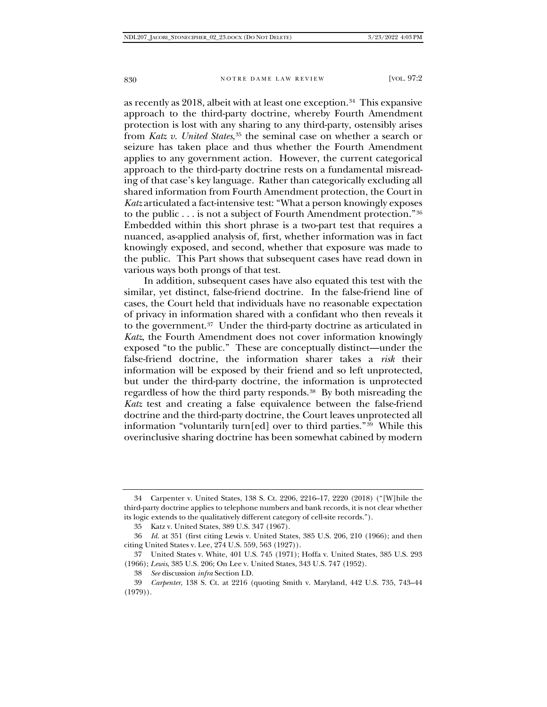as recently as 2018, albeit with at least one exception.[34](#page-7-0) This expansive approach to the third-party doctrine, whereby Fourth Amendment protection is lost with any sharing to any third-party, ostensibly arises from *Katz v. United States*,[35](#page-7-1) the seminal case on whether a search or seizure has taken place and thus whether the Fourth Amendment applies to any government action. However, the current categorical approach to the third-party doctrine rests on a fundamental misreading of that case's key language. Rather than categorically excluding all shared information from Fourth Amendment protection, the Court in *Katz* articulated a fact-intensive test: "What a person knowingly exposes to the public . . . is not a subject of Fourth Amendment protection."[36](#page-7-2) Embedded within this short phrase is a two-part test that requires a nuanced, as-applied analysis of, first, whether information was in fact knowingly exposed, and second, whether that exposure was made to the public. This Part shows that subsequent cases have read down in various ways both prongs of that test.

In addition, subsequent cases have also equated this test with the similar, yet distinct, false-friend doctrine. In the false-friend line of cases, the Court held that individuals have no reasonable expectation of privacy in information shared with a confidant who then reveals it to the government.<sup>37</sup> Under the third-party doctrine as articulated in *Katz*, the Fourth Amendment does not cover information knowingly exposed "to the public." These are conceptually distinct—under the false-friend doctrine, the information sharer takes a *risk* their information will be exposed by their friend and so left unprotected, but under the third-party doctrine, the information is unprotected regardless of how the third party responds.[38](#page-7-4) By both misreading the *Katz* test and creating a false equivalence between the false-friend doctrine and the third-party doctrine, the Court leaves unprotected all information "voluntarily turn[ed] over to third parties." $\frac{39}{12}$  While this overinclusive sharing doctrine has been somewhat cabined by modern

<span id="page-7-0"></span><sup>34</sup> Carpenter v. United States, 138 S. Ct. 2206, 2216–17, 2220 (2018) ("[W]hile the third-party doctrine applies to telephone numbers and bank records, it is not clear whether its logic extends to the qualitatively different category of cell-site records.").

<sup>35</sup> Katz v. United States, 389 U.S. 347 (1967).

<span id="page-7-2"></span><span id="page-7-1"></span><sup>36</sup> *Id.* at 351 (first citing Lewis v. United States, 385 U.S. 206, 210 (1966); and then citing United States v. Lee, 274 U.S. 559, 563 (1927)).

<span id="page-7-3"></span><sup>37</sup> United States v. White, 401 U.S. 745 (1971); Hoffa v. United States, 385 U.S. 293 (1966); *Lewis*, 385 U.S. 206; On Lee v. United States, 343 U.S. 747 (1952).

<sup>38</sup> *See* discussion *infra* Section I.D.

<span id="page-7-5"></span><span id="page-7-4"></span><sup>39</sup> *Carpenter*, 138 S. Ct. at 2216 (quoting Smith v. Maryland, 442 U.S. 735, 743–44  $(1979)$ .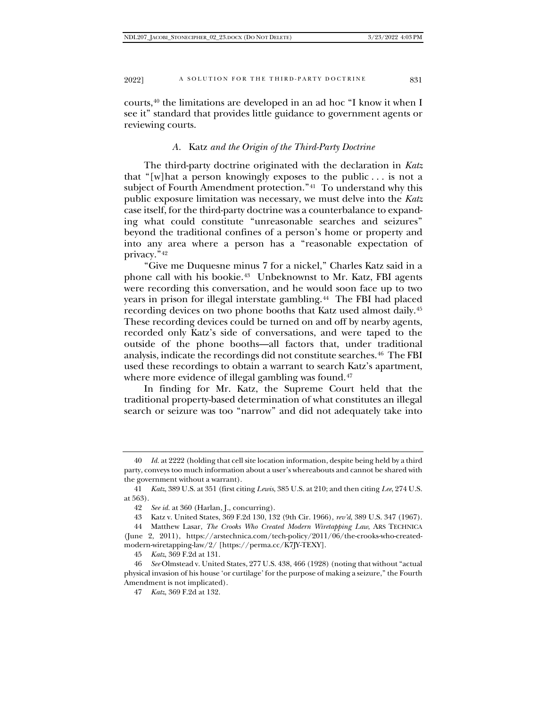courts,[40](#page-8-0) the limitations are developed in an ad hoc "I know it when I see it" standard that provides little guidance to government agents or reviewing courts.

## *A.* Katz *and the Origin of the Third-Party Doctrine*

The third-party doctrine originated with the declaration in *Katz*  that "[w]hat a person knowingly exposes to the public . . . is not a subject of Fourth Amendment protection."<sup>41</sup> To understand why this public exposure limitation was necessary, we must delve into the *Katz* case itself, for the third-party doctrine was a counterbalance to expanding what could constitute "unreasonable searches and seizures" beyond the traditional confines of a person's home or property and into any area where a person has a "reasonable expectation of privacy.["42](#page-8-2)

"Give me Duquesne minus 7 for a nickel," Charles Katz said in a phone call with his bookie.[43](#page-8-3) Unbeknownst to Mr. Katz, FBI agents were recording this conversation, and he would soon face up to two years in prison for illegal interstate gambling.<sup>44</sup> The FBI had placed recording devices on two phone booths that Katz used almost daily.[45](#page-8-5) These recording devices could be turned on and off by nearby agents, recorded only Katz's side of conversations, and were taped to the outside of the phone booths—all factors that, under traditional analysis, indicate the recordings did not constitute searches.[46](#page-8-6) The FBI used these recordings to obtain a warrant to search Katz's apartment, where more evidence of illegal gambling was found.<sup>[47](#page-8-7)</sup>

In finding for Mr. Katz, the Supreme Court held that the traditional property-based determination of what constitutes an illegal search or seizure was too "narrow" and did not adequately take into

45 *Katz*, 369 F.2d at 131.

<span id="page-8-0"></span><sup>40</sup> *Id.* at 2222 (holding that cell site location information, despite being held by a third party, conveys too much information about a user's whereabouts and cannot be shared with the government without a warrant).

<span id="page-8-2"></span><span id="page-8-1"></span><sup>41</sup> *Katz*, 389 U.S. at 351 (first citing *Lewis*, 385 U.S. at 210; and then citing *Lee*, 274 U.S. at 563).

<sup>42</sup> *See id.* at 360 (Harlan, J., concurring).

<sup>43</sup> Katz v. United States, 369 F.2d 130, 132 (9th Cir. 1966), *rev'd*, 389 U.S. 347 (1967).

<span id="page-8-4"></span><span id="page-8-3"></span><sup>44</sup> Matthew Lasar, *The Crooks Who Created Modern Wiretapping Law*, ARS TECHNICA (June 2, 2011), https://arstechnica.com/tech-policy/2011/06/the-crooks-who-createdmodern-wiretapping-law/2/ [https://perma.cc/K7JY-TEXY].

<span id="page-8-7"></span><span id="page-8-6"></span><span id="page-8-5"></span><sup>46</sup> *See* Olmstead v. United States, 277 U.S. 438, 466 (1928) (noting that without "actual physical invasion of his house 'or curtilage' for the purpose of making a seizure," the Fourth Amendment is not implicated).

<sup>47</sup> *Katz*, 369 F.2d at 132.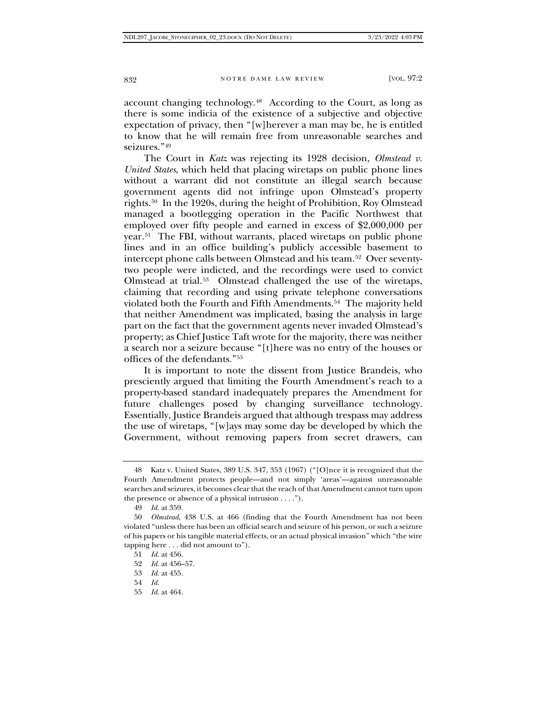account changing technology.[48](#page-9-0) According to the Court, as long as there is some indicia of the existence of a subjective and objective expectation of privacy, then "[w]herever a man may be, he is entitled to know that he will remain free from unreasonable searches and seizures."<sup>[49](#page-9-1)</sup>

The Court in *Katz* was rejecting its 1928 decision, *Olmstead v. United States*, which held that placing wiretaps on public phone lines without a warrant did not constitute an illegal search because government agents did not infringe upon Olmstead's property rights.[50](#page-9-2) In the 1920s, during the height of Prohibition, Roy Olmstead managed a bootlegging operation in the Pacific Northwest that employed over fifty people and earned in excess of \$2,000,000 per year.[51](#page-9-3) The FBI, without warrants, placed wiretaps on public phone lines and in an office building's publicly accessible basement to intercept phone calls between Olmstead and his team.[52](#page-9-4) Over seventytwo people were indicted, and the recordings were used to convict Olmstead at trial.[53](#page-9-5) Olmstead challenged the use of the wiretaps, claiming that recording and using private telephone conversations violated both the Fourth and Fifth Amendments.<sup>54</sup> The majority held that neither Amendment was implicated, basing the analysis in large part on the fact that the government agents never invaded Olmstead's property; as Chief Justice Taft wrote for the majority, there was neither a search nor a seizure because "[t]here was no entry of the houses or offices of the defendants."[55](#page-9-7)

It is important to note the dissent from Justice Brandeis, who presciently argued that limiting the Fourth Amendment's reach to a property-based standard inadequately prepares the Amendment for future challenges posed by changing surveillance technology. Essentially, Justice Brandeis argued that although trespass may address the use of wiretaps, "[w]ays may some day be developed by which the Government, without removing papers from secret drawers, can

- <span id="page-9-6"></span>54 *Id.*
- <span id="page-9-7"></span>55 *Id.* at 464.

<span id="page-9-0"></span><sup>48</sup> Katz v. United States, 389 U.S. 347, 353 (1967) ("[O]nce it is recognized that the Fourth Amendment protects people—and not simply 'areas'—against unreasonable searches and seizures, it becomes clear that the reach of that Amendment cannot turn upon the presence or absence of a physical intrusion . . . .").

<sup>49</sup> *Id.* at 359.

<span id="page-9-4"></span><span id="page-9-3"></span><span id="page-9-2"></span><span id="page-9-1"></span><sup>50</sup> *Olmstead*, 438 U.S. at 466 (finding that the Fourth Amendment has not been violated "unless there has been an official search and seizure of his person, or such a seizure of his papers or his tangible material effects, or an actual physical invasion" which "the wire tapping here . . . did not amount to").

<sup>51</sup> *Id.* at 456.

<sup>52</sup> *Id.* at 456–57.

<span id="page-9-5"></span><sup>53</sup> *Id.* at 455.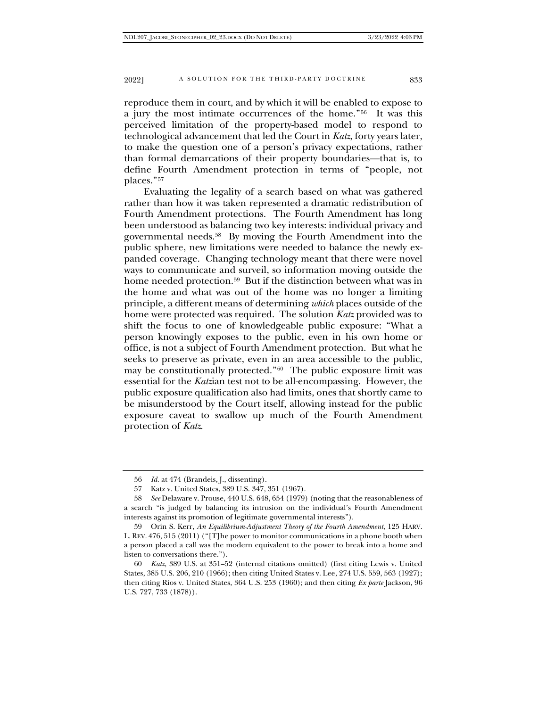reproduce them in court, and by which it will be enabled to expose to a jury the most intimate occurrences of the home."[56](#page-10-0) It was this perceived limitation of the property-based model to respond to technological advancement that led the Court in *Katz*, forty years later, to make the question one of a person's privacy expectations, rather than formal demarcations of their property boundaries—that is, to define Fourth Amendment protection in terms of "people, not places."[57](#page-10-1)

Evaluating the legality of a search based on what was gathered rather than how it was taken represented a dramatic redistribution of Fourth Amendment protections. The Fourth Amendment has long been understood as balancing two key interests: individual privacy and governmental needs.[58](#page-10-2) By moving the Fourth Amendment into the public sphere, new limitations were needed to balance the newly expanded coverage. Changing technology meant that there were novel ways to communicate and surveil, so information moving outside the home needed protection.<sup>[59](#page-10-3)</sup> But if the distinction between what was in the home and what was out of the home was no longer a limiting principle, a different means of determining *which* places outside of the home were protected was required. The solution *Katz* provided was to shift the focus to one of knowledgeable public exposure: "What a person knowingly exposes to the public, even in his own home or office, is not a subject of Fourth Amendment protection. But what he seeks to preserve as private, even in an area accessible to the public, may be constitutionally protected."[60](#page-10-4) The public exposure limit was essential for the *Katz*ian test not to be all-encompassing. However, the public exposure qualification also had limits, ones that shortly came to be misunderstood by the Court itself, allowing instead for the public exposure caveat to swallow up much of the Fourth Amendment protection of *Katz*.

<sup>56</sup> *Id.* at 474 (Brandeis, J., dissenting).

<sup>57</sup> Katz v. United States, 389 U.S. 347, 351 (1967).

<span id="page-10-2"></span><span id="page-10-1"></span><span id="page-10-0"></span><sup>58</sup> *See* Delaware v. Prouse, 440 U.S. 648, 654 (1979) (noting that the reasonableness of a search "is judged by balancing its intrusion on the individual's Fourth Amendment interests against its promotion of legitimate governmental interests").

<span id="page-10-3"></span><sup>59</sup> Orin S. Kerr, *An Equilibrium-Adjustment Theory of the Fourth Amendment*, 125 HARV. L. REV. 476, 515 (2011) ("[T]he power to monitor communications in a phone booth when a person placed a call was the modern equivalent to the power to break into a home and listen to conversations there.").

<span id="page-10-4"></span><sup>60</sup> *Katz*, 389 U.S. at 351–52 (internal citations omitted) (first citing Lewis v. United States, 385 U.S. 206, 210 (1966); then citing United States v. Lee, 274 U.S. 559, 563 (1927); then citing Rios v. United States, 364 U.S. 253 (1960); and then citing *Ex parte* Jackson, 96 U.S. 727, 733 (1878)).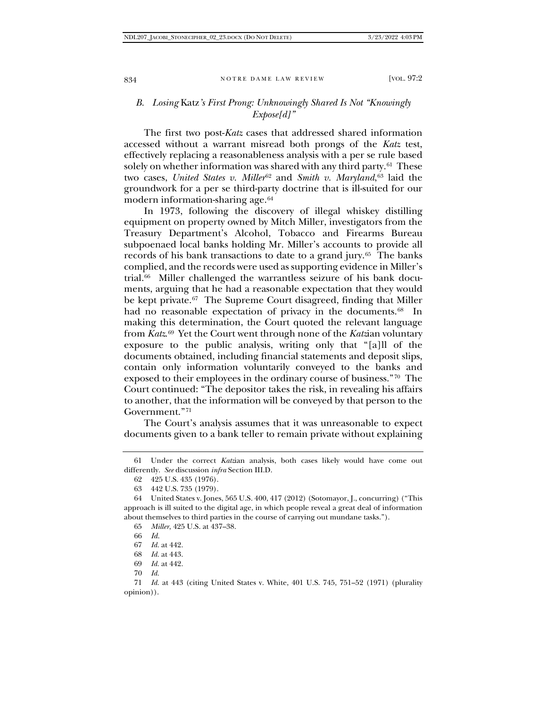## *B. Losing* Katz*'s First Prong: Unknowingly Shared Is Not "Knowingly Expose[d]"*

The first two post-*Katz* cases that addressed shared information accessed without a warrant misread both prongs of the *Katz* test, effectively replacing a reasonableness analysis with a per se rule based solely on whether information was shared with any third party.<sup>61</sup> These two cases, *United States v. Miller*<sup>[62](#page-11-1)</sup> and *Smith v. Maryland*,<sup>[63](#page-11-2)</sup> laid the groundwork for a per se third-party doctrine that is ill-suited for our modern information-sharing age.[64](#page-11-3)

In 1973, following the discovery of illegal whiskey distilling equipment on property owned by Mitch Miller, investigators from the Treasury Department's Alcohol, Tobacco and Firearms Bureau subpoenaed local banks holding Mr. Miller's accounts to provide all records of his bank transactions to date to a grand jury.<sup>65</sup> The banks complied, and the records were used as supporting evidence in Miller's trial.[66](#page-11-5) Miller challenged the warrantless seizure of his bank documents, arguing that he had a reasonable expectation that they would be kept private.<sup>67</sup> The Supreme Court disagreed, finding that Miller had no reasonable expectation of privacy in the documents.<sup>[68](#page-11-7)</sup> In making this determination, the Court quoted the relevant language from *Katz*.[69](#page-11-8) Yet the Court went through none of the *Katz*ian voluntary exposure to the public analysis, writing only that "[a]ll of the documents obtained, including financial statements and deposit slips, contain only information voluntarily conveyed to the banks and exposed to their employees in the ordinary course of business."[70](#page-11-9) The Court continued: "The depositor takes the risk, in revealing his affairs to another, that the information will be conveyed by that person to the Government.["71](#page-11-10)

The Court's analysis assumes that it was unreasonable to expect documents given to a bank teller to remain private without explaining

<span id="page-11-1"></span><span id="page-11-0"></span><sup>61</sup> Under the correct *Katz*ian analysis, both cases likely would have come out differently. *See* discussion *infra* Section III.D.

<sup>62</sup> 425 U.S. 435 (1976).

<sup>63</sup> 442 U.S. 735 (1979).

<span id="page-11-5"></span><span id="page-11-4"></span><span id="page-11-3"></span><span id="page-11-2"></span><sup>64</sup> United States v. Jones, 565 U.S. 400, 417 (2012) (Sotomayor, J., concurring) ("This approach is ill suited to the digital age, in which people reveal a great deal of information about themselves to third parties in the course of carrying out mundane tasks.").

<sup>65</sup> *Miller*, 425 U.S. at 437–38.

<sup>66</sup> *Id.*

<sup>67</sup> *Id.* at 442.

<sup>68</sup> *Id.* at 443.

<sup>69</sup> *Id.* at 442.

<sup>70</sup> *Id.*

<span id="page-11-10"></span><span id="page-11-9"></span><span id="page-11-8"></span><span id="page-11-7"></span><span id="page-11-6"></span><sup>71</sup> *Id.* at 443 (citing United States v. White, 401 U.S. 745, 751–52 (1971) (plurality opinion)).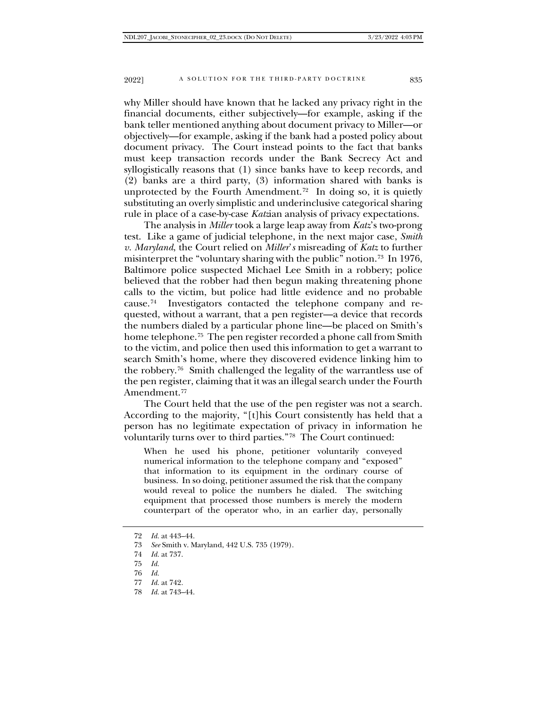why Miller should have known that he lacked any privacy right in the financial documents, either subjectively—for example, asking if the bank teller mentioned anything about document privacy to Miller—or objectively—for example, asking if the bank had a posted policy about document privacy. The Court instead points to the fact that banks must keep transaction records under the Bank Secrecy Act and syllogistically reasons that (1) since banks have to keep records, and (2) banks are a third party, (3) information shared with banks is unprotected by the Fourth Amendment.<sup>72</sup> In doing so, it is quietly substituting an overly simplistic and underinclusive categorical sharing rule in place of a case-by-case *Katz*ian analysis of privacy expectations.

The analysis in *Miller* took a large leap away from *Katz*'s two-prong test. Like a game of judicial telephone, in the next major case, *Smith v. Maryland*, the Court relied on *Miller*'*s* misreading of *Katz* to further misinterpret the "voluntary sharing with the public" notion.[73](#page-12-1) In 1976, Baltimore police suspected Michael Lee Smith in a robbery; police believed that the robber had then begun making threatening phone calls to the victim, but police had little evidence and no probable cause.[74](#page-12-2) Investigators contacted the telephone company and requested, without a warrant, that a pen register—a device that records the numbers dialed by a particular phone line—be placed on Smith's home telephone.<sup>[75](#page-12-3)</sup> The pen register recorded a phone call from Smith to the victim, and police then used this information to get a warrant to search Smith's home, where they discovered evidence linking him to the robbery.[76](#page-12-4) Smith challenged the legality of the warrantless use of the pen register, claiming that it was an illegal search under the Fourth Amendment.[77](#page-12-5)

The Court held that the use of the pen register was not a search. According to the majority, "[t]his Court consistently has held that a person has no legitimate expectation of privacy in information he voluntarily turns over to third parties."[78](#page-12-6) The Court continued:

When he used his phone, petitioner voluntarily conveyed numerical information to the telephone company and "exposed" that information to its equipment in the ordinary course of business. In so doing, petitioner assumed the risk that the company would reveal to police the numbers he dialed. The switching equipment that processed those numbers is merely the modern counterpart of the operator who, in an earlier day, personally

<span id="page-12-6"></span>78 *Id.* at 743–44.

<span id="page-12-0"></span><sup>72</sup> *Id.* at 443–44.

<span id="page-12-1"></span><sup>73</sup> *See* Smith v. Maryland, 442 U.S. 735 (1979).

<span id="page-12-2"></span><sup>74</sup> *Id.* at 737.

<span id="page-12-3"></span><sup>75</sup> *Id.*

<sup>76</sup> *Id.*

<span id="page-12-5"></span><span id="page-12-4"></span><sup>77</sup> *Id.* at 742.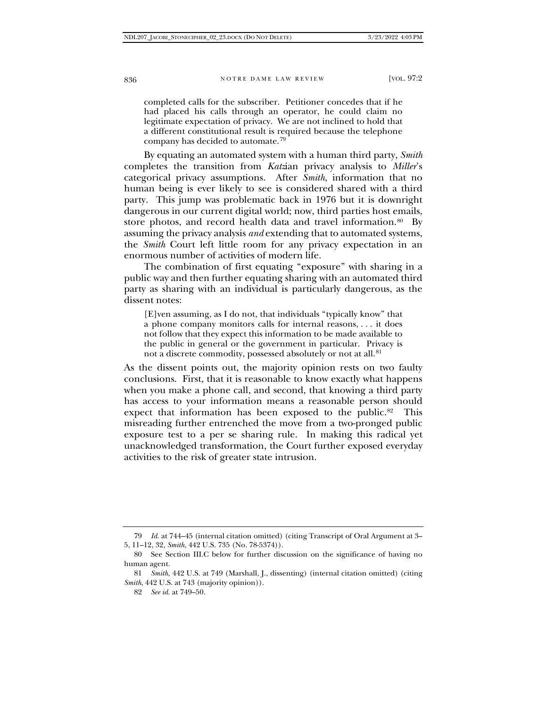completed calls for the subscriber. Petitioner concedes that if he had placed his calls through an operator, he could claim no legitimate expectation of privacy. We are not inclined to hold that a different constitutional result is required because the telephone company has decided to automate.[79](#page-13-0)

By equating an automated system with a human third party, *Smith* completes the transition from *Katz*ian privacy analysis to *Miller*'s categorical privacy assumptions. After *Smith*, information that no human being is ever likely to see is considered shared with a third party. This jump was problematic back in 1976 but it is downright dangerous in our current digital world; now, third parties host emails, store photos, and record health data and travel information.<sup>80</sup> By assuming the privacy analysis *and* extending that to automated systems, the *Smith* Court left little room for any privacy expectation in an enormous number of activities of modern life.

The combination of first equating "exposure" with sharing in a public way and then further equating sharing with an automated third party as sharing with an individual is particularly dangerous, as the dissent notes:

[E]ven assuming, as I do not, that individuals "typically know" that a phone company monitors calls for internal reasons, . . . it does not follow that they expect this information to be made available to the public in general or the government in particular. Privacy is not a discrete commodity, possessed absolutely or not at all.<sup>[81](#page-13-2)</sup>

As the dissent points out, the majority opinion rests on two faulty conclusions. First, that it is reasonable to know exactly what happens when you make a phone call, and second, that knowing a third party has access to your information means a reasonable person should expect that information has been exposed to the public.<sup>82</sup> This misreading further entrenched the move from a two-pronged public exposure test to a per se sharing rule. In making this radical yet unacknowledged transformation, the Court further exposed everyday activities to the risk of greater state intrusion.

<span id="page-13-0"></span><sup>79</sup> *Id.* at 744–45 (internal citation omitted) (citing Transcript of Oral Argument at 3– 5, 11–12, 32, *Smith*, 442 U.S. 735 (No. 78-5374)).

<span id="page-13-1"></span><sup>80</sup> See Section III.C below for further discussion on the significance of having no human agent.

<span id="page-13-3"></span><span id="page-13-2"></span><sup>81</sup> *Smith*, 442 U.S. at 749 (Marshall, J., dissenting) (internal citation omitted) (citing *Smith*, 442 U.S. at 743 (majority opinion)).

<sup>82</sup> *See id.* at 749–50.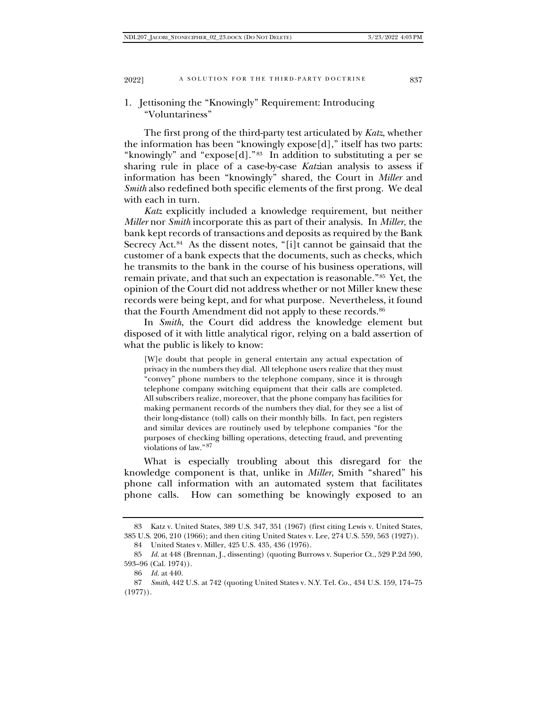## 1. Jettisoning the "Knowingly" Requirement: Introducing "Voluntariness"

The first prong of the third-party test articulated by *Katz*, whether the information has been "knowingly expose[d]," itself has two parts: "knowingly" and "expose[d]."[83](#page-14-0) In addition to substituting a per se sharing rule in place of a case-by-case *Katz*ian analysis to assess if information has been "knowingly" shared, the Court in *Miller* and *Smith* also redefined both specific elements of the first prong. We deal with each in turn.

*Katz* explicitly included a knowledge requirement, but neither *Miller* nor *Smith* incorporate this as part of their analysis. In *Miller*, the bank kept records of transactions and deposits as required by the Bank Secrecy Act.<sup>84</sup> As the dissent notes, "[i]t cannot be gainsaid that the customer of a bank expects that the documents, such as checks, which he transmits to the bank in the course of his business operations, will remain private, and that such an expectation is reasonable."[85](#page-14-2) Yet, the opinion of the Court did not address whether or not Miller knew these records were being kept, and for what purpose. Nevertheless, it found that the Fourth Amendment did not apply to these records.<sup>[86](#page-14-3)</sup>

In *Smith*, the Court did address the knowledge element but disposed of it with little analytical rigor, relying on a bald assertion of what the public is likely to know:

[W]e doubt that people in general entertain any actual expectation of privacy in the numbers they dial. All telephone users realize that they must "convey" phone numbers to the telephone company, since it is through telephone company switching equipment that their calls are completed. All subscribers realize, moreover, that the phone company has facilities for making permanent records of the numbers they dial, for they see a list of their long-distance (toll) calls on their monthly bills. In fact, pen registers and similar devices are routinely used by telephone companies "for the purposes of checking billing operations, detecting fraud, and preventing violations of law."[87](#page-14-4)

What is especially troubling about this disregard for the knowledge component is that, unlike in *Miller*, Smith "shared" his phone call information with an automated system that facilitates phone calls. How can something be knowingly exposed to an

<span id="page-14-0"></span><sup>83</sup> Katz v. United States, 389 U.S. 347, 351 (1967) (first citing Lewis v. United States, 385 U.S. 206, 210 (1966); and then citing United States v. Lee, 274 U.S. 559, 563 (1927)).

<sup>84</sup> United States v. Miller, 425 U.S. 435, 436 (1976).

<span id="page-14-2"></span><span id="page-14-1"></span><sup>85</sup> *Id.* at 448 (Brennan, J., dissenting) (quoting Burrows v. Superior Ct., 529 P.2d 590, 593–96 (Cal. 1974)).

<sup>86</sup> *Id.* at 440.

<span id="page-14-4"></span><span id="page-14-3"></span><sup>87</sup> *Smith*, 442 U.S. at 742 (quoting United States v. N.Y. Tel. Co., 434 U.S. 159, 174–75  $(1977)$ .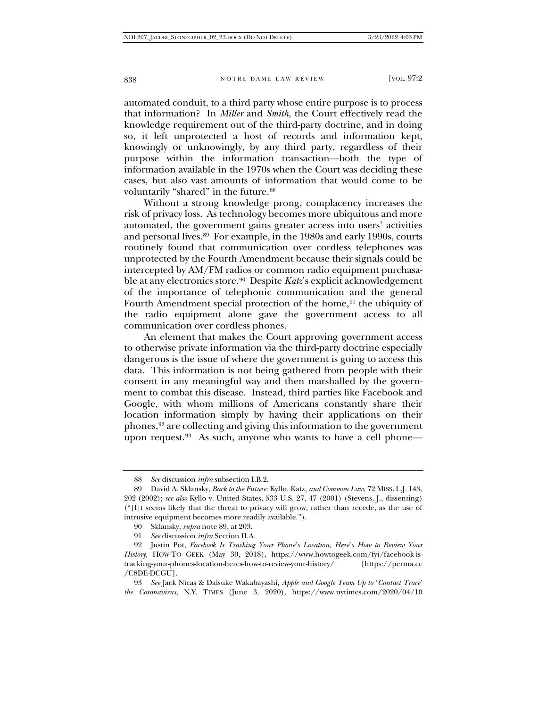automated conduit, to a third party whose entire purpose is to process that information? In *Miller* and *Smith*, the Court effectively read the knowledge requirement out of the third-party doctrine, and in doing so, it left unprotected a host of records and information kept, knowingly or unknowingly, by any third party, regardless of their purpose within the information transaction—both the type of information available in the 1970s when the Court was deciding these cases, but also vast amounts of information that would come to be voluntarily "shared" in the future.<sup>[88](#page-15-0)</sup>

Without a strong knowledge prong, complacency increases the risk of privacy loss. As technology becomes more ubiquitous and more automated, the government gains greater access into users' activities and personal lives.[89](#page-15-1) For example, in the 1980s and early 1990s, courts routinely found that communication over cordless telephones was unprotected by the Fourth Amendment because their signals could be intercepted by AM/FM radios or common radio equipment purchasable at any electronics store.[90](#page-15-2) Despite *Katz*'s explicit acknowledgement of the importance of telephonic communication and the general Fourth Amendment special protection of the home,<sup>[91](#page-15-3)</sup> the ubiquity of the radio equipment alone gave the government access to all communication over cordless phones.

An element that makes the Court approving government access to otherwise private information via the third-party doctrine especially dangerous is the issue of where the government is going to access this data. This information is not being gathered from people with their consent in any meaningful way and then marshalled by the government to combat this disease. Instead, third parties like Facebook and Google, with whom millions of Americans constantly share their location information simply by having their applications on their phones,[92](#page-15-4) are collecting and giving this information to the government upon request.<sup>93</sup> As such, anyone who wants to have a cell phone—

<sup>88</sup> *See* discussion *infra* subsection I.B.2.

<span id="page-15-1"></span><span id="page-15-0"></span><sup>89</sup> David A. Sklansky, *Back to the Future:* Kyllo*,* Katz*, and Common Law*, 72 MISS. L.J. 143, 202 (2002); *see also* Kyllo v. United States, 533 U.S. 27, 47 (2001) (Stevens, J., dissenting) ("[I]t seems likely that the threat to privacy will grow, rather than recede, as the use of intrusive equipment becomes more readily available.").

<sup>90</sup> Sklansky, *supra* note 89, at 203.

<sup>91</sup> *See* discussion *infra* Section II.A.

<span id="page-15-4"></span><span id="page-15-3"></span><span id="page-15-2"></span><sup>92</sup> Justin Pot, *Facebook Is Tracking Your Phone*'*s Location, Here*'*s How to Review Your History*, HOW-TO GEEK (May 30, 2018), https://www.howtogeek.com/fyi/facebook-istracking-your-phones-location-heres-how-to-review-your-history/ [https://perma.cc /C8DE-DCGU].

<span id="page-15-5"></span><sup>93</sup> *See* Jack Nicas & Daisuke Wakabayashi, *Apple and Google Team Up to* '*Contact Trace*' *the Coronavirus*, N.Y. TIMES (June 3, 2020), https://www.nytimes.com/2020/04/10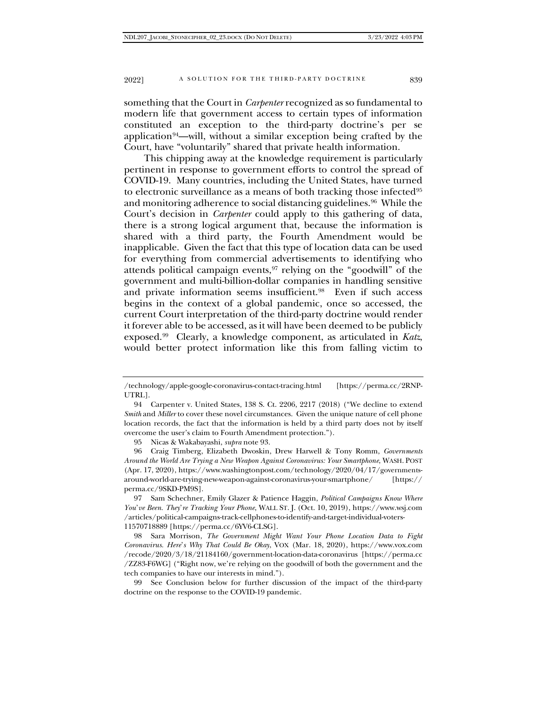something that the Court in *Carpenter* recognized as so fundamental to modern life that government access to certain types of information constituted an exception to the third-party doctrine's per se application<sup>[94](#page-16-0)</sup>—will, without a similar exception being crafted by the Court, have "voluntarily" shared that private health information.

This chipping away at the knowledge requirement is particularly pertinent in response to government efforts to control the spread of COVID-19. Many countries, including the United States, have turned to electronic surveillance as a means of both tracking those infected $95$ and monitoring adherence to social distancing guidelines.<sup>[96](#page-16-2)</sup> While the Court's decision in *Carpenter* could apply to this gathering of data, there is a strong logical argument that, because the information is shared with a third party, the Fourth Amendment would be inapplicable. Given the fact that this type of location data can be used for everything from commercial advertisements to identifying who attends political campaign events,  $97$  relying on the "goodwill" of the government and multi-billion-dollar companies in handling sensitive and private information seems insufficient.[98](#page-16-4) Even if such access begins in the context of a global pandemic, once so accessed, the current Court interpretation of the third-party doctrine would render it forever able to be accessed, as it will have been deemed to be publicly exposed.[99](#page-16-5) Clearly, a knowledge component, as articulated in *Katz*, would better protect information like this from falling victim to

95 Nicas & Wakabayashi, *supra* note 93.

<span id="page-16-5"></span>99 See Conclusion below for further discussion of the impact of the third-party doctrine on the response to the COVID-19 pandemic.

<sup>/</sup>technology/apple-google-coronavirus-contact-tracing.html [https://perma.cc/2RNP-UTRL].

<span id="page-16-0"></span><sup>94</sup> Carpenter v. United States, 138 S. Ct. 2206, 2217 (2018) ("We decline to extend *Smith* and *Miller* to cover these novel circumstances. Given the unique nature of cell phone location records, the fact that the information is held by a third party does not by itself overcome the user's claim to Fourth Amendment protection.").

<span id="page-16-2"></span><span id="page-16-1"></span><sup>96</sup> Craig Timberg, Elizabeth Dwoskin, Drew Harwell & Tony Romm, *Governments Around the World Are Trying a New Weapon Against Coronavirus: Your Smartphone*, WASH. POST (Apr. 17, 2020), https://www.washingtonpost.com/technology/2020/04/17/governmentsaround-world-are-trying-new-weapon-against-coronavirus-your-smartphone/ [https:// perma.cc/9SKD-PM9S].

<span id="page-16-3"></span><sup>97</sup> Sam Schechner, Emily Glazer & Patience Haggin, *Political Campaigns Know Where You*'*ve Been. They*'*re Tracking Your Phone*, WALL ST. J. (Oct. 10, 2019), https://www.wsj.com /articles/political-campaigns-track-cellphones-to-identify-and-target-individual-voters-11570718889 [https://perma.cc/6YV6-CLSG].

<span id="page-16-4"></span><sup>98</sup> Sara Morrison, *The Government Might Want Your Phone Location Data to Fight Coronavirus. Here*'*s Why That Could Be Okay*, VOX (Mar. 18, 2020), https://www.vox.com /recode/2020/3/18/21184160/government-location-data-coronavirus [https://perma.cc /ZZ83-F6WG] ("Right now, we're relying on the goodwill of both the government and the tech companies to have our interests in mind.").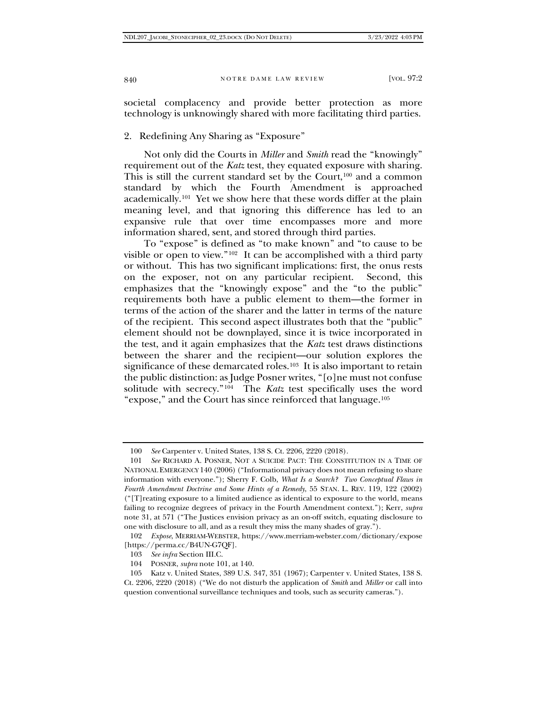societal complacency and provide better protection as more technology is unknowingly shared with more facilitating third parties.

2. Redefining Any Sharing as "Exposure"

Not only did the Courts in *Miller* and *Smith* read the "knowingly" requirement out of the *Katz* test, they equated exposure with sharing. This is still the current standard set by the Court,<sup>[100](#page-17-0)</sup> and a common standard by which the Fourth Amendment is approached academically.[101](#page-17-1) Yet we show here that these words differ at the plain meaning level, and that ignoring this difference has led to an expansive rule that over time encompasses more and more information shared, sent, and stored through third parties.

To "expose" is defined as "to make known" and "to cause to be visible or open to view."[102](#page-17-2) It can be accomplished with a third party or without. This has two significant implications: first, the onus rests on the exposer, not on any particular recipient. Second, this emphasizes that the "knowingly expose" and the "to the public" requirements both have a public element to them—the former in terms of the action of the sharer and the latter in terms of the nature of the recipient. This second aspect illustrates both that the "public" element should not be downplayed, since it is twice incorporated in the test, and it again emphasizes that the *Katz* test draws distinctions between the sharer and the recipient—our solution explores the significance of these demarcated roles.<sup>103</sup> It is also important to retain the public distinction: as Judge Posner writes, "[o]ne must not confuse solitude with secrecy."<sup>104</sup> The *Katz* test specifically uses the word "expose," and the Court has since reinforced that language.[105](#page-17-5)

<sup>100</sup> *See* Carpenter v. United States, 138 S. Ct. 2206, 2220 (2018).

<span id="page-17-1"></span><span id="page-17-0"></span><sup>101</sup> *See* RICHARD A. POSNER, NOT A SUICIDE PACT: THE CONSTITUTION IN A TIME OF NATIONAL EMERGENCY 140 (2006) ("Informational privacy does not mean refusing to share information with everyone."); Sherry F. Colb, *What Is a Search? Two Conceptual Flaws in Fourth Amendment Doctrine and Some Hints of a Remedy*, 55 STAN. L. REV. 119, 122 (2002) ("[T]reating exposure to a limited audience as identical to exposure to the world, means failing to recognize degrees of privacy in the Fourth Amendment context."); Kerr, *supra*  note 31, at 571 ("The Justices envision privacy as an on-off switch, equating disclosure to one with disclosure to all, and as a result they miss the many shades of gray.").

<span id="page-17-2"></span><sup>102</sup> *Expose*, MERRIAM-WEBSTER, https://www.merriam-webster.com/dictionary/expose [https://perma.cc/B4UN-G7QF].

<sup>103</sup> *See infra* Section III.C.

<sup>104</sup> POSNER, *supra* note 101, at 140.

<span id="page-17-5"></span><span id="page-17-4"></span><span id="page-17-3"></span><sup>105</sup> Katz v. United States, 389 U.S. 347, 351 (1967); Carpenter v. United States, 138 S. Ct. 2206, 2220 (2018) ("We do not disturb the application of *Smith* and *Miller* or call into question conventional surveillance techniques and tools, such as security cameras.").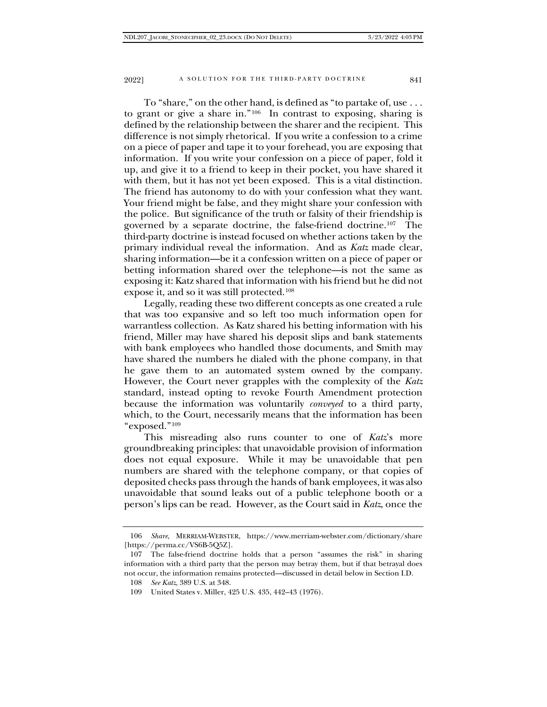To "share," on the other hand, is defined as "to partake of, use . . . to grant or give a share in."[106](#page-18-0) In contrast to exposing, sharing is defined by the relationship between the sharer and the recipient. This difference is not simply rhetorical. If you write a confession to a crime on a piece of paper and tape it to your forehead, you are exposing that information. If you write your confession on a piece of paper, fold it up, and give it to a friend to keep in their pocket, you have shared it with them, but it has not yet been exposed. This is a vital distinction. The friend has autonomy to do with your confession what they want. Your friend might be false, and they might share your confession with the police. But significance of the truth or falsity of their friendship is governed by a separate doctrine, the false-friend doctrine[.107](#page-18-1) The third-party doctrine is instead focused on whether actions taken by the primary individual reveal the information. And as *Katz* made clear, sharing information—be it a confession written on a piece of paper or betting information shared over the telephone—is not the same as exposing it: Katz shared that information with his friend but he did not expose it, and so it was still protected.[108](#page-18-2)

Legally, reading these two different concepts as one created a rule that was too expansive and so left too much information open for warrantless collection. As Katz shared his betting information with his friend, Miller may have shared his deposit slips and bank statements with bank employees who handled those documents, and Smith may have shared the numbers he dialed with the phone company, in that he gave them to an automated system owned by the company. However, the Court never grapples with the complexity of the *Katz*  standard, instead opting to revoke Fourth Amendment protection because the information was voluntarily *conveyed* to a third party, which, to the Court, necessarily means that the information has been "exposed."[109](#page-18-3)

This misreading also runs counter to one of *Katz*'s more groundbreaking principles: that unavoidable provision of information does not equal exposure. While it may be unavoidable that pen numbers are shared with the telephone company, or that copies of deposited checks pass through the hands of bank employees, it was also unavoidable that sound leaks out of a public telephone booth or a person's lips can be read. However, as the Court said in *Katz*, once the

<span id="page-18-0"></span><sup>106</sup> *Share*, MERRIAM-WEBSTER, https://www.merriam-webster.com/dictionary/share [https://perma.cc/VS6B-5Q5Z].

<span id="page-18-3"></span><span id="page-18-2"></span><span id="page-18-1"></span><sup>107</sup> The false-friend doctrine holds that a person "assumes the risk" in sharing information with a third party that the person may betray them, but if that betrayal does not occur, the information remains protected—discussed in detail below in Section I.D.

<sup>108</sup> *See Katz*, 389 U.S. at 348.

<sup>109</sup> United States v. Miller, 425 U.S. 435, 442–43 (1976).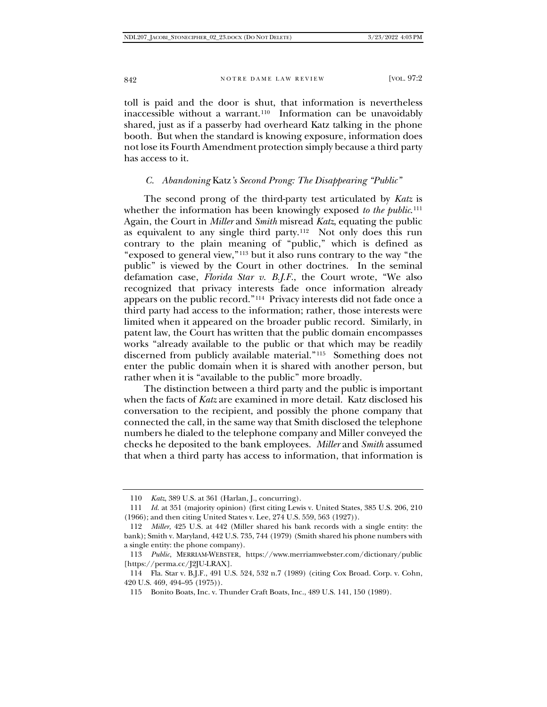toll is paid and the door is shut, that information is nevertheless inaccessible without a warrant.[110](#page-19-0) Information can be unavoidably shared, just as if a passerby had overheard Katz talking in the phone booth. But when the standard is knowing exposure, information does not lose its Fourth Amendment protection simply because a third party has access to it.

## *C. Abandoning* Katz*'s Second Prong: The Disappearing "Public"*

The second prong of the third-party test articulated by *Katz* is whether the information has been knowingly exposed *to the public*.<sup>[111](#page-19-1)</sup> Again, the Court in *Miller* and *Smith* misread *Katz*, equating the public as equivalent to any single third party.[112](#page-19-2) Not only does this run contrary to the plain meaning of "public," which is defined as "exposed to general view,"[113](#page-19-3) but it also runs contrary to the way "the public" is viewed by the Court in other doctrines. In the seminal defamation case, *Florida Star v. B.J.F.*, the Court wrote, "We also recognized that privacy interests fade once information already appears on the public record.["114](#page-19-4) Privacy interests did not fade once a third party had access to the information; rather, those interests were limited when it appeared on the broader public record. Similarly, in patent law, the Court has written that the public domain encompasses works "already available to the public or that which may be readily discerned from publicly available material."[115](#page-19-5) Something does not enter the public domain when it is shared with another person, but rather when it is "available to the public" more broadly.

The distinction between a third party and the public is important when the facts of *Katz* are examined in more detail. Katz disclosed his conversation to the recipient, and possibly the phone company that connected the call, in the same way that Smith disclosed the telephone numbers he dialed to the telephone company and Miller conveyed the checks he deposited to the bank employees. *Miller* and *Smith* assumed that when a third party has access to information, that information is

<sup>110</sup> *Katz*, 389 U.S. at 361 (Harlan, J., concurring).

<span id="page-19-1"></span><span id="page-19-0"></span><sup>111</sup> *Id.* at 351 (majority opinion) (first citing Lewis v. United States, 385 U.S. 206, 210 (1966); and then citing United States v. Lee, 274 U.S. 559, 563 (1927)).

<span id="page-19-2"></span><sup>112</sup> *Miller*, 425 U.S. at 442 (Miller shared his bank records with a single entity: the bank); Smith v. Maryland, 442 U.S. 735, 744 (1979) (Smith shared his phone numbers with a single entity: the phone company).

<span id="page-19-3"></span><sup>113</sup> *Public*, MERRIAM-WEBSTER, https://www.merriamwebster.com/dictionary/public [https://perma.cc/J2JU-LRAX].

<span id="page-19-5"></span><span id="page-19-4"></span><sup>114</sup> Fla. Star v. B.J.F., 491 U.S. 524, 532 n.7 (1989) (citing Cox Broad. Corp. v. Cohn, 420 U.S. 469, 494–95 (1975)).

<sup>115</sup> Bonito Boats, Inc. v. Thunder Craft Boats, Inc., 489 U.S. 141, 150 (1989).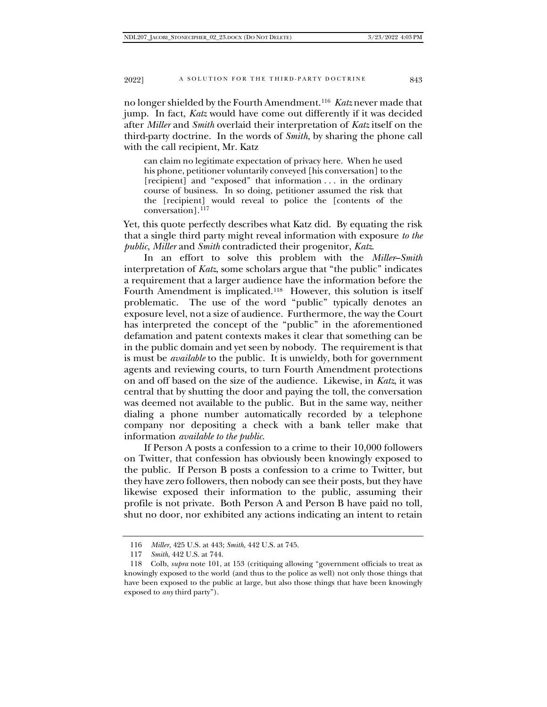2022] A SOLUTION FOR THE THIRD-PARTY DOCTRINE 843

no longer shielded by the Fourth Amendment.[116](#page-20-0) *Katz* never made that jump. In fact, *Katz* would have come out differently if it was decided after *Miller* and *Smith* overlaid their interpretation of *Katz* itself on the third-party doctrine. In the words of *Smith*, by sharing the phone call with the call recipient, Mr. Katz

can claim no legitimate expectation of privacy here. When he used his phone, petitioner voluntarily conveyed [his conversation] to the [recipient] and "exposed" that information . . . in the ordinary course of business. In so doing, petitioner assumed the risk that the [recipient] would reveal to police the [contents of the conversation].[117](#page-20-1)

Yet, this quote perfectly describes what Katz did. By equating the risk that a single third party might reveal information with exposure *to the public*, *Miller* and *Smith* contradicted their progenitor, *Katz*.

In an effort to solve this problem with the *Miller*–*Smith* interpretation of *Katz*, some scholars argue that "the public" indicates a requirement that a larger audience have the information before the Fourth Amendment is implicated.[118](#page-20-2) However, this solution is itself problematic. The use of the word "public" typically denotes an exposure level, not a size of audience. Furthermore, the way the Court has interpreted the concept of the "public" in the aforementioned defamation and patent contexts makes it clear that something can be in the public domain and yet seen by nobody. The requirement is that is must be *available* to the public. It is unwieldy, both for government agents and reviewing courts, to turn Fourth Amendment protections on and off based on the size of the audience. Likewise, in *Katz*, it was central that by shutting the door and paying the toll, the conversation was deemed not available to the public. But in the same way, neither dialing a phone number automatically recorded by a telephone company nor depositing a check with a bank teller make that information *available to the public*.

If Person A posts a confession to a crime to their 10,000 followers on Twitter, that confession has obviously been knowingly exposed to the public. If Person B posts a confession to a crime to Twitter, but they have zero followers, then nobody can see their posts, but they have likewise exposed their information to the public, assuming their profile is not private. Both Person A and Person B have paid no toll, shut no door, nor exhibited any actions indicating an intent to retain

<sup>116</sup> *Miller*, 425 U.S. at 443; *Smith*, 442 U.S. at 745.

<sup>117</sup> *Smith*, 442 U.S. at 744.

<span id="page-20-2"></span><span id="page-20-1"></span><span id="page-20-0"></span><sup>118</sup> Colb, *supra* note 101, at 153 (critiquing allowing "government officials to treat as knowingly exposed to the world (and thus to the police as well) not only those things that have been exposed to the public at large, but also those things that have been knowingly exposed to *any* third party").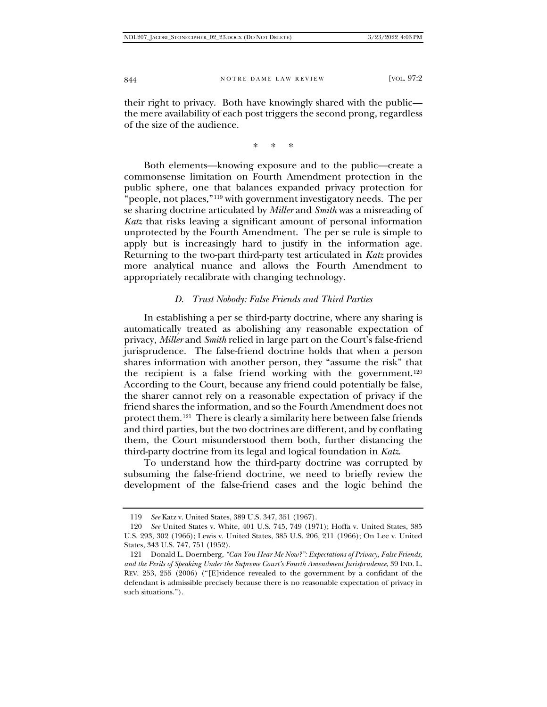their right to privacy. Both have knowingly shared with the public the mere availability of each post triggers the second prong, regardless of the size of the audience.

\* \* \*

Both elements—knowing exposure and to the public—create a commonsense limitation on Fourth Amendment protection in the public sphere, one that balances expanded privacy protection for "people, not places,"<sup>[119](#page-21-0)</sup> with government investigatory needs. The per se sharing doctrine articulated by *Miller* and *Smith* was a misreading of *Katz* that risks leaving a significant amount of personal information unprotected by the Fourth Amendment. The per se rule is simple to apply but is increasingly hard to justify in the information age. Returning to the two-part third-party test articulated in *Katz* provides more analytical nuance and allows the Fourth Amendment to appropriately recalibrate with changing technology.

#### *D. Trust Nobody: False Friends and Third Parties*

In establishing a per se third-party doctrine, where any sharing is automatically treated as abolishing any reasonable expectation of privacy, *Miller* and *Smith* relied in large part on the Court's false-friend jurisprudence. The false-friend doctrine holds that when a person shares information with another person, they "assume the risk" that the recipient is a false friend working with the government.<sup>[120](#page-21-1)</sup> According to the Court, because any friend could potentially be false, the sharer cannot rely on a reasonable expectation of privacy if the friend shares the information, and so the Fourth Amendment does not protect them.[121](#page-21-2) There is clearly a similarity here between false friends and third parties, but the two doctrines are different, and by conflating them, the Court misunderstood them both, further distancing the third-party doctrine from its legal and logical foundation in *Katz*.

To understand how the third-party doctrine was corrupted by subsuming the false-friend doctrine, we need to briefly review the development of the false-friend cases and the logic behind the

<sup>119</sup> *See* Katz v. United States, 389 U.S. 347, 351 (1967).

<span id="page-21-1"></span><span id="page-21-0"></span><sup>120</sup> *See* United States v. White, 401 U.S. 745, 749 (1971); Hoffa v. United States, 385 U.S. 293, 302 (1966); Lewis v. United States, 385 U.S. 206, 211 (1966); On Lee v. United States, 343 U.S. 747, 751 (1952).

<span id="page-21-2"></span><sup>121</sup> Donald L. Doernberg, *"Can You Hear Me Now?": Expectations of Privacy, False Friends, and the Perils of Speaking Under the Supreme Court's Fourth Amendment Jurisprudence*, 39 IND. L. REV. 253, 255 (2006) ("[E]vidence revealed to the government by a confidant of the defendant is admissible precisely because there is no reasonable expectation of privacy in such situations.").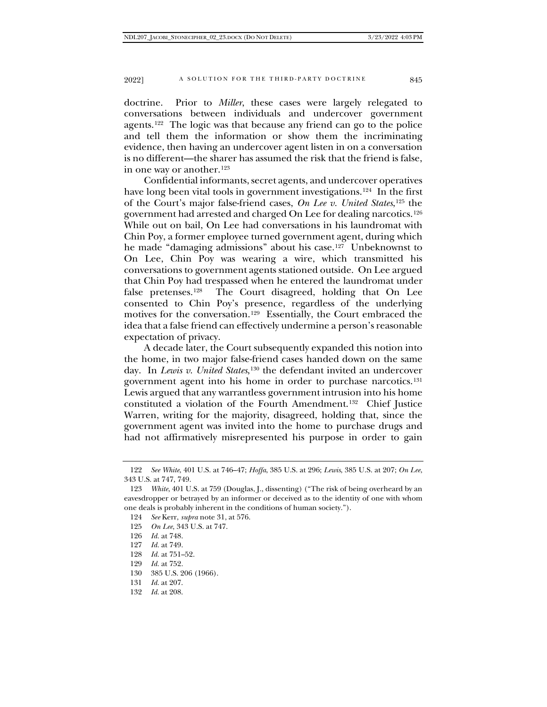doctrine. Prior to *Miller*, these cases were largely relegated to conversations between individuals and undercover government agents.[122](#page-22-0) The logic was that because any friend can go to the police and tell them the information or show them the incriminating evidence, then having an undercover agent listen in on a conversation is no different—the sharer has assumed the risk that the friend is false, in one way or another.<sup>[123](#page-22-1)</sup>

Confidential informants, secret agents, and undercover operatives have long been vital tools in government investigations.[124](#page-22-2) In the first of the Court's major false-friend cases, *On Lee v. United States*[,125](#page-22-3) the government had arrested and charged On Lee for dealing narcotics.[126](#page-22-4) While out on bail, On Lee had conversations in his laundromat with Chin Poy, a former employee turned government agent, during which he made "damaging admissions" about his case.[127](#page-22-5) Unbeknownst to On Lee, Chin Poy was wearing a wire, which transmitted his conversations to government agents stationed outside. On Lee argued that Chin Poy had trespassed when he entered the laundromat under false pretenses.[128](#page-22-6) The Court disagreed, holding that On Lee consented to Chin Poy's presence, regardless of the underlying motives for the conversation.[129](#page-22-7) Essentially, the Court embraced the idea that a false friend can effectively undermine a person's reasonable expectation of privacy.

A decade later, the Court subsequently expanded this notion into the home, in two major false-friend cases handed down on the same day. In *Lewis v. United States*,<sup>[130](#page-22-8)</sup> the defendant invited an undercover government agent into his home in order to purchase narcotics.[131](#page-22-9) Lewis argued that any warrantless government intrusion into his home constituted a violation of the Fourth Amendment.[132](#page-22-10) Chief Justice Warren, writing for the majority, disagreed, holding that, since the government agent was invited into the home to purchase drugs and had not affirmatively misrepresented his purpose in order to gain

- 124 *See* Kerr, *supra* note 31, at 576.
- 125 *On Lee*, 343 U.S. at 747.
- <span id="page-22-4"></span>126 *Id.* at 748.
- <span id="page-22-5"></span>127 *Id.* at 749.
- <span id="page-22-6"></span>128 *Id.* at 751–52.
- <span id="page-22-8"></span><span id="page-22-7"></span>129 *Id.* at 752.
- 130 385 U.S. 206 (1966).
- <span id="page-22-9"></span>131 *Id.* at 207.
- <span id="page-22-10"></span>132 *Id.* at 208.

<span id="page-22-0"></span><sup>122</sup> *See White*, 401 U.S. at 746–47; *Hoffa*, 385 U.S. at 296; *Lewis*, 385 U.S. at 207; *On Lee*, 343 U.S. at 747, 749.

<span id="page-22-3"></span><span id="page-22-2"></span><span id="page-22-1"></span><sup>123</sup> *White*, 401 U.S. at 759 (Douglas, J., dissenting) ("The risk of being overheard by an eavesdropper or betrayed by an informer or deceived as to the identity of one with whom one deals is probably inherent in the conditions of human society.").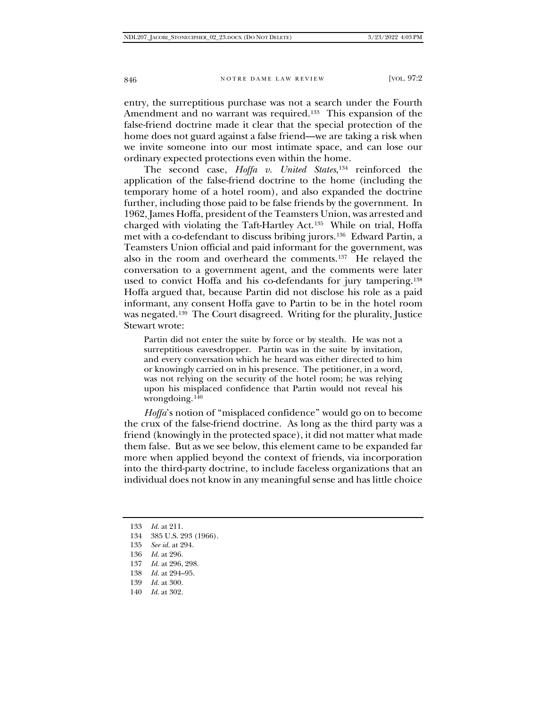entry, the surreptitious purchase was not a search under the Fourth Amendment and no warrant was required.<sup>[133](#page-23-0)</sup> This expansion of the false-friend doctrine made it clear that the special protection of the home does not guard against a false friend—we are taking a risk when we invite someone into our most intimate space, and can lose our ordinary expected protections even within the home.

The second case, *Hoffa v. United States*,[134](#page-23-1) reinforced the application of the false-friend doctrine to the home (including the temporary home of a hotel room), and also expanded the doctrine further, including those paid to be false friends by the government. In 1962, James Hoffa, president of the Teamsters Union, was arrested and charged with violating the Taft-Hartley Act.[135](#page-23-2) While on trial, Hoffa met with a co-defendant to discuss bribing jurors.[136](#page-23-3) Edward Partin, a Teamsters Union official and paid informant for the government, was also in the room and overheard the comments.<sup>[137](#page-23-4)</sup> He relayed the conversation to a government agent, and the comments were later used to convict Hoffa and his co-defendants for jury tampering.<sup>[138](#page-23-5)</sup> Hoffa argued that, because Partin did not disclose his role as a paid informant, any consent Hoffa gave to Partin to be in the hotel room was negated.<sup>[139](#page-23-6)</sup> The Court disagreed. Writing for the plurality, Justice Stewart wrote:

Partin did not enter the suite by force or by stealth. He was not a surreptitious eavesdropper. Partin was in the suite by invitation, and every conversation which he heard was either directed to him or knowingly carried on in his presence. The petitioner, in a word, was not relying on the security of the hotel room; he was relying upon his misplaced confidence that Partin would not reveal his wrongdoing. $140$ 

*Hoffa*'s notion of "misplaced confidence" would go on to become the crux of the false-friend doctrine. As long as the third party was a friend (knowingly in the protected space), it did not matter what made them false. But as we see below, this element came to be expanded far more when applied beyond the context of friends, via incorporation into the third-party doctrine, to include faceless organizations that an individual does not know in any meaningful sense and has little choice

- <span id="page-23-4"></span><span id="page-23-3"></span>136 *Id.* at 296.
- 137 *Id.* at 296, 298.
- <span id="page-23-5"></span>138 *Id.* at 294–95.
- 139 *Id.* at 300.
- <span id="page-23-7"></span><span id="page-23-6"></span>140 *Id.* at 302.

<span id="page-23-0"></span><sup>133</sup> *Id.* at 211.

<span id="page-23-1"></span><sup>134</sup> 385 U.S. 293 (1966).

<span id="page-23-2"></span><sup>135</sup> *See id.* at 294.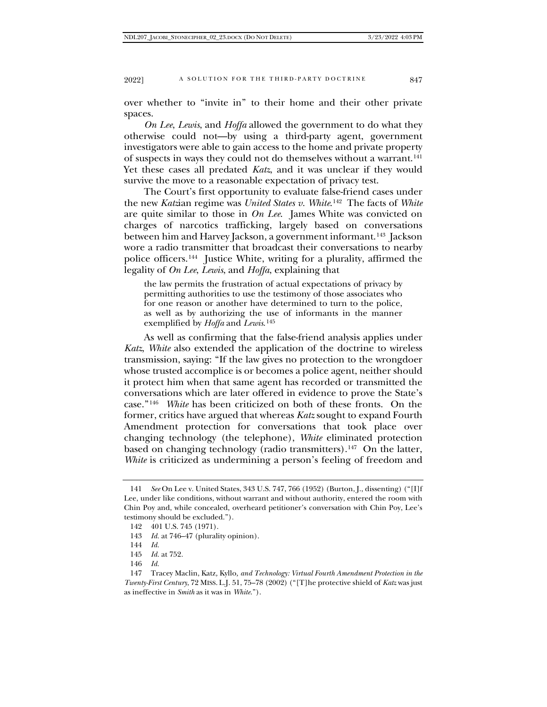over whether to "invite in" to their home and their other private spaces.

*On Lee*, *Lewis*, and *Hoffa* allowed the government to do what they otherwise could not—by using a third-party agent, government investigators were able to gain access to the home and private property of suspects in ways they could not do themselves without a warrant.[141](#page-24-0) Yet these cases all predated *Katz*, and it was unclear if they would survive the move to a reasonable expectation of privacy test.

The Court's first opportunity to evaluate false-friend cases under the new *Katz*ian regime was *United States v. White*.[142](#page-24-1) The facts of *White*  are quite similar to those in *On Lee*. James White was convicted on charges of narcotics trafficking, largely based on conversations between him and Harvey Jackson, a government informant.[143](#page-24-2) Jackson wore a radio transmitter that broadcast their conversations to nearby police officers.[144](#page-24-3) Justice White, writing for a plurality, affirmed the legality of *On Lee*, *Lewis*, and *Hoffa*, explaining that

the law permits the frustration of actual expectations of privacy by permitting authorities to use the testimony of those associates who for one reason or another have determined to turn to the police, as well as by authorizing the use of informants in the manner exemplified by *Hoffa* and *Lewis*.[145](#page-24-4)

As well as confirming that the false-friend analysis applies under *Katz*, *White* also extended the application of the doctrine to wireless transmission, saying: "If the law gives no protection to the wrongdoer whose trusted accomplice is or becomes a police agent, neither should it protect him when that same agent has recorded or transmitted the conversations which are later offered in evidence to prove the State's case."[146](#page-24-5) *White* has been criticized on both of these fronts. On the former, critics have argued that whereas *Katz* sought to expand Fourth Amendment protection for conversations that took place over changing technology (the telephone), *White* eliminated protection based on changing technology (radio transmitters).<sup>[147](#page-24-6)</sup> On the latter, *White* is criticized as undermining a person's feeling of freedom and

<span id="page-24-0"></span><sup>141</sup> *See* On Lee v. United States, 343 U.S. 747, 766 (1952) (Burton, J., dissenting) ("[I]f Lee, under like conditions, without warrant and without authority, entered the room with Chin Poy and, while concealed, overheard petitioner's conversation with Chin Poy, Lee's testimony should be excluded.").

<span id="page-24-2"></span><span id="page-24-1"></span><sup>142</sup> 401 U.S. 745 (1971).

<sup>143</sup> *Id.* at 746–47 (plurality opinion).

<sup>144</sup> *Id.*

<sup>145</sup> *Id.* at 752.

<sup>146</sup> *Id.*

<span id="page-24-6"></span><span id="page-24-5"></span><span id="page-24-4"></span><span id="page-24-3"></span><sup>147</sup> Tracey Maclin, Katz*,* Kyllo*, and Technology: Virtual Fourth Amendment Protection in the Twenty-First Century*, 72 MISS. L.J. 51, 75–78 (2002) ("[T]he protective shield of *Katz* was just as ineffective in *Smith* as it was in *White*.").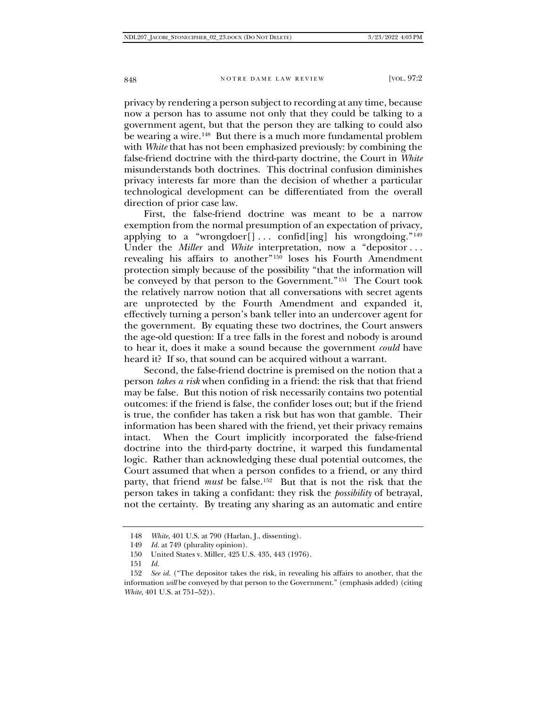privacy by rendering a person subject to recording at any time, because now a person has to assume not only that they could be talking to a government agent, but that the person they are talking to could also be wearing a wire.<sup>[148](#page-25-0)</sup> But there is a much more fundamental problem with *White* that has not been emphasized previously: by combining the false-friend doctrine with the third-party doctrine, the Court in *White*  misunderstands both doctrines. This doctrinal confusion diminishes privacy interests far more than the decision of whether a particular technological development can be differentiated from the overall direction of prior case law.

First, the false-friend doctrine was meant to be a narrow exemption from the normal presumption of an expectation of privacy, applying to a "wrongdoer[]... confid[ing] his wrongdoing."<sup>[149](#page-25-1)</sup> Under the *Miller* and *White* interpretation, now a "depositor... revealing his affairs to another["150](#page-25-2) loses his Fourth Amendment protection simply because of the possibility "that the information will be conveyed by that person to the Government."<sup>[151](#page-25-3)</sup> The Court took the relatively narrow notion that all conversations with secret agents are unprotected by the Fourth Amendment and expanded it, effectively turning a person's bank teller into an undercover agent for the government. By equating these two doctrines, the Court answers the age-old question: If a tree falls in the forest and nobody is around to hear it, does it make a sound because the government *could* have heard it? If so, that sound can be acquired without a warrant.

Second, the false-friend doctrine is premised on the notion that a person *takes a risk* when confiding in a friend: the risk that that friend may be false. But this notion of risk necessarily contains two potential outcomes: if the friend is false, the confider loses out; but if the friend is true, the confider has taken a risk but has won that gamble. Their information has been shared with the friend, yet their privacy remains intact. When the Court implicitly incorporated the false-friend doctrine into the third-party doctrine, it warped this fundamental logic. Rather than acknowledging these dual potential outcomes, the Court assumed that when a person confides to a friend, or any third party, that friend *must* be false.[152](#page-25-4) But that is not the risk that the person takes in taking a confidant: they risk the *possibility* of betrayal, not the certainty. By treating any sharing as an automatic and entire

<sup>148</sup> *White*, 401 U.S. at 790 (Harlan, J., dissenting).

<sup>149</sup> *Id.* at 749 (plurality opinion).

<sup>150</sup> United States v. Miller, 425 U.S. 435, 443 (1976).

<sup>151</sup> *Id.*

<span id="page-25-4"></span><span id="page-25-3"></span><span id="page-25-2"></span><span id="page-25-1"></span><span id="page-25-0"></span><sup>152</sup> *See id.* ("The depositor takes the risk, in revealing his affairs to another, that the information *will* be conveyed by that person to the Government." (emphasis added) (citing *White*, 401 U.S. at  $751-52$ ).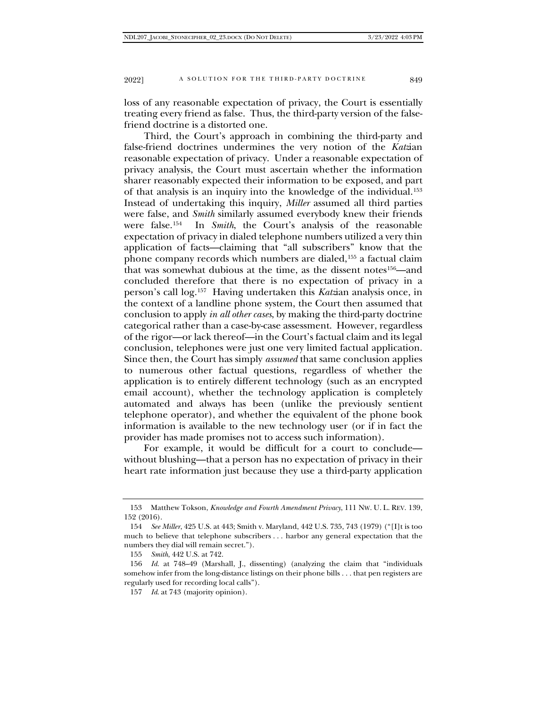loss of any reasonable expectation of privacy, the Court is essentially treating every friend as false. Thus, the third-party version of the falsefriend doctrine is a distorted one.

Third, the Court's approach in combining the third-party and false-friend doctrines undermines the very notion of the *Katz*ian reasonable expectation of privacy. Under a reasonable expectation of privacy analysis, the Court must ascertain whether the information sharer reasonably expected their information to be exposed, and part of that analysis is an inquiry into the knowledge of the individual.[153](#page-26-0) Instead of undertaking this inquiry, *Miller* assumed all third parties were false, and *Smith* similarly assumed everybody knew their friends were false.[154](#page-26-1) In *Smith*, the Court's analysis of the reasonable expectation of privacy in dialed telephone numbers utilized a very thin application of facts—claiming that "all subscribers" know that the phone company records which numbers are dialed,[155](#page-26-2) a factual claim that was somewhat dubious at the time, as the dissent notes[156](#page-26-3)—and concluded therefore that there is no expectation of privacy in a person's call log[.157](#page-26-4) Having undertaken this *Katz*ian analysis once, in the context of a landline phone system, the Court then assumed that conclusion to apply *in all other cases*, by making the third-party doctrine categorical rather than a case-by-case assessment. However, regardless of the rigor—or lack thereof—in the Court's factual claim and its legal conclusion, telephones were just one very limited factual application. Since then, the Court has simply *assumed* that same conclusion applies to numerous other factual questions, regardless of whether the application is to entirely different technology (such as an encrypted email account), whether the technology application is completely automated and always has been (unlike the previously sentient telephone operator), and whether the equivalent of the phone book information is available to the new technology user (or if in fact the provider has made promises not to access such information).

For example, it would be difficult for a court to conclude without blushing—that a person has no expectation of privacy in their heart rate information just because they use a third-party application

<span id="page-26-0"></span><sup>153</sup> Matthew Tokson, *Knowledge and Fourth Amendment Privacy*, 111 NW. U. L. REV. 139, 152 (2016).

<span id="page-26-1"></span><sup>154</sup> *See Miller*, 425 U.S. at 443; Smith v. Maryland, 442 U.S. 735, 743 (1979) ("[I]t is too much to believe that telephone subscribers . . . harbor any general expectation that the numbers they dial will remain secret.").

<sup>155</sup> *Smith*, 442 U.S. at 742.

<span id="page-26-4"></span><span id="page-26-3"></span><span id="page-26-2"></span><sup>156</sup> *Id.* at 748–49 (Marshall, J., dissenting) (analyzing the claim that "individuals somehow infer from the long-distance listings on their phone bills . . . that pen registers are regularly used for recording local calls").

<sup>157</sup> *Id*. at 743 (majority opinion).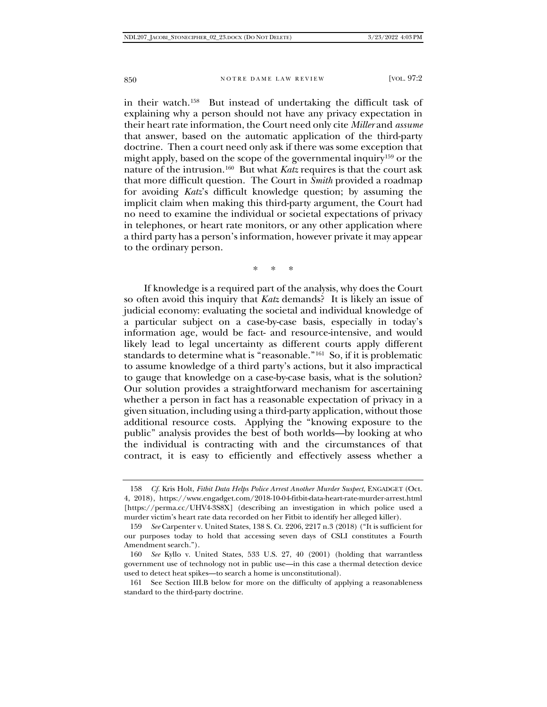in their watch.[158](#page-27-0) But instead of undertaking the difficult task of explaining why a person should not have any privacy expectation in their heart rate information, the Court need only cite *Miller* and *assume* that answer, based on the automatic application of the third-party doctrine. Then a court need only ask if there was some exception that might apply, based on the scope of the governmental inquiry[159](#page-27-1) or the nature of the intrusion.[160](#page-27-2) But what *Katz* requires is that the court ask that more difficult question. The Court in *Smith* provided a roadmap for avoiding *Katz*'s difficult knowledge question; by assuming the implicit claim when making this third-party argument, the Court had no need to examine the individual or societal expectations of privacy in telephones, or heart rate monitors, or any other application where a third party has a person's information, however private it may appear to the ordinary person.

\* \* \*

If knowledge is a required part of the analysis, why does the Court so often avoid this inquiry that *Katz* demands? It is likely an issue of judicial economy: evaluating the societal and individual knowledge of a particular subject on a case-by-case basis, especially in today's information age, would be fact- and resource-intensive, and would likely lead to legal uncertainty as different courts apply different standards to determine what is "reasonable."[161](#page-27-3) So, if it is problematic to assume knowledge of a third party's actions, but it also impractical to gauge that knowledge on a case-by-case basis, what is the solution? Our solution provides a straightforward mechanism for ascertaining whether a person in fact has a reasonable expectation of privacy in a given situation, including using a third-party application, without those additional resource costs. Applying the "knowing exposure to the public" analysis provides the best of both worlds—by looking at who the individual is contracting with and the circumstances of that contract, it is easy to efficiently and effectively assess whether a

<span id="page-27-0"></span><sup>158</sup> *Cf.* Kris Holt, *Fitbit Data Helps Police Arrest Another Murder Suspect*, ENGADGET (Oct. 4, 2018), https://www.engadget.com/2018-10-04-fitbit-data-heart-rate-murder-arrest.html [https://perma.cc/UHV4-3S8X] (describing an investigation in which police used a murder victim's heart rate data recorded on her Fitbit to identify her alleged killer).

<span id="page-27-1"></span><sup>159</sup> *See* Carpenter v. United States, 138 S. Ct. 2206, 2217 n.3 (2018) ("It is sufficient for our purposes today to hold that accessing seven days of CSLI constitutes a Fourth Amendment search.").

<span id="page-27-2"></span><sup>160</sup> *See* Kyllo v. United States, 533 U.S. 27, 40 (2001) (holding that warrantless government use of technology not in public use—in this case a thermal detection device used to detect heat spikes—to search a home is unconstitutional).

<span id="page-27-3"></span><sup>161</sup> See Section III.B below for more on the difficulty of applying a reasonableness standard to the third-party doctrine.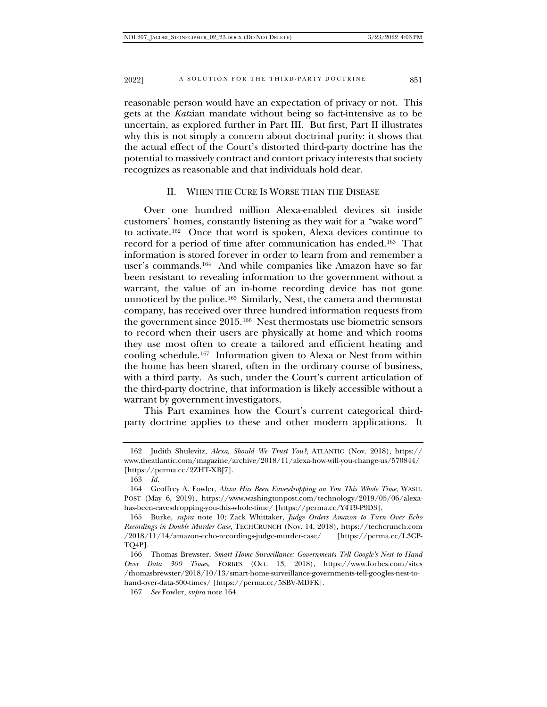reasonable person would have an expectation of privacy or not. This gets at the *Katz*ian mandate without being so fact-intensive as to be uncertain, as explored further in Part III. But first, Part II illustrates why this is not simply a concern about doctrinal purity: it shows that the actual effect of the Court's distorted third-party doctrine has the potential to massively contract and contort privacy interests that society recognizes as reasonable and that individuals hold dear.

#### II. WHEN THE CURE IS WORSE THAN THE DISEASE

Over one hundred million Alexa-enabled devices sit inside customers' homes, constantly listening as they wait for a "wake word" to activate.[162](#page-28-0) Once that word is spoken, Alexa devices continue to record for a period of time after communication has ended[.163](#page-28-1) That information is stored forever in order to learn from and remember a user's commands.[164](#page-28-2) And while companies like Amazon have so far been resistant to revealing information to the government without a warrant, the value of an in-home recording device has not gone unnoticed by the police[.165](#page-28-3) Similarly, Nest, the camera and thermostat company, has received over three hundred information requests from the government since 2015.[166](#page-28-4) Nest thermostats use biometric sensors to record when their users are physically at home and which rooms they use most often to create a tailored and efficient heating and cooling schedule.[167](#page-28-5) Information given to Alexa or Nest from within the home has been shared, often in the ordinary course of business, with a third party. As such, under the Court's current articulation of the third-party doctrine, that information is likely accessible without a warrant by government investigators.

This Part examines how the Court's current categorical thirdparty doctrine applies to these and other modern applications. It

<span id="page-28-0"></span><sup>162</sup> Judith Shulevitz, *Alexa, Should We Trust You?*, ATLANTIC (Nov. 2018), https:// www.theatlantic.com/magazine/archive/2018/11/alexa-how-will-you-change-us/570844/ [https://perma.cc/2ZHT-XBJ7].

<sup>163</sup> *Id.*

<span id="page-28-2"></span><span id="page-28-1"></span><sup>164</sup> Geoffrey A. Fowler, *Alexa Has Been Eavesdropping on You This Whole Time*, WASH. POST (May 6, 2019), https://www.washingtonpost.com/technology/2019/05/06/alexahas-been-eavesdropping-you-this-whole-time/ [https://perma.cc/Y4T9-P9D3].

<span id="page-28-3"></span><sup>165</sup> Burke, *supra* note 10; Zack Whittaker, *Judge Orders Amazon to Turn Over Echo Recordings in Double Murder Case*, TECHCRUNCH (Nov. 14, 2018), https://techcrunch.com /2018/11/14/amazon-echo-recordings-judge-murder-case/ [https://perma.cc/L3CP-TQ4P].

<span id="page-28-5"></span><span id="page-28-4"></span><sup>166</sup> Thomas Brewster, *Smart Home Surveillance: Governments Tell Google's Nest to Hand Over Data 300 Times*, FORBES (Oct. 13, 2018), https://www.forbes.com/sites /thomasbrewster/2018/10/13/smart-home-surveillance-governments-tell-googles-nest-tohand-over-data-300-times/ [https://perma.cc/5SBV-MDFK].

<sup>167</sup> *See* Fowler, *supra* note 164.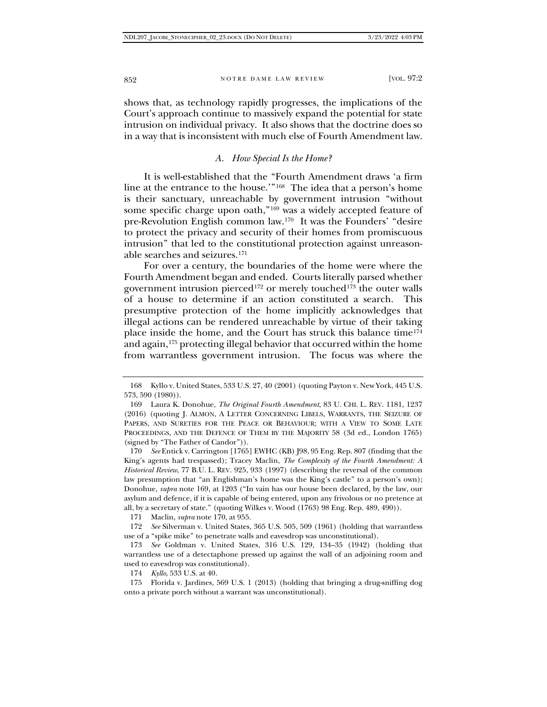shows that, as technology rapidly progresses, the implications of the Court's approach continue to massively expand the potential for state intrusion on individual privacy. It also shows that the doctrine does so in a way that is inconsistent with much else of Fourth Amendment law.

## *A. How Special Is the Home?*

It is well-established that the "Fourth Amendment draws 'a firm line at the entrance to the house.'"[168](#page-29-0) The idea that a person's home is their sanctuary, unreachable by government intrusion "without some specific charge upon oath,"[169](#page-29-1) was a widely accepted feature of pre-Revolution English common law.[170](#page-29-2) It was the Founders' "desire to protect the privacy and security of their homes from promiscuous intrusion" that led to the constitutional protection against unreasonable searches and seizures.[171](#page-29-3)

For over a century, the boundaries of the home were where the Fourth Amendment began and ended. Courts literally parsed whether government intrusion pierced<sup>[172](#page-29-4)</sup> or merely touched<sup>[173](#page-29-5)</sup> the outer walls of a house to determine if an action constituted a search. This presumptive protection of the home implicitly acknowledges that illegal actions can be rendered unreachable by virtue of their taking place inside the home, and the Court has struck this balance time[174](#page-29-6) and again,[175](#page-29-7) protecting illegal behavior that occurred within the home from warrantless government intrusion. The focus was where the

<span id="page-29-2"></span>170 *See* Entick v. Carrington [1765] EWHC (KB) J98, 95 Eng. Rep. 807 (finding that the King's agents had trespassed); Tracey Maclin, *The Complexity of the Fourth Amendment: A Historical Review*, 77 B.U. L. REV. 925, 933 (1997) (describing the reversal of the common law presumption that "an Englishman's home was the King's castle" to a person's own); Donohue, *supra* note 169, at 1203 ("In vain has our house been declared, by the law, our asylum and defence, if it is capable of being entered, upon any frivolous or no pretence at all, by a secretary of state." (quoting Wilkes v. Wood (1763) 98 Eng. Rep. 489, 490)).

171 Maclin, *supra* note 170, at 955.

<span id="page-29-4"></span><span id="page-29-3"></span>172 *See* Silverman v. United States, 365 U.S. 505, 509 (1961) (holding that warrantless use of a "spike mike" to penetrate walls and eavesdrop was unconstitutional).

<span id="page-29-5"></span>173 *See* Goldman v. United States, 316 U.S. 129, 134–35 (1942) (holding that warrantless use of a detectaphone pressed up against the wall of an adjoining room and used to eavesdrop was constitutional).

174 *Kyllo*, 533 U.S. at 40.

<span id="page-29-7"></span><span id="page-29-6"></span>175 Florida v. Jardines, 569 U.S. 1 (2013) (holding that bringing a drug-sniffing dog onto a private porch without a warrant was unconstitutional).

<span id="page-29-0"></span><sup>168</sup> Kyllo v. United States, 533 U.S. 27, 40 (2001) (quoting Payton v. New York, 445 U.S. 573, 590 (1980)).

<span id="page-29-1"></span><sup>169</sup> Laura K. Donohue, *The Original Fourth Amendment*, 83 U. CHI. L. REV. 1181, 1237 (2016) (quoting J. ALMON, A LETTER CONCERNING LIBELS, WARRANTS, THE SEIZURE OF PAPERS, AND SURETIES FOR THE PEACE OR BEHAVIOUR; WITH A VIEW TO SOME LATE PROCEEDINGS, AND THE DEFENCE OF THEM BY THE MAJORITY 58 (3d ed., London 1765) (signed by "The Father of Candor")).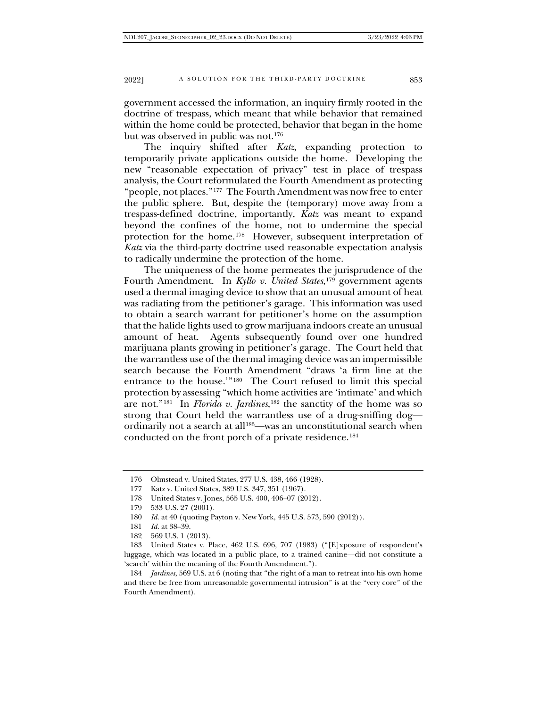government accessed the information, an inquiry firmly rooted in the doctrine of trespass, which meant that while behavior that remained within the home could be protected, behavior that began in the home but was observed in public was not.[176](#page-30-0)

The inquiry shifted after *Katz*, expanding protection to temporarily private applications outside the home. Developing the new "reasonable expectation of privacy" test in place of trespass analysis, the Court reformulated the Fourth Amendment as protecting "people, not places."[177](#page-30-1) The Fourth Amendment was now free to enter the public sphere. But, despite the (temporary) move away from a trespass-defined doctrine, importantly, *Katz* was meant to expand beyond the confines of the home, not to undermine the special protection for the home.[178](#page-30-2) However, subsequent interpretation of *Katz* via the third-party doctrine used reasonable expectation analysis to radically undermine the protection of the home.

The uniqueness of the home permeates the jurisprudence of the Fourth Amendment. In *Kyllo v. United States*,<sup>179</sup> government agents used a thermal imaging device to show that an unusual amount of heat was radiating from the petitioner's garage. This information was used to obtain a search warrant for petitioner's home on the assumption that the halide lights used to grow marijuana indoors create an unusual amount of heat. Agents subsequently found over one hundred marijuana plants growing in petitioner's garage. The Court held that the warrantless use of the thermal imaging device was an impermissible search because the Fourth Amendment "draws 'a firm line at the entrance to the house.'"[180](#page-30-4) The Court refused to limit this special protection by assessing "which home activities are 'intimate' and which are not."[181](#page-30-5) In *Florida v. Jardines*[,182](#page-30-6) the sanctity of the home was so strong that Court held the warrantless use of a drug-sniffing dog ordinarily not a search at all<sup>183</sup>—was an unconstitutional search when conducted on the front porch of a private residence.[184](#page-30-8)

<span id="page-30-7"></span><span id="page-30-6"></span><span id="page-30-5"></span><span id="page-30-4"></span>183 United States v. Place, 462 U.S. 696, 707 (1983) ("[E]xposure of respondent's luggage, which was located in a public place, to a trained canine—did not constitute a 'search' within the meaning of the Fourth Amendment.").

<span id="page-30-8"></span>184 *Jardines*, 569 U.S. at 6 (noting that "the right of a man to retreat into his own home and there be free from unreasonable governmental intrusion" is at the "very core" of the Fourth Amendment).

<span id="page-30-0"></span><sup>176</sup> Olmstead v. United States, 277 U.S. 438, 466 (1928).

<span id="page-30-1"></span><sup>177</sup> Katz v. United States, 389 U.S. 347, 351 (1967).

<span id="page-30-2"></span><sup>178</sup> United States v. Jones, 565 U.S. 400, 406–07 (2012).

<span id="page-30-3"></span><sup>179</sup> 533 U.S. 27 (2001).

<sup>180</sup> *Id.* at 40 (quoting Payton v. New York, 445 U.S. 573, 590 (2012)).

<sup>181</sup> *Id.* at 38–39.

<sup>182</sup> 569 U.S. 1 (2013).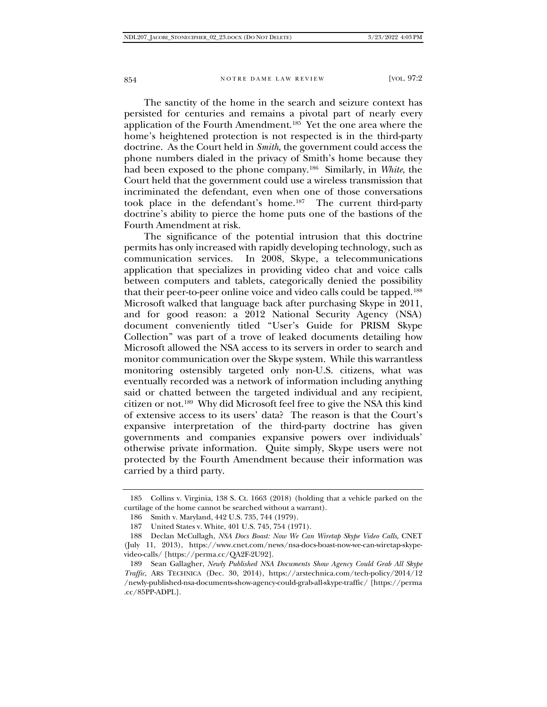The sanctity of the home in the search and seizure context has persisted for centuries and remains a pivotal part of nearly every application of the Fourth Amendment.[185](#page-31-0) Yet the one area where the home's heightened protection is not respected is in the third-party doctrine. As the Court held in *Smith*, the government could access the phone numbers dialed in the privacy of Smith's home because they had been exposed to the phone company.[186](#page-31-1) Similarly, in *White*, the Court held that the government could use a wireless transmission that incriminated the defendant, even when one of those conversations took place in the defendant's home[.187](#page-31-2) The current third-party doctrine's ability to pierce the home puts one of the bastions of the Fourth Amendment at risk.

The significance of the potential intrusion that this doctrine permits has only increased with rapidly developing technology, such as communication services. In 2008, Skype, a telecommunications application that specializes in providing video chat and voice calls between computers and tablets, categorically denied the possibility that their peer-to-peer online voice and video calls could be tapped.[188](#page-31-3) Microsoft walked that language back after purchasing Skype in 2011, and for good reason: a 2012 National Security Agency (NSA) document conveniently titled "User's Guide for PRISM Skype Collection" was part of a trove of leaked documents detailing how Microsoft allowed the NSA access to its servers in order to search and monitor communication over the Skype system. While this warrantless monitoring ostensibly targeted only non-U.S. citizens, what was eventually recorded was a network of information including anything said or chatted between the targeted individual and any recipient, citizen or not.[189](#page-31-4) Why did Microsoft feel free to give the NSA this kind of extensive access to its users' data? The reason is that the Court's expansive interpretation of the third-party doctrine has given governments and companies expansive powers over individuals' otherwise private information. Quite simply, Skype users were not protected by the Fourth Amendment because their information was carried by a third party.

<span id="page-31-0"></span><sup>185</sup> Collins v. Virginia, 138 S. Ct. 1663 (2018) (holding that a vehicle parked on the curtilage of the home cannot be searched without a warrant).

<sup>186</sup> Smith v. Maryland, 442 U.S. 735, 744 (1979).

<sup>187</sup> United States v. White, 401 U.S. 745, 754 (1971).

<span id="page-31-3"></span><span id="page-31-2"></span><span id="page-31-1"></span><sup>188</sup> Declan McCullagh, *NSA Docs Boast: Now We Can Wiretap Skype Video Calls*, CNET (July 11, 2013), https://www.cnet.com/news/nsa-docs-boast-now-we-can-wiretap-skypevideo-calls/ [https://perma.cc/QA2F-2U92].

<span id="page-31-4"></span><sup>189</sup> Sean Gallagher, *Newly Published NSA Documents Show Agency Could Grab All Skype Traffic*, ARS TECHNICA (Dec. 30, 2014), https://arstechnica.com/tech-policy/2014/12 /newly-published-nsa-documents-show-agency-could-grab-all-skype-traffic/ [https://perma .cc/85PP-ADPL].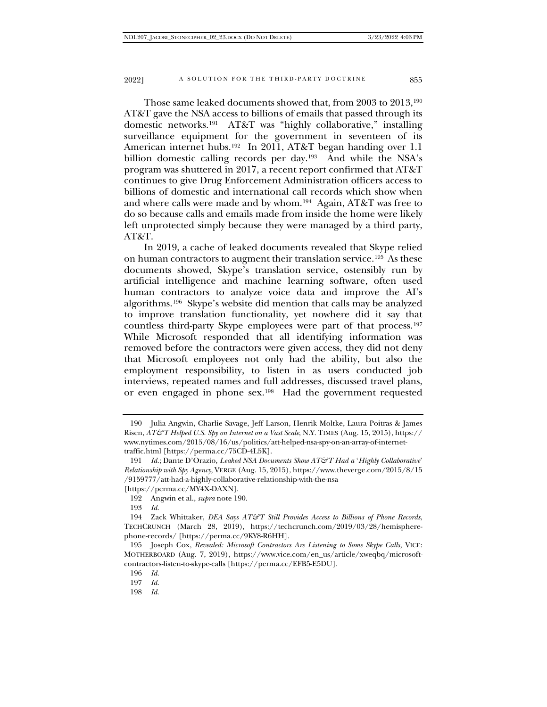Those same leaked documents showed that, from 2003 to 2013,[190](#page-32-0) AT&T gave the NSA access to billions of emails that passed through its domestic networks.[191](#page-32-1) AT&T was "highly collaborative," installing surveillance equipment for the government in seventeen of its American internet hubs.<sup>192</sup> In 2011, AT&T began handing over 1.1 billion domestic calling records per day[.193](#page-32-3) And while the NSA's program was shuttered in 2017, a recent report confirmed that AT&T continues to give Drug Enforcement Administration officers access to billions of domestic and international call records which show when and where calls were made and by whom.[194](#page-32-4) Again, AT&T was free to do so because calls and emails made from inside the home were likely left unprotected simply because they were managed by a third party, AT&T.

In 2019, a cache of leaked documents revealed that Skype relied on human contractors to augment their translation service.[195](#page-32-5) As these documents showed, Skype's translation service, ostensibly run by artificial intelligence and machine learning software, often used human contractors to analyze voice data and improve the AI's algorithms.[196](#page-32-6) Skype's website did mention that calls may be analyzed to improve translation functionality, yet nowhere did it say that countless third-party Skype employees were part of that process.[197](#page-32-7) While Microsoft responded that all identifying information was removed before the contractors were given access, they did not deny that Microsoft employees not only had the ability, but also the employment responsibility, to listen in as users conducted job interviews, repeated names and full addresses, discussed travel plans, or even engaged in phone sex.[198](#page-32-8) Had the government requested

<span id="page-32-0"></span><sup>190</sup> Julia Angwin, Charlie Savage, Jeff Larson, Henrik Moltke, Laura Poitras & James Risen, *AT&T Helped U.S. Spy on Internet on a Vast Scale*, N.Y. TIMES (Aug. 15, 2015), https:// www.nytimes.com/2015/08/16/us/politics/att-helped-nsa-spy-on-an-array-of-internettraffic.html [https://perma.cc/75CD-4L5K].

<span id="page-32-1"></span><sup>191</sup> *Id.*; Dante D'Orazio, *Leaked NSA Documents Show AT&T Had a* '*Highly Collaborative*' *Relationship with Spy Agency*, VERGE (Aug. 15, 2015), https://www.theverge.com/2015/8/15 /9159777/att-had-a-highly-collaborative-relationship-with-the-nsa

<sup>[</sup>https://perma.cc/MY4X-DAXN].

<sup>192</sup> Angwin et al., *supra* note 190.

<sup>193</sup> *Id.*

<span id="page-32-4"></span><span id="page-32-3"></span><span id="page-32-2"></span><sup>194</sup> Zack Whittaker, *DEA Says AT&T Still Provides Access to Billions of Phone Records*, TECHCRUNCH (March 28, 2019), https://techcrunch.com/2019/03/28/hemispherephone-records/ [https://perma.cc/9KY8-R6HH].

<span id="page-32-7"></span><span id="page-32-6"></span><span id="page-32-5"></span><sup>195</sup> Joseph Cox, *Revealed: Microsoft Contractors Are Listening to Some Skype Calls*, VICE: MOTHERBOARD (Aug. 7, 2019), https://www.vice.com/en\_us/article/xweqbq/microsoftcontractors-listen-to-skype-calls [https://perma.cc/EFB5-E5DU].

<sup>196</sup> *Id.*

<sup>197</sup> *Id.*

<span id="page-32-8"></span><sup>198</sup> *Id.*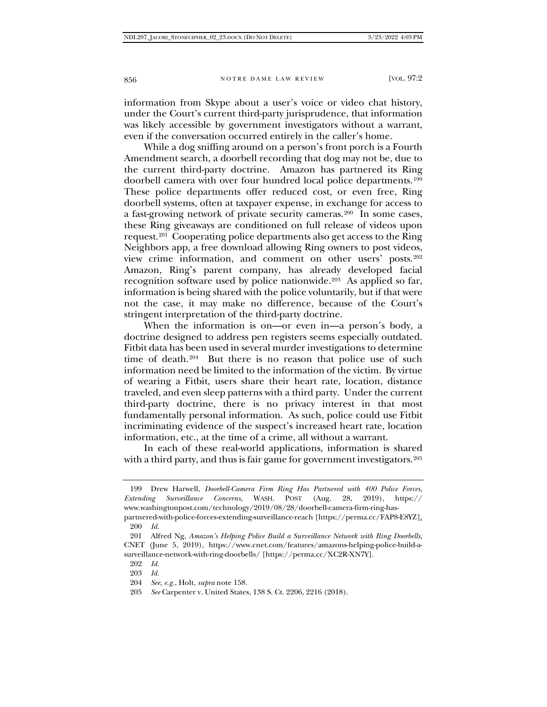information from Skype about a user's voice or video chat history, under the Court's current third-party jurisprudence, that information was likely accessible by government investigators without a warrant, even if the conversation occurred entirely in the caller's home.

While a dog sniffing around on a person's front porch is a Fourth Amendment search, a doorbell recording that dog may not be, due to the current third-party doctrine. Amazon has partnered its Ring doorbell camera with over four hundred local police departments.[199](#page-33-0) These police departments offer reduced cost, or even free, Ring doorbell systems, often at taxpayer expense, in exchange for access to a fast-growing network of private security cameras.<sup>200</sup> In some cases, these Ring giveaways are conditioned on full release of videos upon request.<sup>[201](#page-33-2)</sup> Cooperating police departments also get access to the Ring Neighbors app, a free download allowing Ring owners to post videos, view crime information, and comment on other users' posts.[202](#page-33-3) Amazon, Ring's parent company, has already developed facial recognition software used by police nationwide.[203](#page-33-4) As applied so far, information is being shared with the police voluntarily, but if that were not the case, it may make no difference, because of the Court's stringent interpretation of the third-party doctrine.

When the information is on—or even in—a person's body, a doctrine designed to address pen registers seems especially outdated. Fitbit data has been used in several murder investigations to determine time of death.<sup>[204](#page-33-5)</sup> But there is no reason that police use of such information need be limited to the information of the victim. By virtue of wearing a Fitbit, users share their heart rate, location, distance traveled, and even sleep patterns with a third party. Under the current third-party doctrine, there is no privacy interest in that most fundamentally personal information. As such, police could use Fitbit incriminating evidence of the suspect's increased heart rate, location information, etc., at the time of a crime, all without a warrant.

In each of these real-world applications, information is shared with a third party, and thus is fair game for government investigators.<sup>[205](#page-33-6)</sup>

<span id="page-33-0"></span><sup>199</sup> Drew Harwell, *Doorbell-Camera Firm Ring Has Partnered with 400 Police Forces, Extending Surveillance Concerns*, WASH. POST (Aug. 28, 2019), https:// www.washingtonpost.com/technology/2019/08/28/doorbell-camera-firm-ring-has-

partnered-with-police-forces-extending-surveillance-reach [https://perma.cc/FAP8-E8YZ]. 200 *Id.*

<span id="page-33-4"></span><span id="page-33-3"></span><span id="page-33-2"></span><span id="page-33-1"></span><sup>201</sup> Alfred Ng, *Amazon's Helping Police Build a Surveillance Network with Ring Doorbells*, CNET (June 5, 2019), https://www.cnet.com/features/amazons-helping-police-build-asurveillance-network-with-ring-doorbells/ [https://perma.cc/XC2R-XN7Y].

<sup>202</sup> *Id.*

<span id="page-33-5"></span><sup>203</sup> *Id.*

<sup>204</sup> *See, e.g.*, Holt, *supra* note 158.

<span id="page-33-6"></span><sup>205</sup> *See* Carpenter v. United States, 138 S. Ct. 2206, 2216 (2018).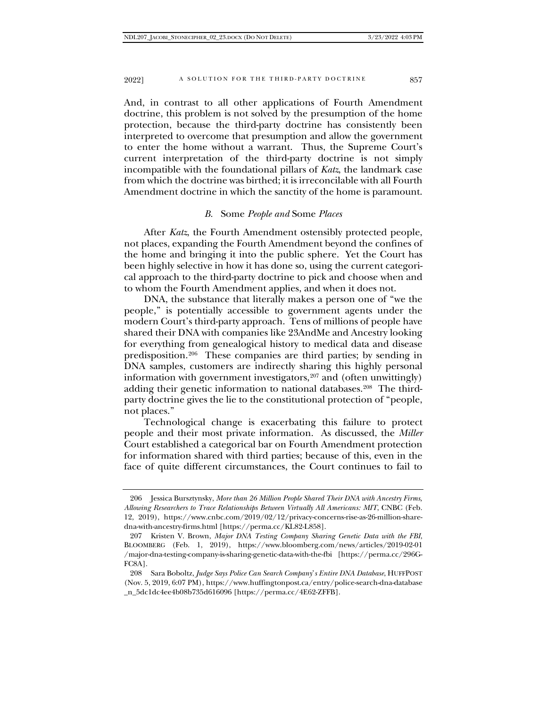And, in contrast to all other applications of Fourth Amendment doctrine, this problem is not solved by the presumption of the home protection, because the third-party doctrine has consistently been interpreted to overcome that presumption and allow the government to enter the home without a warrant. Thus, the Supreme Court's current interpretation of the third-party doctrine is not simply incompatible with the foundational pillars of *Katz*, the landmark case from which the doctrine was birthed; it is irreconcilable with all Fourth Amendment doctrine in which the sanctity of the home is paramount.

#### *B.* Some *People and* Some *Places*

After *Katz*, the Fourth Amendment ostensibly protected people, not places, expanding the Fourth Amendment beyond the confines of the home and bringing it into the public sphere. Yet the Court has been highly selective in how it has done so, using the current categorical approach to the third-party doctrine to pick and choose when and to whom the Fourth Amendment applies, and when it does not.

DNA, the substance that literally makes a person one of "we the people," is potentially accessible to government agents under the modern Court's third-party approach. Tens of millions of people have shared their DNA with companies like 23AndMe and Ancestry looking for everything from genealogical history to medical data and disease predisposition.[206](#page-34-0) These companies are third parties; by sending in DNA samples, customers are indirectly sharing this highly personal information with government investigators,<sup>[207](#page-34-1)</sup> and (often unwittingly) adding their genetic information to national databases.<sup>[208](#page-34-2)</sup> The thirdparty doctrine gives the lie to the constitutional protection of "people, not places."

Technological change is exacerbating this failure to protect people and their most private information. As discussed, the *Miller*  Court established a categorical bar on Fourth Amendment protection for information shared with third parties; because of this, even in the face of quite different circumstances, the Court continues to fail to

<span id="page-34-0"></span><sup>206</sup> Jessica Bursztynsky, *More than 26 Million People Shared Their DNA with Ancestry Firms, Allowing Researchers to Trace Relationships Between Virtually All Americans: MIT*, CNBC (Feb. 12, 2019), https://www.cnbc.com/2019/02/12/privacy-concerns-rise-as-26-million-sharedna-with-ancestry-firms.html [https://perma.cc/KL82-L858].

<span id="page-34-1"></span><sup>207</sup> Kristen V. Brown, *Major DNA Testing Company Sharing Genetic Data with the FBI*, BLOOMBERG (Feb. 1, 2019), https://www.bloomberg.com/news/articles/2019-02-01 /major-dna-testing-company-is-sharing-genetic-data-with-the-fbi [https://perma.cc/296G-FC8A].

<span id="page-34-2"></span><sup>208</sup> Sara Boboltz, *Judge Says Police Can Search Company*'*s Entire DNA Database*, HUFFPOST (Nov. 5, 2019, 6:07 PM), https://www.huffingtonpost.ca/entry/police-search-dna-database \_n\_5dc1dc4ee4b08b735d616096 [https://perma.cc/4E62-ZFFB].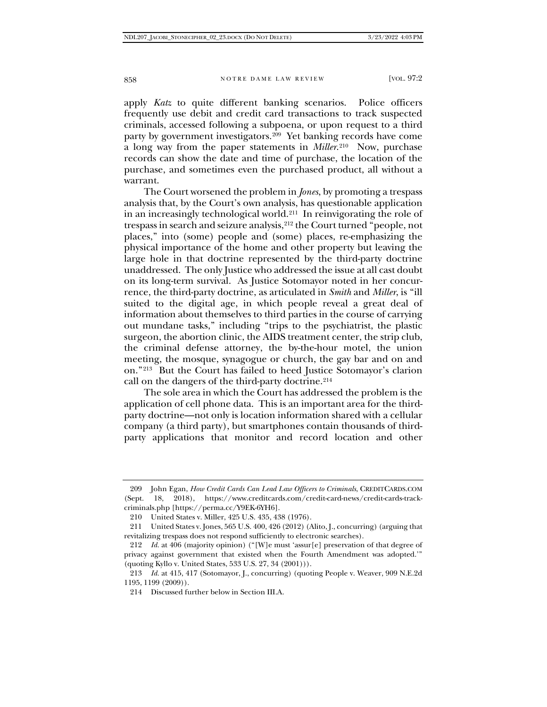apply *Katz* to quite different banking scenarios. Police officers frequently use debit and credit card transactions to track suspected criminals, accessed following a subpoena, or upon request to a third party by government investigators.<sup>[209](#page-35-0)</sup> Yet banking records have come a long way from the paper statements in *Miller*.[210](#page-35-1) Now, purchase records can show the date and time of purchase, the location of the purchase, and sometimes even the purchased product, all without a warrant.

The Court worsened the problem in *Jones*, by promoting a trespass analysis that, by the Court's own analysis, has questionable application in an increasingly technological world.[211](#page-35-2) In reinvigorating the role of trespass in search and seizure analysis,[212](#page-35-3) the Court turned "people, not places," into (some) people and (some) places, re-emphasizing the physical importance of the home and other property but leaving the large hole in that doctrine represented by the third-party doctrine unaddressed. The only Justice who addressed the issue at all cast doubt on its long-term survival. As Justice Sotomayor noted in her concurrence, the third-party doctrine, as articulated in *Smith* and *Miller*, is "ill suited to the digital age, in which people reveal a great deal of information about themselves to third parties in the course of carrying out mundane tasks," including "trips to the psychiatrist, the plastic surgeon, the abortion clinic, the AIDS treatment center, the strip club, the criminal defense attorney, the by-the-hour motel, the union meeting, the mosque, synagogue or church, the gay bar and on and on."[213](#page-35-4) But the Court has failed to heed Justice Sotomayor's clarion call on the dangers of the third-party doctrine.<sup>[214](#page-35-5)</sup>

The sole area in which the Court has addressed the problem is the application of cell phone data. This is an important area for the thirdparty doctrine—not only is location information shared with a cellular company (a third party), but smartphones contain thousands of thirdparty applications that monitor and record location and other

<span id="page-35-0"></span><sup>209</sup> John Egan, *How Credit Cards Can Lead Law Officers to Criminals*, CREDITCARDS.COM (Sept. 18, 2018), https://www.creditcards.com/credit-card-news/credit-cards-trackcriminals.php [https://perma.cc/Y9EK-6YH6].

<sup>210</sup> United States v. Miller, 425 U.S. 435, 438 (1976).

<span id="page-35-2"></span><span id="page-35-1"></span><sup>211</sup> United States v. Jones, 565 U.S. 400, 426 (2012) (Alito, J., concurring) (arguing that revitalizing trespass does not respond sufficiently to electronic searches).

<span id="page-35-3"></span><sup>212</sup> *Id.* at 406 (majority opinion) ("[W]e must 'assur[e] preservation of that degree of privacy against government that existed when the Fourth Amendment was adopted.'" (quoting Kyllo v. United States, 533 U.S. 27, 34 (2001))).

<span id="page-35-5"></span><span id="page-35-4"></span><sup>213</sup> *Id.* at 415, 417 (Sotomayor, J., concurring) (quoting People v. Weaver, 909 N.E.2d 1195, 1199 (2009)).

<sup>214</sup> Discussed further below in Section III.A.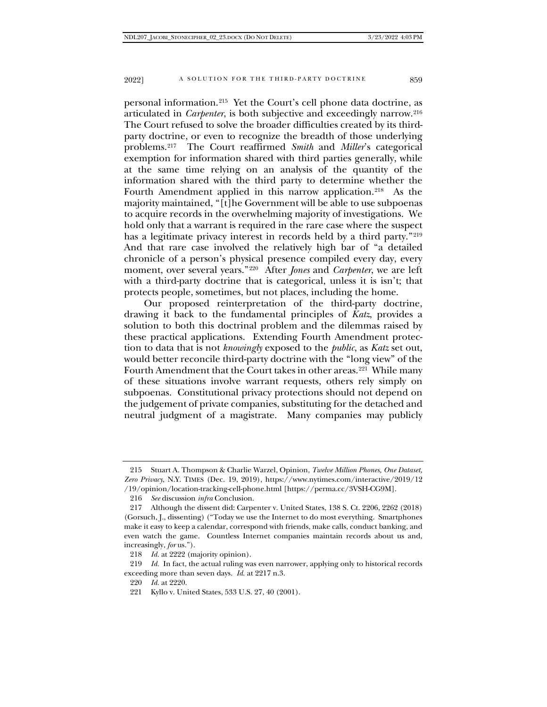personal information.[215](#page-36-0) Yet the Court's cell phone data doctrine, as articulated in *Carpenter*, is both subjective and exceedingly narrow.[216](#page-36-1) The Court refused to solve the broader difficulties created by its thirdparty doctrine, or even to recognize the breadth of those underlying problems.[217](#page-36-2) The Court reaffirmed *Smith* and *Miller*'s categorical exemption for information shared with third parties generally, while at the same time relying on an analysis of the quantity of the information shared with the third party to determine whether the Fourth Amendment applied in this narrow application.<sup>218</sup> As the majority maintained, "[t]he Government will be able to use subpoenas to acquire records in the overwhelming majority of investigations. We hold only that a warrant is required in the rare case where the suspect has a legitimate privacy interest in records held by a third party."[219](#page-36-4) And that rare case involved the relatively high bar of "a detailed chronicle of a person's physical presence compiled every day, every moment, over several years."[220](#page-36-5) After *Jones* and *Carpenter*, we are left with a third-party doctrine that is categorical, unless it is isn't; that protects people, sometimes, but not places, including the home.

Our proposed reinterpretation of the third-party doctrine, drawing it back to the fundamental principles of *Katz*, provides a solution to both this doctrinal problem and the dilemmas raised by these practical applications. Extending Fourth Amendment protection to data that is not *knowingly* exposed to the *public*, as *Katz* set out, would better reconcile third-party doctrine with the "long view" of the Fourth Amendment that the Court takes in other areas.<sup>[221](#page-36-6)</sup> While many of these situations involve warrant requests, others rely simply on subpoenas. Constitutional privacy protections should not depend on the judgement of private companies, substituting for the detached and neutral judgment of a magistrate. Many companies may publicly

<span id="page-36-0"></span><sup>215</sup> Stuart A. Thompson & Charlie Warzel, Opinion, *Twelve Million Phones, One Dataset, Zero Privacy*, N.Y. TIMES (Dec. 19, 2019), https://www.nytimes.com/interactive/2019/12 /19/opinion/location-tracking-cell-phone.html [https://perma.cc/3VSH-CG9M].

<sup>216</sup> *See* discussion *infra* Conclusion.

<span id="page-36-2"></span><span id="page-36-1"></span><sup>217</sup> Although the dissent did: Carpenter v. United States, 138 S. Ct. 2206, 2262 (2018) (Gorsuch, J., dissenting) ("Today we use the Internet to do most everything. Smartphones make it easy to keep a calendar, correspond with friends, make calls, conduct banking, and even watch the game. Countless Internet companies maintain records about us and, increasingly, *for* us.").

<sup>218</sup> *Id.* at 2222 (majority opinion).

<span id="page-36-6"></span><span id="page-36-5"></span><span id="page-36-4"></span><span id="page-36-3"></span><sup>219</sup> *Id.* In fact, the actual ruling was even narrower, applying only to historical records exceeding more than seven days. *Id.* at 2217 n.3.

<sup>220</sup> *Id.* at 2220.

<sup>221</sup> Kyllo v. United States, 533 U.S. 27, 40 (2001).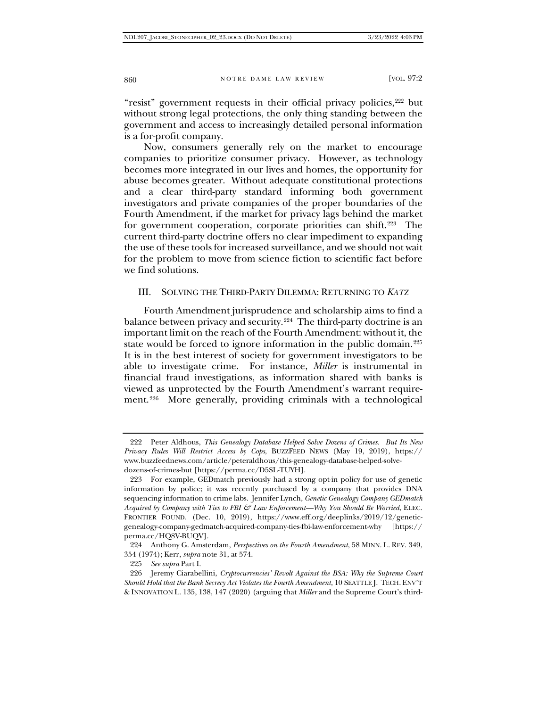"resist" government requests in their official privacy policies,<sup>[222](#page-37-0)</sup> but without strong legal protections, the only thing standing between the government and access to increasingly detailed personal information is a for-profit company.

Now, consumers generally rely on the market to encourage companies to prioritize consumer privacy. However, as technology becomes more integrated in our lives and homes, the opportunity for abuse becomes greater. Without adequate constitutional protections and a clear third-party standard informing both government investigators and private companies of the proper boundaries of the Fourth Amendment, if the market for privacy lags behind the market for government cooperation, corporate priorities can shift.[223](#page-37-1) The current third-party doctrine offers no clear impediment to expanding the use of these tools for increased surveillance, and we should not wait for the problem to move from science fiction to scientific fact before we find solutions.

#### III. SOLVING THE THIRD-PARTY DILEMMA: RETURNING TO *KATZ*

Fourth Amendment jurisprudence and scholarship aims to find a balance between privacy and security.<sup>[224](#page-37-2)</sup> The third-party doctrine is an important limit on the reach of the Fourth Amendment: without it, the state would be forced to ignore information in the public domain.[225](#page-37-3) It is in the best interest of society for government investigators to be able to investigate crime. For instance, *Miller* is instrumental in financial fraud investigations, as information shared with banks is viewed as unprotected by the Fourth Amendment's warrant requirement.<sup>226</sup> More generally, providing criminals with a technological

<span id="page-37-0"></span><sup>222</sup> Peter Aldhous, *This Genealogy Database Helped Solve Dozens of Crimes. But Its New Privacy Rules Will Restrict Access by Cops*, BUZZFEED NEWS (May 19, 2019), https:// www.buzzfeednews.com/article/peteraldhous/this-genealogy-database-helped-solvedozens-of-crimes-but [https://perma.cc/D5SL-TUYH].

<span id="page-37-1"></span><sup>223</sup> For example, GEDmatch previously had a strong opt-in policy for use of genetic information by police; it was recently purchased by a company that provides DNA sequencing information to crime labs. Jennifer Lynch, *Genetic Genealogy Company GEDmatch Acquired by Company with Ties to FBI & Law Enforcement—Why You Should Be Worried*, ELEC. FRONTIER FOUND. (Dec. 10, 2019), https://www.eff.org/deeplinks/2019/12/geneticgenealogy-company-gedmatch-acquired-company-ties-fbi-law-enforcement-why [https:// perma.cc/HQ8V-BUQV].

<span id="page-37-2"></span><sup>224</sup> Anthony G. Amsterdam, *Perspectives on the Fourth Amendment*, 58 MINN. L. REV. 349, 354 (1974); Kerr, *supra* note 31, at 574.

<sup>225</sup> *See supra* Part I.

<span id="page-37-4"></span><span id="page-37-3"></span><sup>226</sup> Jeremy Ciarabellini, *Cryptocurrencies' Revolt Against the BSA: Why the Supreme Court Should Hold that the Bank Secrecy Act Violates the Fourth Amendment*, 10 SEATTLE J. TECH. ENV'T & INNOVATION L. 135, 138, 147 (2020) (arguing that *Miller* and the Supreme Court's third-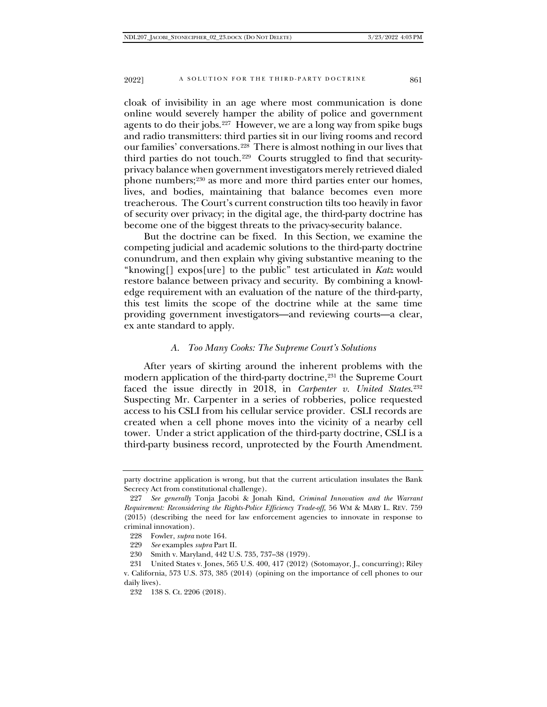cloak of invisibility in an age where most communication is done online would severely hamper the ability of police and government agents to do their jobs.<sup>227</sup> However, we are a long way from spike bugs and radio transmitters: third parties sit in our living rooms and record our families' conversations.[228](#page-38-1) There is almost nothing in our lives that third parties do not touch.[229](#page-38-2) Courts struggled to find that securityprivacy balance when government investigators merely retrieved dialed phone numbers;<sup>[230](#page-38-3)</sup> as more and more third parties enter our homes, lives, and bodies, maintaining that balance becomes even more treacherous. The Court's current construction tilts too heavily in favor of security over privacy; in the digital age, the third-party doctrine has become one of the biggest threats to the privacy-security balance.

But the doctrine can be fixed. In this Section, we examine the competing judicial and academic solutions to the third-party doctrine conundrum, and then explain why giving substantive meaning to the "knowing[] expos[ure] to the public" test articulated in *Katz* would restore balance between privacy and security. By combining a knowledge requirement with an evaluation of the nature of the third-party, this test limits the scope of the doctrine while at the same time providing government investigators—and reviewing courts—a clear, ex ante standard to apply.

# *A. Too Many Cooks: The Supreme Court's Solutions*

After years of skirting around the inherent problems with the modern application of the third-party doctrine,<sup>[231](#page-38-4)</sup> the Supreme Court faced the issue directly in 2018, in *Carpenter v. United States.*<sup>[232](#page-38-5)</sup> Suspecting Mr. Carpenter in a series of robberies, police requested access to his CSLI from his cellular service provider. CSLI records are created when a cell phone moves into the vicinity of a nearby cell tower. Under a strict application of the third-party doctrine, CSLI is a third-party business record, unprotected by the Fourth Amendment.

230 Smith v. Maryland, 442 U.S. 735, 737–38 (1979).

party doctrine application is wrong, but that the current articulation insulates the Bank Secrecy Act from constitutional challenge).

<span id="page-38-0"></span><sup>227</sup> *See generally* Tonja Jacobi & Jonah Kind, *Criminal Innovation and the Warrant Requirement: Reconsidering the Rights-Police Efficiency Trade-off,* 56 WM & MARY L. REV. 759 (2015) (describing the need for law enforcement agencies to innovate in response to criminal innovation).

<sup>228</sup> Fowler, *supra* note 164.

<sup>229</sup> *See* examples *supra* Part II.

<span id="page-38-5"></span><span id="page-38-4"></span><span id="page-38-3"></span><span id="page-38-2"></span><span id="page-38-1"></span><sup>231</sup> United States v. Jones, 565 U.S. 400, 417 (2012) (Sotomayor, J., concurring); Riley v. California, 573 U.S. 373, 385 (2014) (opining on the importance of cell phones to our daily lives).

<sup>232</sup> 138 S. Ct. 2206 (2018).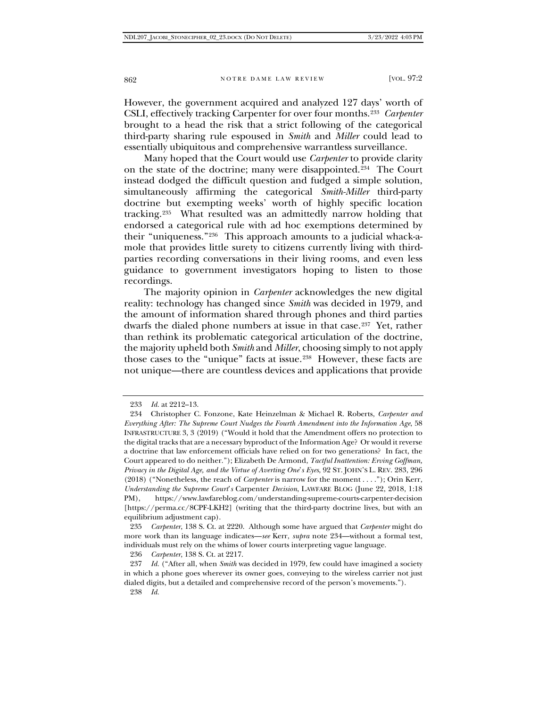However, the government acquired and analyzed 127 days' worth of CSLI, effectively tracking Carpenter for over four months.<sup>[233](#page-39-0)</sup> *Carpenter* brought to a head the risk that a strict following of the categorical third-party sharing rule espoused in *Smith* and *Miller* could lead to essentially ubiquitous and comprehensive warrantless surveillance.

Many hoped that the Court would use *Carpenter* to provide clarity on the state of the doctrine; many were disappointed.[234](#page-39-1) The Court instead dodged the difficult question and fudged a simple solution, simultaneously affirming the categorical *Smith-Miller* third-party doctrine but exempting weeks' worth of highly specific location tracking.[235](#page-39-2) What resulted was an admittedly narrow holding that endorsed a categorical rule with ad hoc exemptions determined by their "uniqueness."[236](#page-39-3) This approach amounts to a judicial whack-amole that provides little surety to citizens currently living with thirdparties recording conversations in their living rooms, and even less guidance to government investigators hoping to listen to those recordings.

The majority opinion in *Carpenter* acknowledges the new digital reality: technology has changed since *Smith* was decided in 1979, and the amount of information shared through phones and third parties dwarfs the dialed phone numbers at issue in that case.[237](#page-39-4) Yet, rather than rethink its problematic categorical articulation of the doctrine, the majority upheld both *Smith* and *Miller*, choosing simply to not apply those cases to the "unique" facts at issue.[238](#page-39-5) However, these facts are not unique—there are countless devices and applications that provide

<span id="page-39-2"></span>235 *Carpenter*, 138 S. Ct. at 2220. Although some have argued that *Carpenter* might do more work than its language indicates—*see* Kerr, *supra* note 234—without a formal test, individuals must rely on the whims of lower courts interpreting vague language.

236 *Carpenter*, 138 S. Ct. at 2217.

<span id="page-39-5"></span><span id="page-39-4"></span><span id="page-39-3"></span>237 *Id.* ("After all, when *Smith* was decided in 1979, few could have imagined a society in which a phone goes wherever its owner goes, conveying to the wireless carrier not just dialed digits, but a detailed and comprehensive record of the person's movements.").

238 *Id.*

<sup>233</sup> *Id.* at 2212–13.

<span id="page-39-1"></span><span id="page-39-0"></span><sup>234</sup> Christopher C. Fonzone, Kate Heinzelman & Michael R. Roberts, *Carpenter and Everything After: The Supreme Court Nudges the Fourth Amendment into the Information Age*, 58 INFRASTRUCTURE 3, 3 (2019) ("Would it hold that the Amendment offers no protection to the digital tracks that are a necessary byproduct of the Information Age? Or would it reverse a doctrine that law enforcement officials have relied on for two generations? In fact, the Court appeared to do neither."); Elizabeth De Armond, *Tactful Inattention: Erving Goffman, Privacy in the Digital Age, and the Virtue of Averting One*'*s Eyes*, 92 ST. JOHN'S L. REV. 283, 296 (2018) ("Nonetheless, the reach of *Carpenter* is narrow for the moment . . . ."); Orin Kerr, *Understanding the Supreme Court*'*s* Carpenter *Decision*, LAWFARE BLOG (June 22, 2018, 1:18 PM), https://www.lawfareblog.com/understanding-supreme-courts-carpenter-decision [https://perma.cc/8CPF-LKH2] (writing that the third-party doctrine lives, but with an equilibrium adjustment cap).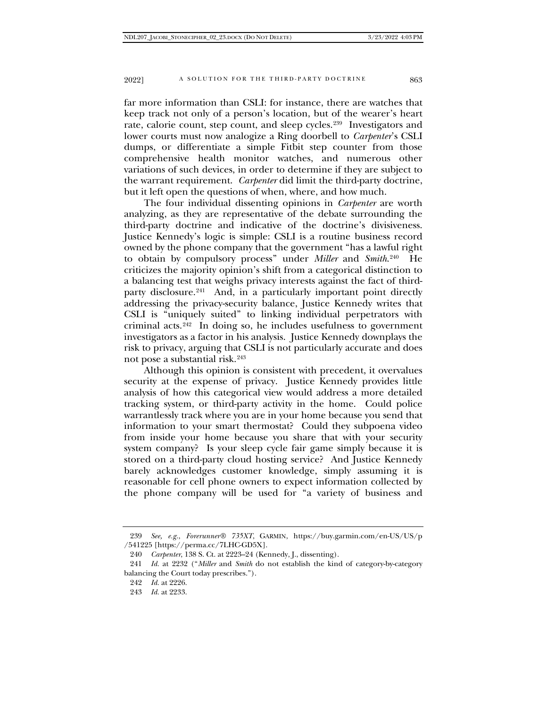far more information than CSLI: for instance, there are watches that keep track not only of a person's location, but of the wearer's heart rate, calorie count, step count, and sleep cycles[.239](#page-40-0) Investigators and lower courts must now analogize a Ring doorbell to *Carpenter*'s CSLI dumps, or differentiate a simple Fitbit step counter from those comprehensive health monitor watches, and numerous other variations of such devices, in order to determine if they are subject to the warrant requirement. *Carpenter* did limit the third-party doctrine, but it left open the questions of when, where, and how much.

The four individual dissenting opinions in *Carpenter* are worth analyzing, as they are representative of the debate surrounding the third-party doctrine and indicative of the doctrine's divisiveness. Justice Kennedy's logic is simple: CSLI is a routine business record owned by the phone company that the government "has a lawful right to obtain by compulsory process" under *Miller* and *Smith*.[240](#page-40-1) He criticizes the majority opinion's shift from a categorical distinction to a balancing test that weighs privacy interests against the fact of third-party disclosure.<sup>[241](#page-40-2)</sup> And, in a particularly important point directly addressing the privacy-security balance, Justice Kennedy writes that CSLI is "uniquely suited" to linking individual perpetrators with criminal acts.<sup>242</sup> In doing so, he includes usefulness to government investigators as a factor in his analysis. Justice Kennedy downplays the risk to privacy, arguing that CSLI is not particularly accurate and does not pose a substantial risk.[243](#page-40-4)

Although this opinion is consistent with precedent, it overvalues security at the expense of privacy. Justice Kennedy provides little analysis of how this categorical view would address a more detailed tracking system, or third-party activity in the home. Could police warrantlessly track where you are in your home because you send that information to your smart thermostat? Could they subpoena video from inside your home because you share that with your security system company? Is your sleep cycle fair game simply because it is stored on a third-party cloud hosting service? And Justice Kennedy barely acknowledges customer knowledge, simply assuming it is reasonable for cell phone owners to expect information collected by the phone company will be used for "a variety of business and

<span id="page-40-0"></span><sup>239</sup> *See, e.g.*, *Forerunner® 735XT*, GARMIN, https://buy.garmin.com/en-US/US/p /541225 [https://perma.cc/7LHC-GD5X].

<sup>240</sup> *Carpenter*, 138 S. Ct. at 2223–24 (Kennedy, J., dissenting).

<span id="page-40-4"></span><span id="page-40-3"></span><span id="page-40-2"></span><span id="page-40-1"></span><sup>241</sup> *Id.* at 2232 ("*Miller* and *Smith* do not establish the kind of category-by-category balancing the Court today prescribes.").

<sup>242</sup> *Id.* at 2226.

<sup>243</sup> *Id.* at 2233.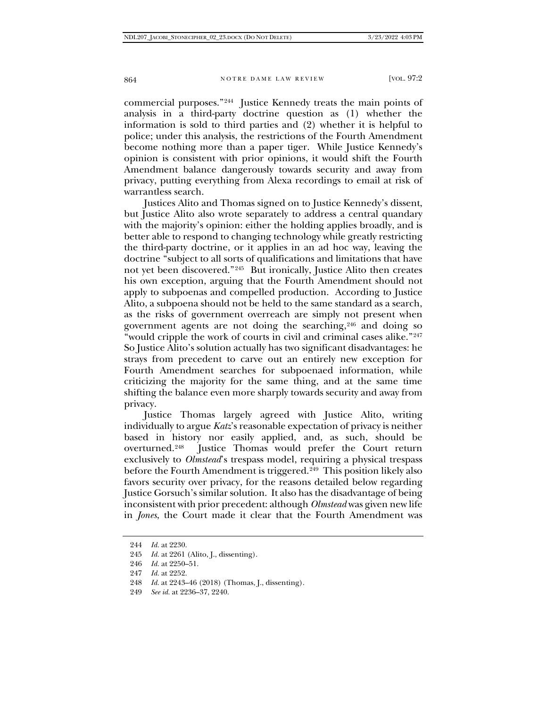commercial purposes."[244](#page-41-0) Justice Kennedy treats the main points of analysis in a third-party doctrine question as (1) whether the information is sold to third parties and (2) whether it is helpful to police; under this analysis, the restrictions of the Fourth Amendment become nothing more than a paper tiger. While Justice Kennedy's opinion is consistent with prior opinions, it would shift the Fourth Amendment balance dangerously towards security and away from privacy, putting everything from Alexa recordings to email at risk of warrantless search.

Justices Alito and Thomas signed on to Justice Kennedy's dissent, but Justice Alito also wrote separately to address a central quandary with the majority's opinion: either the holding applies broadly, and is better able to respond to changing technology while greatly restricting the third-party doctrine, or it applies in an ad hoc way, leaving the doctrine "subject to all sorts of qualifications and limitations that have not yet been discovered."[245](#page-41-1) But ironically, Justice Alito then creates his own exception, arguing that the Fourth Amendment should not apply to subpoenas and compelled production. According to Justice Alito, a subpoena should not be held to the same standard as a search, as the risks of government overreach are simply not present when government agents are not doing the searching,[246](#page-41-2) and doing so "would cripple the work of courts in civil and criminal cases alike."<sup>[247](#page-41-3)</sup> So Justice Alito's solution actually has two significant disadvantages: he strays from precedent to carve out an entirely new exception for Fourth Amendment searches for subpoenaed information, while criticizing the majority for the same thing, and at the same time shifting the balance even more sharply towards security and away from privacy.

Justice Thomas largely agreed with Justice Alito, writing individually to argue *Katz*'s reasonable expectation of privacy is neither based in history nor easily applied, and, as such, should be overturned.[248](#page-41-4) Justice Thomas would prefer the Court return exclusively to *Olmstead*'s trespass model, requiring a physical trespass before the Fourth Amendment is triggered.<sup>[249](#page-41-5)</sup> This position likely also favors security over privacy, for the reasons detailed below regarding Justice Gorsuch's similar solution. It also has the disadvantage of being inconsistent with prior precedent: although *Olmstead* was given new life in *Jones*, the Court made it clear that the Fourth Amendment was

<span id="page-41-0"></span><sup>244</sup> *Id.* at 2230.

<span id="page-41-1"></span><sup>245</sup> *Id.* at 2261 (Alito, J., dissenting).

<span id="page-41-2"></span><sup>246</sup> *Id.* at 2250–51.

<span id="page-41-3"></span><sup>247</sup> *Id.* at 2252.

<span id="page-41-4"></span><sup>248</sup> *Id.* at 2243–46 (2018) (Thomas, J., dissenting).

<span id="page-41-5"></span><sup>249</sup> *See id.* at 2236–37, 2240.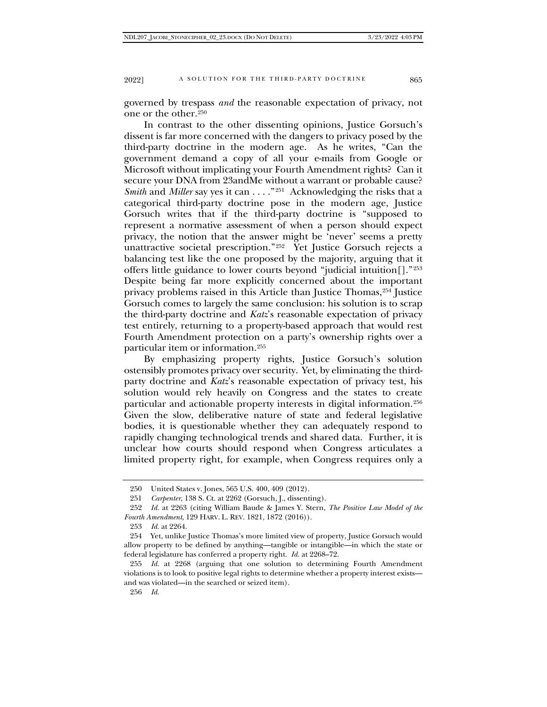governed by trespass *and* the reasonable expectation of privacy, not one or the other.[250](#page-42-0)

In contrast to the other dissenting opinions, Justice Gorsuch's dissent is far more concerned with the dangers to privacy posed by the third-party doctrine in the modern age. As he writes, "Can the government demand a copy of all your e-mails from Google or Microsoft without implicating your Fourth Amendment rights? Can it secure your DNA from 23andMe without a warrant or probable cause? *Smith* and *Miller* say yes it can . . . . "<sup>251</sup> Acknowledging the risks that a categorical third-party doctrine pose in the modern age, Justice Gorsuch writes that if the third-party doctrine is "supposed to represent a normative assessment of when a person should expect privacy, the notion that the answer might be 'never' seems a pretty unattractive societal prescription."<sup>[252](#page-42-2)</sup> Yet Justice Gorsuch rejects a balancing test like the one proposed by the majority, arguing that it offers little guidance to lower courts beyond "judicial intuition[]."[253](#page-42-3) Despite being far more explicitly concerned about the important privacy problems raised in this Article than Justice Thomas, <sup>[254](#page-42-4)</sup> Justice Gorsuch comes to largely the same conclusion: his solution is to scrap the third-party doctrine and *Katz*'s reasonable expectation of privacy test entirely, returning to a property-based approach that would rest Fourth Amendment protection on a party's ownership rights over a particular item or information.[255](#page-42-5)

By emphasizing property rights, Justice Gorsuch's solution ostensibly promotes privacy over security. Yet, by eliminating the thirdparty doctrine and *Katz*'s reasonable expectation of privacy test, his solution would rely heavily on Congress and the states to create particular and actionable property interests in digital information.[256](#page-42-6) Given the slow, deliberative nature of state and federal legislative bodies, it is questionable whether they can adequately respond to rapidly changing technological trends and shared data. Further, it is unclear how courts should respond when Congress articulates a limited property right, for example, when Congress requires only a

<sup>250</sup> United States v. Jones, 565 U.S. 400, 409 (2012).

<sup>251</sup> *Carpenter*, 138 S. Ct. at 2262 (Gorsuch, J., dissenting).

<span id="page-42-2"></span><span id="page-42-1"></span><span id="page-42-0"></span><sup>252</sup> *Id.* at 2263 (citing William Baude & James Y. Stern, *The Positive Law Model of the Fourth Amendment*, 129 HARV. L. REV. 1821, 1872 (2016)).

<sup>253</sup> *Id.* at 2264.

<span id="page-42-4"></span><span id="page-42-3"></span><sup>254</sup> Yet, unlike Justice Thomas's more limited view of property, Justice Gorsuch would allow property to be defined by anything—tangible or intangible—in which the state or federal legislature has conferred a property right. *Id.* at 2268–72.

<span id="page-42-6"></span><span id="page-42-5"></span><sup>255</sup> *Id.* at 2268 (arguing that one solution to determining Fourth Amendment violations is to look to positive legal rights to determine whether a property interest exists and was violated—in the searched or seized item).

<sup>256</sup> *Id.*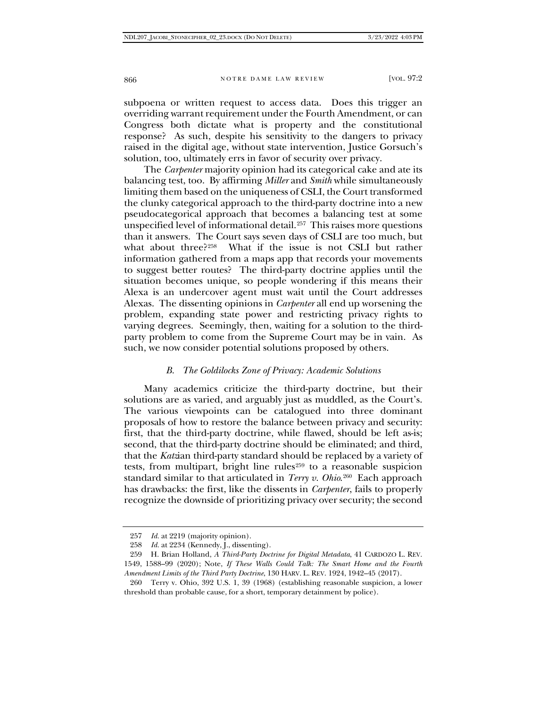subpoena or written request to access data. Does this trigger an overriding warrant requirement under the Fourth Amendment, or can Congress both dictate what is property and the constitutional response? As such, despite his sensitivity to the dangers to privacy raised in the digital age, without state intervention, Justice Gorsuch's solution, too, ultimately errs in favor of security over privacy.

The *Carpenter* majority opinion had its categorical cake and ate its balancing test, too. By affirming *Miller* and *Smith* while simultaneously limiting them based on the uniqueness of CSLI, the Court transformed the clunky categorical approach to the third-party doctrine into a new pseudocategorical approach that becomes a balancing test at some unspecified level of informational detail.<sup>257</sup> This raises more questions than it answers. The Court says seven days of CSLI are too much, but what about three?<sup>258</sup> What if the issue is not CSLI but rather What if the issue is not CSLI but rather information gathered from a maps app that records your movements to suggest better routes? The third-party doctrine applies until the situation becomes unique, so people wondering if this means their Alexa is an undercover agent must wait until the Court addresses Alexas. The dissenting opinions in *Carpenter* all end up worsening the problem, expanding state power and restricting privacy rights to varying degrees. Seemingly, then, waiting for a solution to the thirdparty problem to come from the Supreme Court may be in vain. As such, we now consider potential solutions proposed by others.

#### *B. The Goldilocks Zone of Privacy: Academic Solutions*

Many academics criticize the third-party doctrine, but their solutions are as varied, and arguably just as muddled, as the Court's. The various viewpoints can be catalogued into three dominant proposals of how to restore the balance between privacy and security: first, that the third-party doctrine, while flawed, should be left as-is; second, that the third-party doctrine should be eliminated; and third, that the *Katz*ian third-party standard should be replaced by a variety of tests, from multipart, bright line rules<sup>[259](#page-43-2)</sup> to a reasonable suspicion standard similar to that articulated in *Terry v. Ohio*.[260](#page-43-3) Each approach has drawbacks: the first, like the dissents in *Carpenter*, fails to properly recognize the downside of prioritizing privacy over security; the second

<sup>257</sup> *Id.* at 2219 (majority opinion).

<sup>258</sup> *Id.* at 2234 (Kennedy, J., dissenting).

<span id="page-43-2"></span><span id="page-43-1"></span><span id="page-43-0"></span><sup>259</sup> H. Brian Holland, *A Third-Party Doctrine for Digital Metadata*, 41 CARDOZO L. REV. 1549, 1588–99 (2020); Note, *If These Walls Could Talk: The Smart Home and the Fourth Amendment Limits of the Third Party Doctrine*, 130 HARV. L. REV. 1924, 1942–45 (2017).

<span id="page-43-3"></span><sup>260</sup> Terry v. Ohio, 392 U.S. 1, 39 (1968) (establishing reasonable suspicion, a lower threshold than probable cause, for a short, temporary detainment by police).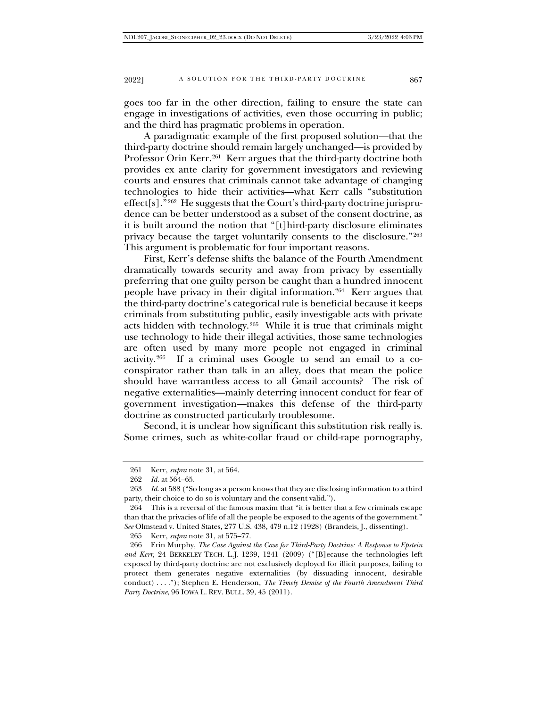goes too far in the other direction, failing to ensure the state can engage in investigations of activities, even those occurring in public; and the third has pragmatic problems in operation.

A paradigmatic example of the first proposed solution—that the third-party doctrine should remain largely unchanged—is provided by Professor Orin Kerr.<sup>261</sup> Kerr argues that the third-party doctrine both provides ex ante clarity for government investigators and reviewing courts and ensures that criminals cannot take advantage of changing technologies to hide their activities—what Kerr calls "substitution effect[s]."<sup>[262](#page-44-1)</sup> He suggests that the Court's third-party doctrine jurisprudence can be better understood as a subset of the consent doctrine, as it is built around the notion that "[t]hird-party disclosure eliminates privacy because the target voluntarily consents to the disclosure."[263](#page-44-2) This argument is problematic for four important reasons.

First, Kerr's defense shifts the balance of the Fourth Amendment dramatically towards security and away from privacy by essentially preferring that one guilty person be caught than a hundred innocent people have privacy in their digital information.[264](#page-44-3) Kerr argues that the third-party doctrine's categorical rule is beneficial because it keeps criminals from substituting public, easily investigable acts with private acts hidden with technology.[265](#page-44-4) While it is true that criminals might use technology to hide their illegal activities, those same technologies are often used by many more people not engaged in criminal activity[.266](#page-44-5) If a criminal uses Google to send an email to a coconspirator rather than talk in an alley, does that mean the police should have warrantless access to all Gmail accounts? The risk of negative externalities—mainly deterring innocent conduct for fear of government investigation—makes this defense of the third-party doctrine as constructed particularly troublesome.

Second, it is unclear how significant this substitution risk really is. Some crimes, such as white-collar fraud or child-rape pornography,

265 Kerr, *supra* note 31, at 575–77.

<sup>261</sup> Kerr, *supra* note 31, at 564.

<sup>262</sup> *Id.* at 564–65.

<span id="page-44-2"></span><span id="page-44-1"></span><span id="page-44-0"></span><sup>263</sup> *Id.* at 588 ("So long as a person knows that they are disclosing information to a third party, their choice to do so is voluntary and the consent valid.").

<span id="page-44-3"></span><sup>264</sup> This is a reversal of the famous maxim that "it is better that a few criminals escape than that the privacies of life of all the people be exposed to the agents of the government." *See* Olmstead v. United States, 277 U.S. 438, 479 n.12 (1928) (Brandeis, J., dissenting).

<span id="page-44-5"></span><span id="page-44-4"></span><sup>266</sup> Erin Murphy, *The Case Against the Case for Third-Party Doctrine: A Response to Epstein and Kerr*, 24 BERKELEY TECH. L.J. 1239, 1241 (2009) ("[B]ecause the technologies left exposed by third-party doctrine are not exclusively deployed for illicit purposes, failing to protect them generates negative externalities (by dissuading innocent, desirable conduct) . . . ."); Stephen E. Henderson, *The Timely Demise of the Fourth Amendment Third Party Doctrine*, 96 IOWA L. REV. BULL. 39, 45 (2011).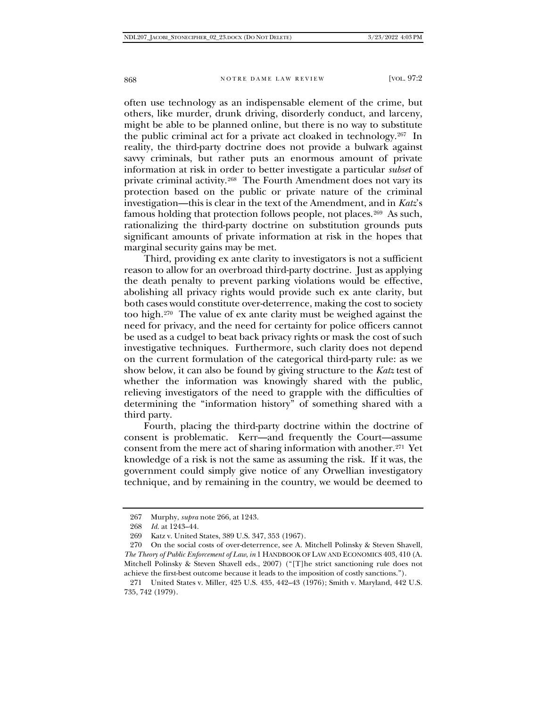often use technology as an indispensable element of the crime, but others, like murder, drunk driving, disorderly conduct, and larceny, might be able to be planned online, but there is no way to substitute the public criminal act for a private act cloaked in technology.[267](#page-45-0) In reality, the third-party doctrine does not provide a bulwark against savvy criminals, but rather puts an enormous amount of private information at risk in order to better investigate a particular *subset* of private criminal activity.[268](#page-45-1) The Fourth Amendment does not vary its protection based on the public or private nature of the criminal investigation—this is clear in the text of the Amendment, and in *Katz*'s famous holding that protection follows people, not places.[269](#page-45-2) As such, rationalizing the third-party doctrine on substitution grounds puts significant amounts of private information at risk in the hopes that marginal security gains may be met.

Third, providing ex ante clarity to investigators is not a sufficient reason to allow for an overbroad third-party doctrine. Just as applying the death penalty to prevent parking violations would be effective, abolishing all privacy rights would provide such ex ante clarity, but both cases would constitute over-deterrence, making the cost to society too high.[270](#page-45-3) The value of ex ante clarity must be weighed against the need for privacy, and the need for certainty for police officers cannot be used as a cudgel to beat back privacy rights or mask the cost of such investigative techniques. Furthermore, such clarity does not depend on the current formulation of the categorical third-party rule: as we show below, it can also be found by giving structure to the *Katz* test of whether the information was knowingly shared with the public, relieving investigators of the need to grapple with the difficulties of determining the "information history" of something shared with a third party.

Fourth, placing the third-party doctrine within the doctrine of consent is problematic. Kerr—and frequently the Court—assume consent from the mere act of sharing information with another.[271](#page-45-4) Yet knowledge of a risk is not the same as assuming the risk. If it was, the government could simply give notice of any Orwellian investigatory technique, and by remaining in the country, we would be deemed to

<sup>267</sup> Murphy, *supra* note 266, at 1243.

<sup>268</sup> *Id.* at 1243–44.

<sup>269</sup> Katz v. United States, 389 U.S. 347, 353 (1967).

<span id="page-45-3"></span><span id="page-45-2"></span><span id="page-45-1"></span><span id="page-45-0"></span><sup>270</sup> On the social costs of over-deterrence, see A. Mitchell Polinsky & Steven Shavell, *The Theory of Public Enforcement of Law*, *in* 1 HANDBOOK OF LAW AND ECONOMICS 403, 410 (A. Mitchell Polinsky & Steven Shavell eds., 2007) ("[T]he strict sanctioning rule does not achieve the first-best outcome because it leads to the imposition of costly sanctions.").

<span id="page-45-4"></span><sup>271</sup> United States v. Miller, 425 U.S. 435, 442–43 (1976); Smith v. Maryland, 442 U.S. 735, 742 (1979).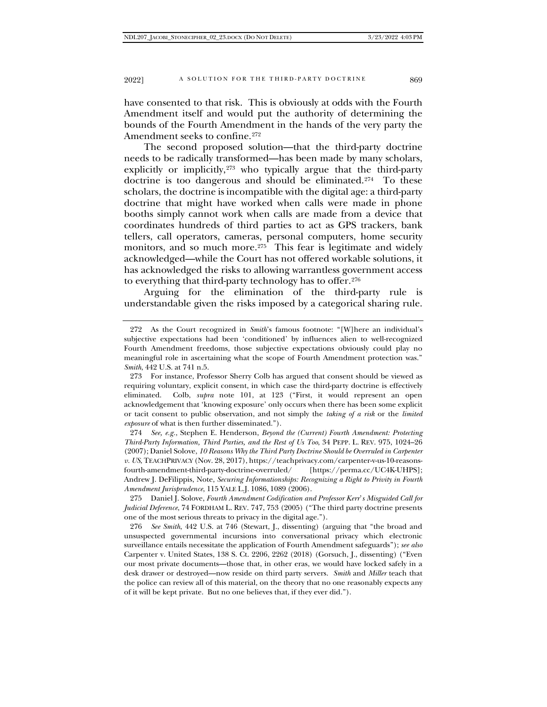have consented to that risk. This is obviously at odds with the Fourth Amendment itself and would put the authority of determining the bounds of the Fourth Amendment in the hands of the very party the Amendment seeks to confine.<sup>[272](#page-46-0)</sup>

The second proposed solution—that the third-party doctrine needs to be radically transformed—has been made by many scholars, explicitly or implicitly,[273](#page-46-1) who typically argue that the third-party doctrine is too dangerous and should be eliminated.<sup>274</sup> To these scholars, the doctrine is incompatible with the digital age: a third-party doctrine that might have worked when calls were made in phone booths simply cannot work when calls are made from a device that coordinates hundreds of third parties to act as GPS trackers, bank tellers, call operators, cameras, personal computers, home security monitors, and so much more.<sup>275</sup> This fear is legitimate and widely acknowledged—while the Court has not offered workable solutions, it has acknowledged the risks to allowing warrantless government access to everything that third-party technology has to offer.[276](#page-46-4)

Arguing for the elimination of the third-party rule understandable given the risks imposed by a categorical sharing rule.

<span id="page-46-3"></span>275 Daniel J. Solove, *Fourth Amendment Codification and Professor Kerr*'*s Misguided Call for Judicial Deference*, 74 FORDHAM L. REV. 747, 753 (2005) ("The third party doctrine presents one of the most serious threats to privacy in the digital age.").

<span id="page-46-4"></span>276 *See Smith*, 442 U.S. at 746 (Stewart, J., dissenting) (arguing that "the broad and unsuspected governmental incursions into conversational privacy which electronic surveillance entails necessitate the application of Fourth Amendment safeguards"); *see also* Carpenter v. United States, 138 S. Ct. 2206, 2262 (2018) (Gorsuch, J., dissenting) ("Even our most private documents—those that, in other eras, we would have locked safely in a desk drawer or destroyed—now reside on third party servers. *Smith* and *Miller* teach that the police can review all of this material, on the theory that no one reasonably expects any of it will be kept private. But no one believes that, if they ever did.").

<span id="page-46-0"></span><sup>272</sup> As the Court recognized in *Smith*'s famous footnote: "[W]here an individual's subjective expectations had been 'conditioned' by influences alien to well-recognized Fourth Amendment freedoms, those subjective expectations obviously could play no meaningful role in ascertaining what the scope of Fourth Amendment protection was." *Smith*, 442 U.S. at 741 n.5.

<span id="page-46-1"></span><sup>273</sup> For instance, Professor Sherry Colb has argued that consent should be viewed as requiring voluntary, explicit consent, in which case the third-party doctrine is effectively eliminated. Colb, *supra* note 101, at 123 ("First, it would represent an open acknowledgement that 'knowing exposure' only occurs when there has been some explicit or tacit consent to public observation, and not simply the *taking of a risk* or the *limited exposure* of what is then further disseminated.").

<span id="page-46-2"></span><sup>274</sup> *See, e.g.*, Stephen E. Henderson, *Beyond the (Current) Fourth Amendment: Protecting Third-Party Information, Third Parties, and the Rest of Us Too*, 34 PEPP. L. REV. 975, 1024–26 (2007); Daniel Solove, *10 Reasons Why the Third Party Doctrine Should be Overruled in Carpenter v. US*, TEACHPRIVACY (Nov. 28, 2017), https://teachprivacy.com/carpenter-v-us-10-reasonsfourth-amendment-third-party-doctrine-overruled/ [https://perma.cc/UC4K-UHPS]; Andrew J. DeFilippis, Note, *Securing Informationships: Recognizing a Right to Privity in Fourth Amendment Jurisprudence*, 115 YALE L.J. 1086, 1089 (2006).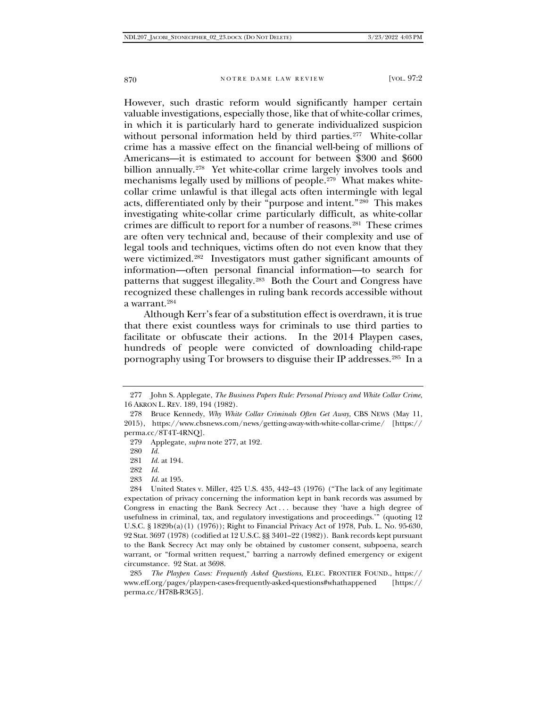However, such drastic reform would significantly hamper certain valuable investigations, especially those, like that of white-collar crimes, in which it is particularly hard to generate individualized suspicion without personal information held by third parties.<sup>277</sup> White-collar crime has a massive effect on the financial well-being of millions of Americans—it is estimated to account for between \$300 and \$600 billion annually.<sup>[278](#page-47-1)</sup> Yet white-collar crime largely involves tools and mechanisms legally used by millions of people.<sup>[279](#page-47-2)</sup> What makes whitecollar crime unlawful is that illegal acts often intermingle with legal acts, differentiated only by their "purpose and intent."[280](#page-47-3) This makes investigating white-collar crime particularly difficult, as white-collar crimes are difficult to report for a number of reasons.[281](#page-47-4) These crimes are often very technical and, because of their complexity and use of legal tools and techniques, victims often do not even know that they were victimized.[282](#page-47-5) Investigators must gather significant amounts of information—often personal financial information—to search for patterns that suggest illegality.[283](#page-47-6) Both the Court and Congress have recognized these challenges in ruling bank records accessible without a warrant.[284](#page-47-7)

Although Kerr's fear of a substitution effect is overdrawn, it is true that there exist countless ways for criminals to use third parties to facilitate or obfuscate their actions. In the 2014 Playpen cases, hundreds of people were convicted of downloading child-rape pornography using Tor browsers to disguise their IP addresses.[285](#page-47-8) In a

279 Applegate, *supra* note 277, at 192.

280 *Id.*

283 *Id.* at 195.

<span id="page-47-0"></span><sup>277</sup> John S. Applegate, *The Business Papers Rule: Personal Privacy and White Collar Crime*, 16 AKRON L. REV. 189, 194 (1982).

<span id="page-47-3"></span><span id="page-47-2"></span><span id="page-47-1"></span><sup>278</sup> Bruce Kennedy, *Why White Collar Criminals Often Get Away*, CBS NEWS (May 11, 2015), https://www.cbsnews.com/news/getting-away-with-white-collar-crime/ [https:// perma.cc/8T4T-4RNQ].

<sup>281</sup> *Id.* at 194.

<sup>282</sup> *Id.*

<span id="page-47-7"></span><span id="page-47-6"></span><span id="page-47-5"></span><span id="page-47-4"></span><sup>284</sup> United States v. Miller, 425 U.S. 435, 442–43 (1976) ("The lack of any legitimate expectation of privacy concerning the information kept in bank records was assumed by Congress in enacting the Bank Secrecy Act . . . because they 'have a high degree of usefulness in criminal, tax, and regulatory investigations and proceedings.'" (quoting 12 U.S.C. § 1829b(a)(1) (1976)); Right to Financial Privacy Act of 1978, Pub. L. No. 95-630, 92 Stat. 3697 (1978) (codified at 12 U.S.C. §§ 3401–22 (1982)). Bank records kept pursuant to the Bank Secrecy Act may only be obtained by customer consent, subpoena, search warrant, or "formal written request," barring a narrowly defined emergency or exigent circumstance. 92 Stat. at 3698.

<span id="page-47-8"></span><sup>285</sup> *The Playpen Cases: Frequently Asked Questions*, ELEC. FRONTIER FOUND., https:// www.eff.org/pages/playpen-cases-frequently-asked-questions#whathappened [https:// perma.cc/H78B-R3G5].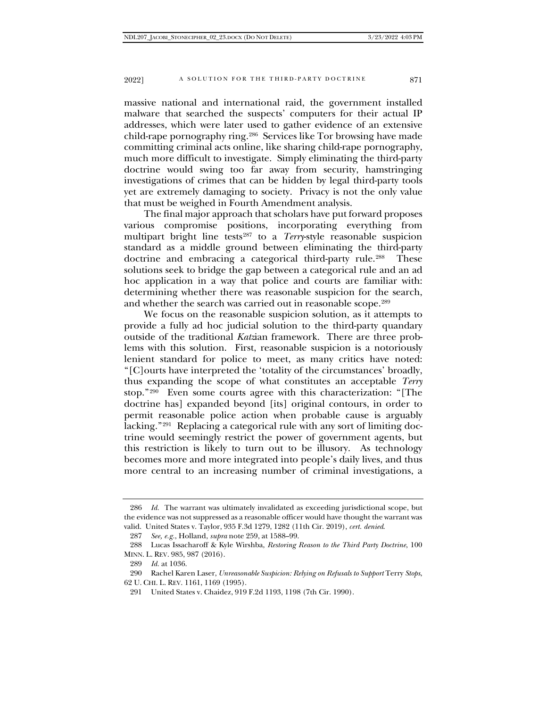massive national and international raid, the government installed malware that searched the suspects' computers for their actual IP addresses, which were later used to gather evidence of an extensive child-rape pornography ring.[286](#page-48-0) Services like Tor browsing have made committing criminal acts online, like sharing child-rape pornography, much more difficult to investigate. Simply eliminating the third-party doctrine would swing too far away from security, hamstringing investigations of crimes that can be hidden by legal third-party tools yet are extremely damaging to society. Privacy is not the only value that must be weighed in Fourth Amendment analysis.

The final major approach that scholars have put forward proposes various compromise positions, incorporating everything from multipart bright line tests<sup>[287](#page-48-1)</sup> to a *Terry*-style reasonable suspicion standard as a middle ground between eliminating the third-party doctrine and embracing a categorical third-party rule.<sup>[288](#page-48-2)</sup> These solutions seek to bridge the gap between a categorical rule and an ad hoc application in a way that police and courts are familiar with: determining whether there was reasonable suspicion for the search, and whether the search was carried out in reasonable scope.<sup>[289](#page-48-3)</sup>

We focus on the reasonable suspicion solution, as it attempts to provide a fully ad hoc judicial solution to the third-party quandary outside of the traditional *Katz*ian framework. There are three problems with this solution. First, reasonable suspicion is a notoriously lenient standard for police to meet, as many critics have noted: "[C]ourts have interpreted the 'totality of the circumstances' broadly, thus expanding the scope of what constitutes an acceptable *Terry* stop."[290](#page-48-4) Even some courts agree with this characterization: "[The doctrine has] expanded beyond [its] original contours, in order to permit reasonable police action when probable cause is arguably lacking.["291](#page-48-5) Replacing a categorical rule with any sort of limiting doctrine would seemingly restrict the power of government agents, but this restriction is likely to turn out to be illusory. As technology becomes more and more integrated into people's daily lives, and thus more central to an increasing number of criminal investigations, a

<span id="page-48-0"></span><sup>286</sup> *Id.* The warrant was ultimately invalidated as exceeding jurisdictional scope, but the evidence was not suppressed as a reasonable officer would have thought the warrant was valid. United States v. Taylor, 935 F.3d 1279, 1282 (11th Cir. 2019), *cert. denied*.

<sup>287</sup> *See, e.g.*, Holland, *supra* note 259, at 1588–99.

<span id="page-48-2"></span><span id="page-48-1"></span><sup>288</sup> Lucas Issacharoff & Kyle Wirshba, *Restoring Reason to the Third Party Doctrine*, 100 MINN. L. REV. 985, 987 (2016).

<sup>289</sup> *Id.* at 1036.

<span id="page-48-5"></span><span id="page-48-4"></span><span id="page-48-3"></span><sup>290</sup> Rachel Karen Laser, *Unreasonable Suspicion: Relying on Refusals to Support* Terry *Stops*, 62 U. CHI. L. REV. 1161, 1169 (1995).

<sup>291</sup> United States v. Chaidez, 919 F.2d 1193, 1198 (7th Cir. 1990).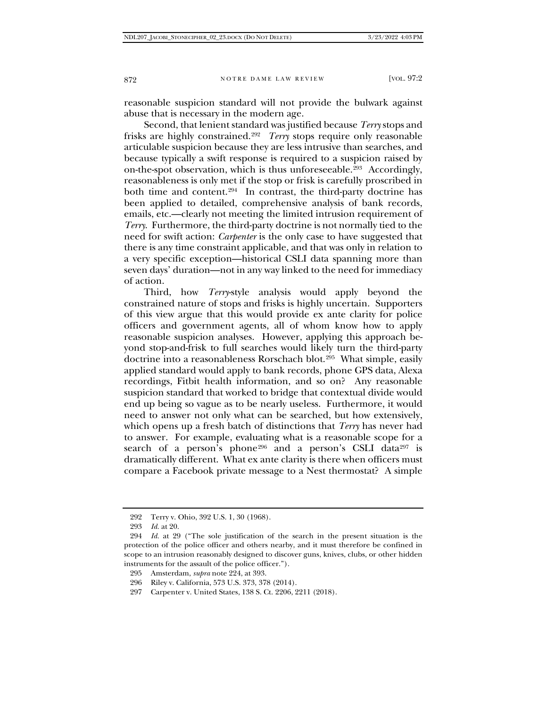reasonable suspicion standard will not provide the bulwark against abuse that is necessary in the modern age.

Second, that lenient standard was justified because *Terry* stops and frisks are highly constrained.[292](#page-49-0) *Terry* stops require only reasonable articulable suspicion because they are less intrusive than searches, and because typically a swift response is required to a suspicion raised by on-the-spot observation, which is thus unforeseeable.[293](#page-49-1) Accordingly, reasonableness is only met if the stop or frisk is carefully proscribed in both time and content.[294](#page-49-2) In contrast, the third-party doctrine has been applied to detailed, comprehensive analysis of bank records, emails, etc.—clearly not meeting the limited intrusion requirement of *Terry*. Furthermore, the third-party doctrine is not normally tied to the need for swift action: *Carpenter* is the only case to have suggested that there is any time constraint applicable, and that was only in relation to a very specific exception—historical CSLI data spanning more than seven days' duration—not in any way linked to the need for immediacy of action.

Third, how *Terry*-style analysis would apply beyond the constrained nature of stops and frisks is highly uncertain. Supporters of this view argue that this would provide ex ante clarity for police officers and government agents, all of whom know how to apply reasonable suspicion analyses. However, applying this approach beyond stop-and-frisk to full searches would likely turn the third-party doctrine into a reasonableness Rorschach blot.[295](#page-49-3) What simple, easily applied standard would apply to bank records, phone GPS data, Alexa recordings, Fitbit health information, and so on? Any reasonable suspicion standard that worked to bridge that contextual divide would end up being so vague as to be nearly useless. Furthermore, it would need to answer not only what can be searched, but how extensively, which opens up a fresh batch of distinctions that *Terry* has never had to answer. For example, evaluating what is a reasonable scope for a search of a person's phone<sup>[296](#page-49-4)</sup> and a person's CSLI data<sup>[297](#page-49-5)</sup> is dramatically different. What ex ante clarity is there when officers must compare a Facebook private message to a Nest thermostat? A simple

<sup>292</sup> Terry v. Ohio, 392 U.S. 1, 30 (1968).

<sup>293</sup> *Id.* at 20.

<span id="page-49-3"></span><span id="page-49-2"></span><span id="page-49-1"></span><span id="page-49-0"></span><sup>294</sup> *Id.* at 29 ("The sole justification of the search in the present situation is the protection of the police officer and others nearby, and it must therefore be confined in scope to an intrusion reasonably designed to discover guns, knives, clubs, or other hidden instruments for the assault of the police officer.").

<sup>295</sup> Amsterdam, *supra* note 224, at 393.

<span id="page-49-4"></span><sup>296</sup> Riley v. California, 573 U.S. 373, 378 (2014).

<span id="page-49-5"></span><sup>297</sup> Carpenter v. United States, 138 S. Ct. 2206, 2211 (2018).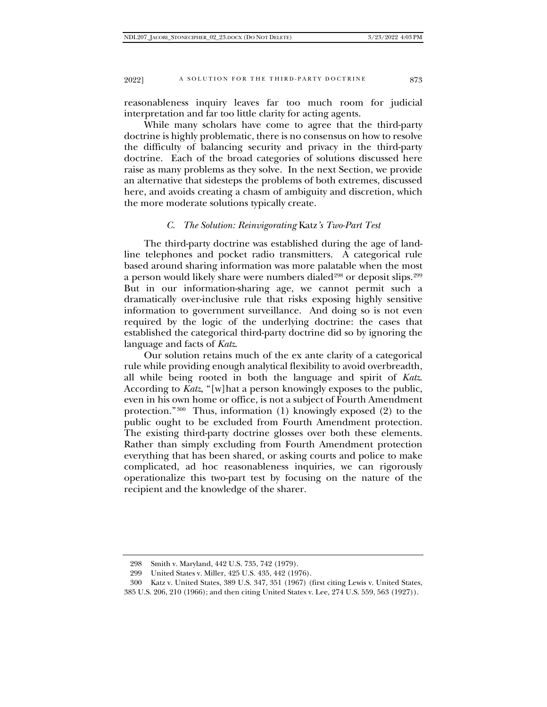reasonableness inquiry leaves far too much room for judicial interpretation and far too little clarity for acting agents.

While many scholars have come to agree that the third-party doctrine is highly problematic, there is no consensus on how to resolve the difficulty of balancing security and privacy in the third-party doctrine. Each of the broad categories of solutions discussed here raise as many problems as they solve. In the next Section, we provide an alternative that sidesteps the problems of both extremes, discussed here, and avoids creating a chasm of ambiguity and discretion, which the more moderate solutions typically create.

## *C. The Solution: Reinvigorating* Katz*'s Two-Part Test*

The third-party doctrine was established during the age of landline telephones and pocket radio transmitters. A categorical rule based around sharing information was more palatable when the most a person would likely share were numbers dialed<sup>[298](#page-50-0)</sup> or deposit slips.<sup>[299](#page-50-1)</sup> But in our information-sharing age, we cannot permit such a dramatically over-inclusive rule that risks exposing highly sensitive information to government surveillance. And doing so is not even required by the logic of the underlying doctrine: the cases that established the categorical third-party doctrine did so by ignoring the language and facts of *Katz*.

Our solution retains much of the ex ante clarity of a categorical rule while providing enough analytical flexibility to avoid overbreadth, all while being rooted in both the language and spirit of *Katz*. According to *Katz*, "[w]hat a person knowingly exposes to the public, even in his own home or office, is not a subject of Fourth Amendment protection."[300](#page-50-2) Thus, information (1) knowingly exposed (2) to the public ought to be excluded from Fourth Amendment protection. The existing third-party doctrine glosses over both these elements. Rather than simply excluding from Fourth Amendment protection everything that has been shared, or asking courts and police to make complicated, ad hoc reasonableness inquiries, we can rigorously operationalize this two-part test by focusing on the nature of the recipient and the knowledge of the sharer.

<sup>298</sup> Smith v. Maryland, 442 U.S. 735, 742 (1979).

<sup>299</sup> United States v. Miller, 425 U.S. 435, 442 (1976).

<span id="page-50-2"></span><span id="page-50-1"></span><span id="page-50-0"></span><sup>300</sup> Katz v. United States, 389 U.S. 347, 351 (1967) (first citing Lewis v. United States, 385 U.S. 206, 210 (1966); and then citing United States v. Lee, 274 U.S. 559, 563 (1927)).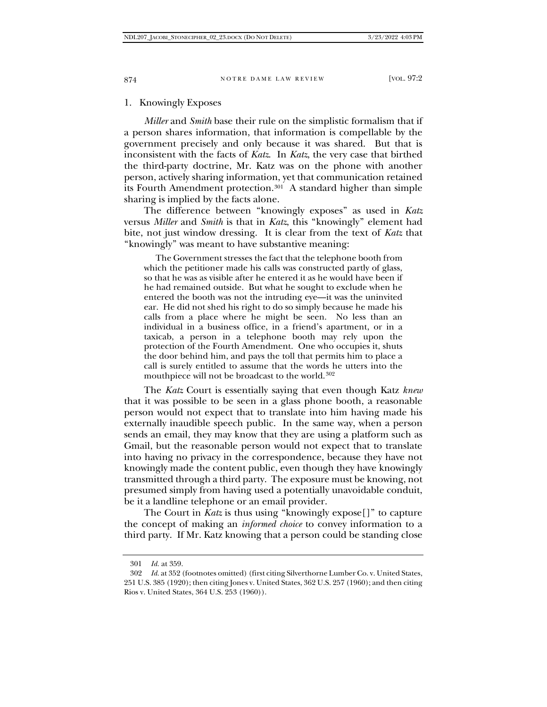# 1. Knowingly Exposes

*Miller* and *Smith* base their rule on the simplistic formalism that if a person shares information, that information is compellable by the government precisely and only because it was shared. But that is inconsistent with the facts of *Katz*. In *Katz*, the very case that birthed the third-party doctrine, Mr. Katz was on the phone with another person, actively sharing information, yet that communication retained its Fourth Amendment protection.[301](#page-51-0) A standard higher than simple sharing is implied by the facts alone.

The difference between "knowingly exposes" as used in *Katz* versus *Miller* and *Smith* is that in *Katz*, this "knowingly" element had bite, not just window dressing. It is clear from the text of *Katz* that "knowingly" was meant to have substantive meaning:

 The Government stresses the fact that the telephone booth from which the petitioner made his calls was constructed partly of glass, so that he was as visible after he entered it as he would have been if he had remained outside. But what he sought to exclude when he entered the booth was not the intruding eye—it was the uninvited ear. He did not shed his right to do so simply because he made his calls from a place where he might be seen. No less than an individual in a business office, in a friend's apartment, or in a taxicab, a person in a telephone booth may rely upon the protection of the Fourth Amendment. One who occupies it, shuts the door behind him, and pays the toll that permits him to place a call is surely entitled to assume that the words he utters into the mouthpiece will not be broadcast to the world.<sup>[302](#page-51-1)</sup>

The *Katz* Court is essentially saying that even though Katz *knew* that it was possible to be seen in a glass phone booth, a reasonable person would not expect that to translate into him having made his externally inaudible speech public. In the same way, when a person sends an email, they may know that they are using a platform such as Gmail, but the reasonable person would not expect that to translate into having no privacy in the correspondence, because they have not knowingly made the content public, even though they have knowingly transmitted through a third party. The exposure must be knowing, not presumed simply from having used a potentially unavoidable conduit, be it a landline telephone or an email provider.

The Court in *Katz* is thus using "knowingly expose[]" to capture the concept of making an *informed choice* to convey information to a third party. If Mr. Katz knowing that a person could be standing close

<sup>301</sup> *Id.* at 359.

<span id="page-51-1"></span><span id="page-51-0"></span><sup>302</sup> *Id.* at 352 (footnotes omitted) (first citing Silverthorne Lumber Co. v. United States, 251 U.S. 385 (1920); then citing Jones v. United States, 362 U.S. 257 (1960); and then citing Rios v. United States, 364 U.S. 253 (1960)).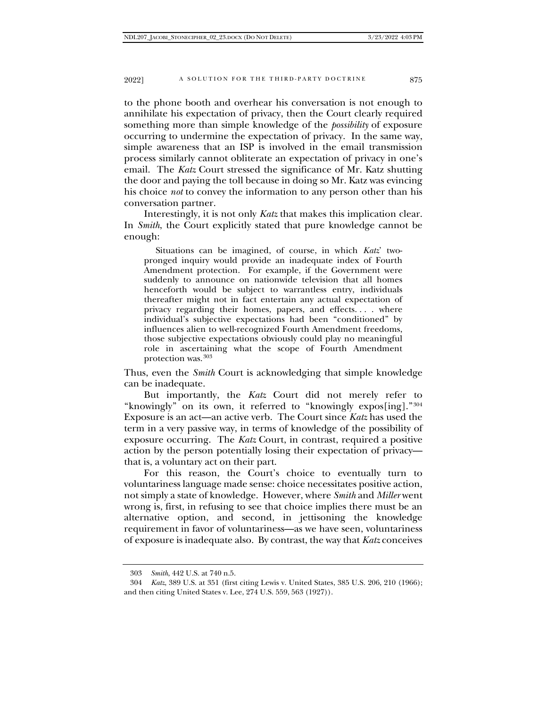to the phone booth and overhear his conversation is not enough to annihilate his expectation of privacy, then the Court clearly required something more than simple knowledge of the *possibility* of exposure occurring to undermine the expectation of privacy. In the same way, simple awareness that an ISP is involved in the email transmission process similarly cannot obliterate an expectation of privacy in one's email. The *Katz* Court stressed the significance of Mr. Katz shutting the door and paying the toll because in doing so Mr. Katz was evincing his choice *not* to convey the information to any person other than his conversation partner.

Interestingly, it is not only *Katz* that makes this implication clear. In *Smith*, the Court explicitly stated that pure knowledge cannot be enough:

 Situations can be imagined, of course, in which *Katz*' twopronged inquiry would provide an inadequate index of Fourth Amendment protection. For example, if the Government were suddenly to announce on nationwide television that all homes henceforth would be subject to warrantless entry, individuals thereafter might not in fact entertain any actual expectation of privacy regarding their homes, papers, and effects. . . . where individual's subjective expectations had been "conditioned" by influences alien to well-recognized Fourth Amendment freedoms, those subjective expectations obviously could play no meaningful role in ascertaining what the scope of Fourth Amendment protection was.[303](#page-52-0)

Thus, even the *Smith* Court is acknowledging that simple knowledge can be inadequate.

But importantly, the *Katz* Court did not merely refer to "knowingly" on its own, it referred to "knowingly expos[ing]."[304](#page-52-1) Exposure is an act—an active verb. The Court since *Katz* has used the term in a very passive way, in terms of knowledge of the possibility of exposure occurring. The *Katz* Court, in contrast, required a positive action by the person potentially losing their expectation of privacy that is, a voluntary act on their part.

For this reason, the Court's choice to eventually turn to voluntariness language made sense: choice necessitates positive action, not simply a state of knowledge. However, where *Smith* and *Miller* went wrong is, first, in refusing to see that choice implies there must be an alternative option, and second, in jettisoning the knowledge requirement in favor of voluntariness—as we have seen, voluntariness of exposure is inadequate also. By contrast, the way that *Katz* conceives

<sup>303</sup> *Smith*, 442 U.S. at 740 n.5.

<span id="page-52-1"></span><span id="page-52-0"></span><sup>304</sup> *Katz*, 389 U.S. at 351 (first citing Lewis v. United States, 385 U.S. 206, 210 (1966); and then citing United States v. Lee, 274 U.S. 559, 563 (1927)).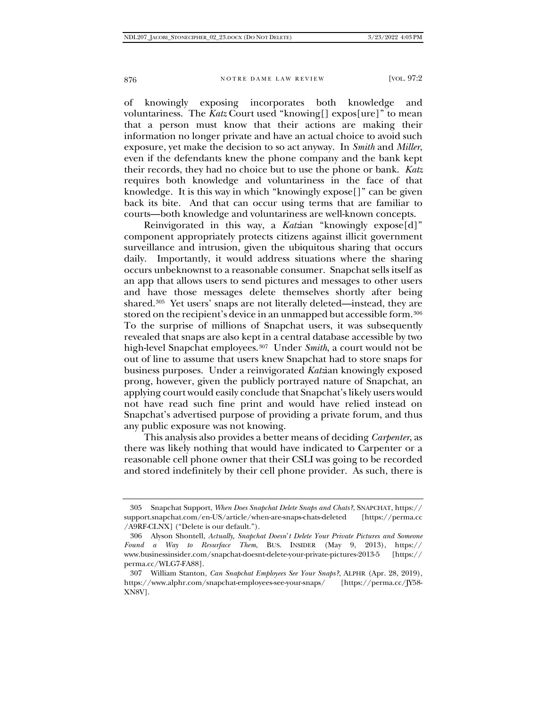of knowingly exposing incorporates both knowledge and voluntariness. The *Katz* Court used "knowing[] expos[ure]" to mean that a person must know that their actions are making their information no longer private and have an actual choice to avoid such exposure, yet make the decision to so act anyway. In *Smith* and *Miller*, even if the defendants knew the phone company and the bank kept their records, they had no choice but to use the phone or bank. *Katz* requires both knowledge and voluntariness in the face of that knowledge. It is this way in which "knowingly expose<sup>[]"</sup> can be given back its bite. And that can occur using terms that are familiar to courts—both knowledge and voluntariness are well-known concepts.

Reinvigorated in this way, a *Katz*ian "knowingly expose<sup>[d]"</sup> component appropriately protects citizens against illicit government surveillance and intrusion, given the ubiquitous sharing that occurs daily. Importantly, it would address situations where the sharing occurs unbeknownst to a reasonable consumer. Snapchat sells itself as an app that allows users to send pictures and messages to other users and have those messages delete themselves shortly after being shared.[305](#page-53-0) Yet users' snaps are not literally deleted—instead, they are stored on the recipient's device in an unmapped but accessible form.[306](#page-53-1) To the surprise of millions of Snapchat users, it was subsequently revealed that snaps are also kept in a central database accessible by two high-level Snapchat employees.[307](#page-53-2) Under *Smith*, a court would not be out of line to assume that users knew Snapchat had to store snaps for business purposes. Under a reinvigorated *Katz*ian knowingly exposed prong, however, given the publicly portrayed nature of Snapchat, an applying court would easily conclude that Snapchat's likely users would not have read such fine print and would have relied instead on Snapchat's advertised purpose of providing a private forum, and thus any public exposure was not knowing.

This analysis also provides a better means of deciding *Carpenter*, as there was likely nothing that would have indicated to Carpenter or a reasonable cell phone owner that their CSLI was going to be recorded and stored indefinitely by their cell phone provider. As such, there is

<span id="page-53-0"></span><sup>305</sup> Snapchat Support, *When Does Snapchat Delete Snaps and Chats?*, SNAPCHAT, https:// support.snapchat.com/en-US/article/when-are-snaps-chats-deleted [https://perma.cc /A9RF-CLNX] ("Delete is our default.").

<span id="page-53-1"></span><sup>306</sup> Alyson Shontell, *Actually, Snapchat Doesn*'*t Delete Your Private Pictures and Someone Found a Way to Resurface Them*, BUS. INSIDER (May 9, 2013), https:// www.businessinsider.com/snapchat-doesnt-delete-your-private-pictures-2013-5 [https:// perma.cc/WLG7-FA88].

<span id="page-53-2"></span><sup>307</sup> William Stanton, *Can Snapchat Employees See Your Snaps?*, ALPHR (Apr. 28, 2019), https://www.alphr.com/snapchat-employees-see-your-snaps/ [https://perma.cc/JY58- XN8V].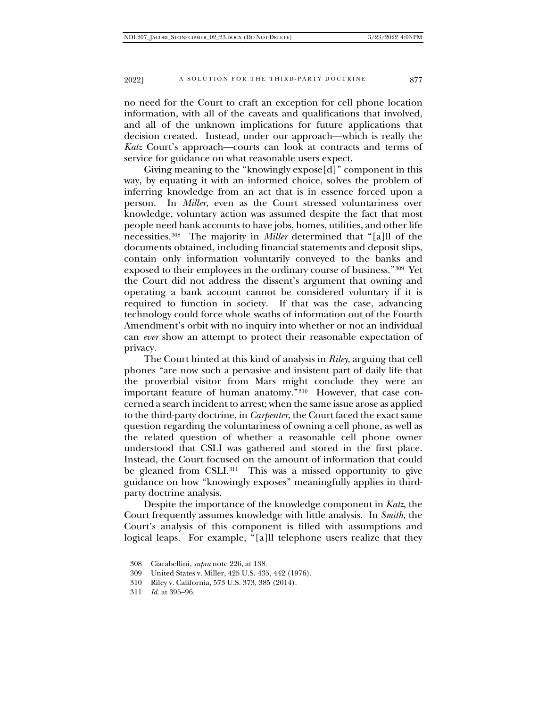no need for the Court to craft an exception for cell phone location information, with all of the caveats and qualifications that involved, and all of the unknown implications for future applications that decision created. Instead, under our approach—which is really the *Katz* Court's approach—courts can look at contracts and terms of service for guidance on what reasonable users expect.

Giving meaning to the "knowingly expose[d]" component in this way, by equating it with an informed choice, solves the problem of inferring knowledge from an act that is in essence forced upon a person. In *Miller*, even as the Court stressed voluntariness over knowledge, voluntary action was assumed despite the fact that most people need bank accounts to have jobs, homes, utilities, and other life necessities[.308](#page-54-0) The majority in *Miller* determined that "[a]ll of the documents obtained, including financial statements and deposit slips, contain only information voluntarily conveyed to the banks and exposed to their employees in the ordinary course of business."[309](#page-54-1) Yet the Court did not address the dissent's argument that owning and operating a bank account cannot be considered voluntary if it is required to function in society. If that was the case, advancing technology could force whole swaths of information out of the Fourth Amendment's orbit with no inquiry into whether or not an individual can *ever* show an attempt to protect their reasonable expectation of privacy.

The Court hinted at this kind of analysis in *Riley*, arguing that cell phones "are now such a pervasive and insistent part of daily life that the proverbial visitor from Mars might conclude they were an important feature of human anatomy."[310](#page-54-2) However, that case concerned a search incident to arrest; when the same issue arose as applied to the third-party doctrine, in *Carpenter*, the Court faced the exact same question regarding the voluntariness of owning a cell phone, as well as the related question of whether a reasonable cell phone owner understood that CSLI was gathered and stored in the first place. Instead, the Court focused on the amount of information that could be gleaned from CSLI.<sup>[311](#page-54-3)</sup> This was a missed opportunity to give guidance on how "knowingly exposes" meaningfully applies in thirdparty doctrine analysis.

Despite the importance of the knowledge component in *Katz*, the Court frequently assumes knowledge with little analysis. In *Smith*, the Court's analysis of this component is filled with assumptions and logical leaps. For example, "[a]ll telephone users realize that they

<span id="page-54-0"></span><sup>308</sup> Ciarabellini, *supra* note 226, at 138.

<span id="page-54-1"></span><sup>309</sup> United States v. Miller, 425 U.S. 435, 442 (1976).

<span id="page-54-2"></span><sup>310</sup> Riley v. California, 573 U.S. 373, 385 (2014).

<span id="page-54-3"></span><sup>311</sup> *Id.* at 395–96.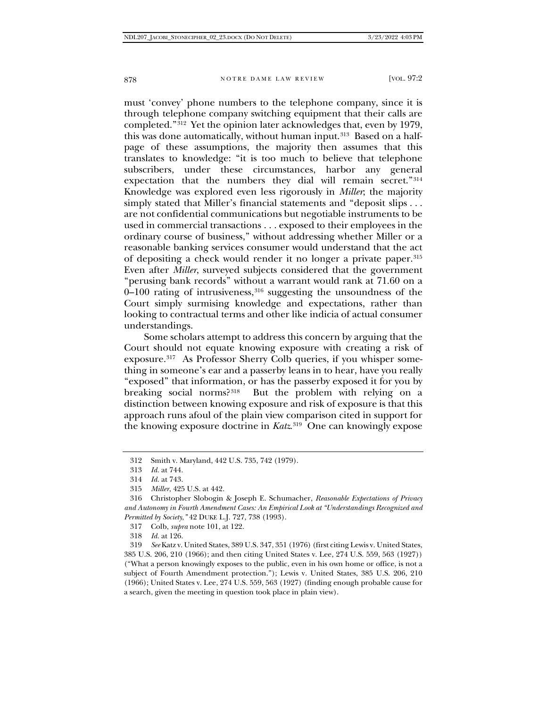must 'convey' phone numbers to the telephone company, since it is through telephone company switching equipment that their calls are completed."[312](#page-55-0) Yet the opinion later acknowledges that, even by 1979, this was done automatically, without human input.<sup>[313](#page-55-1)</sup> Based on a halfpage of these assumptions, the majority then assumes that this translates to knowledge: "it is too much to believe that telephone subscribers, under these circumstances, harbor any general expectation that the numbers they dial will remain secret."[314](#page-55-2) Knowledge was explored even less rigorously in *Miller*; the majority simply stated that Miller's financial statements and "deposit slips . . . are not confidential communications but negotiable instruments to be used in commercial transactions . . . exposed to their employees in the ordinary course of business," without addressing whether Miller or a reasonable banking services consumer would understand that the act of depositing a check would render it no longer a private paper.[315](#page-55-3) Even after *Miller*, surveyed subjects considered that the government "perusing bank records" without a warrant would rank at 71.60 on a  $0-100$  rating of intrusiveness,  $316$  suggesting the unsoundness of the Court simply surmising knowledge and expectations, rather than looking to contractual terms and other like indicia of actual consumer understandings.

Some scholars attempt to address this concern by arguing that the Court should not equate knowing exposure with creating a risk of exposure.[317](#page-55-5) As Professor Sherry Colb queries, if you whisper something in someone's ear and a passerby leans in to hear, have you really "exposed" that information, or has the passerby exposed it for you by breaking social norms?[318](#page-55-6) But the problem with relying on a distinction between knowing exposure and risk of exposure is that this approach runs afoul of the plain view comparison cited in support for the knowing exposure doctrine in *Katz*.[319](#page-55-7) One can knowingly expose

318 *Id.* at 126.

<span id="page-55-0"></span><sup>312</sup> Smith v. Maryland, 442 U.S. 735, 742 (1979).

<sup>313</sup> *Id.* at 744.

<sup>314</sup> *Id.* at 743.

<sup>315</sup> *Miller*, 425 U.S. at 442.

<span id="page-55-4"></span><span id="page-55-3"></span><span id="page-55-2"></span><span id="page-55-1"></span><sup>316</sup> Christopher Slobogin & Joseph E. Schumacher, *Reasonable Expectations of Privacy and Autonomy in Fourth Amendment Cases: An Empirical Look at "Understandings Recognized and Permitted by Society*,*"* 42 DUKE L.J. 727, 738 (1993).

<sup>317</sup> Colb, *supra* note 101, at 122.

<span id="page-55-7"></span><span id="page-55-6"></span><span id="page-55-5"></span><sup>319</sup> *See* Katz v. United States, 389 U.S. 347, 351 (1976) (first citing Lewis v. United States, 385 U.S. 206, 210 (1966); and then citing United States v. Lee, 274 U.S. 559, 563 (1927)) ("What a person knowingly exposes to the public, even in his own home or office, is not a subject of Fourth Amendment protection."); Lewis v. United States, 385 U.S. 206, 210 (1966); United States v. Lee, 274 U.S. 559, 563 (1927) (finding enough probable cause for a search, given the meeting in question took place in plain view).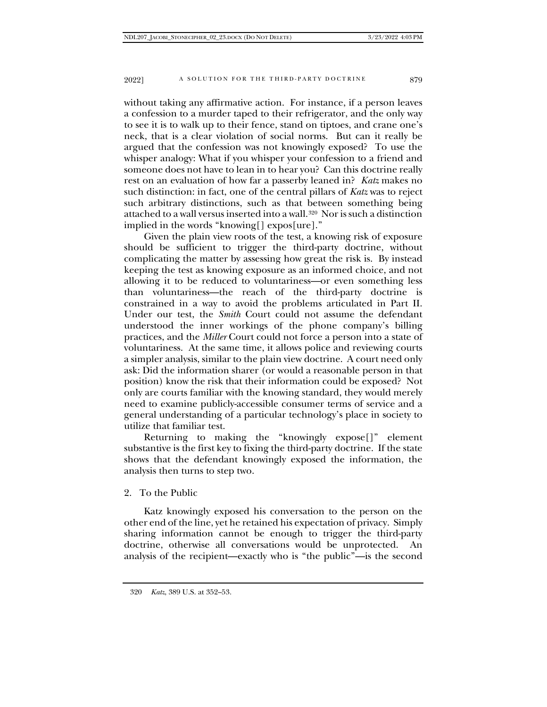without taking any affirmative action. For instance, if a person leaves a confession to a murder taped to their refrigerator, and the only way to see it is to walk up to their fence, stand on tiptoes, and crane one's neck, that is a clear violation of social norms. But can it really be argued that the confession was not knowingly exposed? To use the whisper analogy: What if you whisper your confession to a friend and someone does not have to lean in to hear you? Can this doctrine really rest on an evaluation of how far a passerby leaned in? *Katz* makes no such distinction: in fact, one of the central pillars of *Katz* was to reject such arbitrary distinctions, such as that between something being attached to a wall versus inserted into a wall.[320](#page-56-0) Nor is such a distinction implied in the words "knowing[] expos[ure]."

Given the plain view roots of the test, a knowing risk of exposure should be sufficient to trigger the third-party doctrine, without complicating the matter by assessing how great the risk is. By instead keeping the test as knowing exposure as an informed choice, and not allowing it to be reduced to voluntariness—or even something less than voluntariness—the reach of the third-party doctrine is constrained in a way to avoid the problems articulated in Part II. Under our test, the *Smith* Court could not assume the defendant understood the inner workings of the phone company's billing practices, and the *Miller* Court could not force a person into a state of voluntariness. At the same time, it allows police and reviewing courts a simpler analysis, similar to the plain view doctrine. A court need only ask: Did the information sharer (or would a reasonable person in that position) know the risk that their information could be exposed? Not only are courts familiar with the knowing standard, they would merely need to examine publicly-accessible consumer terms of service and a general understanding of a particular technology's place in society to utilize that familiar test.

Returning to making the "knowingly expose[]" element substantive is the first key to fixing the third-party doctrine. If the state shows that the defendant knowingly exposed the information, the analysis then turns to step two.

# 2. To the Public

<span id="page-56-0"></span>Katz knowingly exposed his conversation to the person on the other end of the line, yet he retained his expectation of privacy. Simply sharing information cannot be enough to trigger the third-party doctrine, otherwise all conversations would be unprotected. An analysis of the recipient—exactly who is "the public"—is the second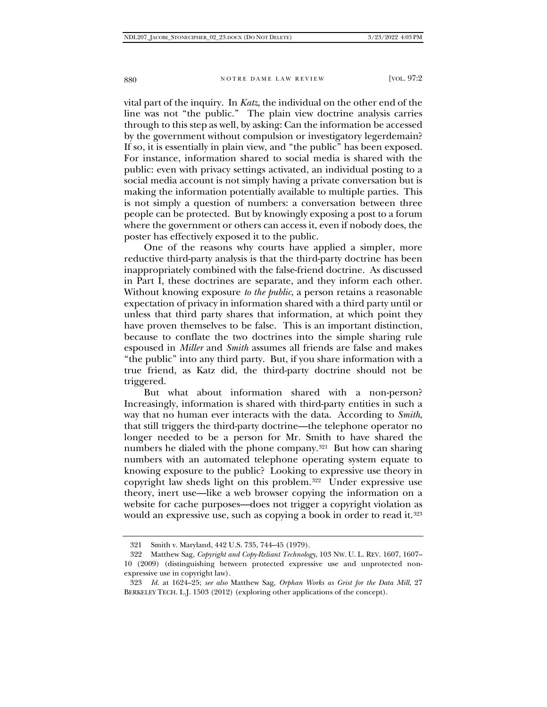vital part of the inquiry. In *Katz*, the individual on the other end of the line was not "the public." The plain view doctrine analysis carries through to this step as well, by asking: Can the information be accessed by the government without compulsion or investigatory legerdemain? If so, it is essentially in plain view, and "the public" has been exposed. For instance, information shared to social media is shared with the public: even with privacy settings activated, an individual posting to a social media account is not simply having a private conversation but is making the information potentially available to multiple parties. This is not simply a question of numbers: a conversation between three people can be protected. But by knowingly exposing a post to a forum where the government or others can access it, even if nobody does, the poster has effectively exposed it to the public.

One of the reasons why courts have applied a simpler, more reductive third-party analysis is that the third-party doctrine has been inappropriately combined with the false-friend doctrine. As discussed in Part I, these doctrines are separate, and they inform each other. Without knowing exposure *to the public*, a person retains a reasonable expectation of privacy in information shared with a third party until or unless that third party shares that information, at which point they have proven themselves to be false. This is an important distinction, because to conflate the two doctrines into the simple sharing rule espoused in *Miller* and *Smith* assumes all friends are false and makes "the public" into any third party. But, if you share information with a true friend, as Katz did, the third-party doctrine should not be triggered.

But what about information shared with a non-person? Increasingly, information is shared with third-party entities in such a way that no human ever interacts with the data. According to *Smith*, that still triggers the third-party doctrine—the telephone operator no longer needed to be a person for Mr. Smith to have shared the numbers he dialed with the phone company[.321](#page-57-0) But how can sharing numbers with an automated telephone operating system equate to knowing exposure to the public? Looking to expressive use theory in copyright law sheds light on this problem.<sup>322</sup> Under expressive use theory, inert use—like a web browser copying the information on a website for cache purposes—does not trigger a copyright violation as would an expressive use, such as copying a book in order to read it.<sup>[323](#page-57-2)</sup>

<sup>321</sup> Smith v. Maryland, 442 U.S. 735, 744–45 (1979).

<span id="page-57-1"></span><span id="page-57-0"></span><sup>322</sup> Matthew Sag, *Copyright and Copy-Reliant Technology*, 103 NW. U. L. REV. 1607, 1607– 10 (2009) (distinguishing between protected expressive use and unprotected nonexpressive use in copyright law).

<span id="page-57-2"></span><sup>323</sup> *Id.* at 1624–25; *see also* Matthew Sag, *Orphan Works as Grist for the Data Mill*, 27 BERKELEY TECH. L.J. 1503 (2012) (exploring other applications of the concept).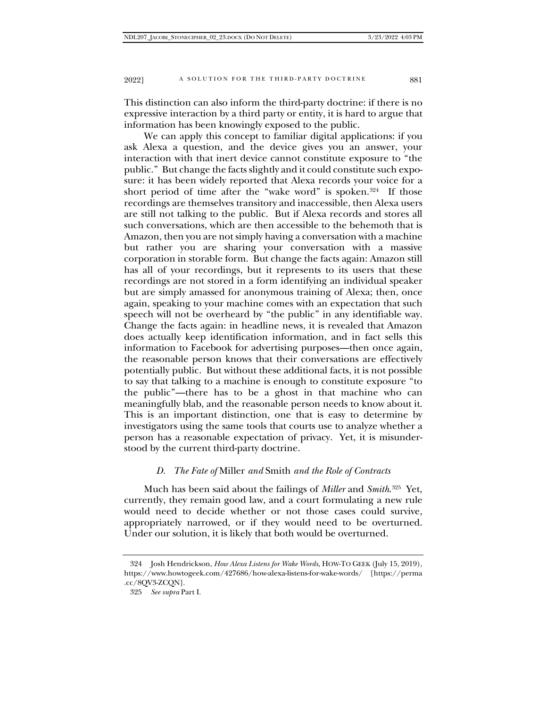This distinction can also inform the third-party doctrine: if there is no expressive interaction by a third party or entity, it is hard to argue that information has been knowingly exposed to the public.

We can apply this concept to familiar digital applications: if you ask Alexa a question, and the device gives you an answer, your interaction with that inert device cannot constitute exposure to "the public." But change the facts slightly and it could constitute such exposure: it has been widely reported that Alexa records your voice for a short period of time after the "wake word" is spoken.<sup>324</sup> If those recordings are themselves transitory and inaccessible, then Alexa users are still not talking to the public. But if Alexa records and stores all such conversations, which are then accessible to the behemoth that is Amazon, then you are not simply having a conversation with a machine but rather you are sharing your conversation with a massive corporation in storable form. But change the facts again: Amazon still has all of your recordings, but it represents to its users that these recordings are not stored in a form identifying an individual speaker but are simply amassed for anonymous training of Alexa; then, once again, speaking to your machine comes with an expectation that such speech will not be overheard by "the public" in any identifiable way. Change the facts again: in headline news, it is revealed that Amazon does actually keep identification information, and in fact sells this information to Facebook for advertising purposes—then once again, the reasonable person knows that their conversations are effectively potentially public. But without these additional facts, it is not possible to say that talking to a machine is enough to constitute exposure "to the public"—there has to be a ghost in that machine who can meaningfully blab, and the reasonable person needs to know about it. This is an important distinction, one that is easy to determine by investigators using the same tools that courts use to analyze whether a person has a reasonable expectation of privacy. Yet, it is misunderstood by the current third-party doctrine.

## *D. The Fate of* Miller *and* Smith *and the Role of Contracts*

Much has been said about the failings of *Miller* and *Smith*.[325](#page-58-1) Yet, currently, they remain good law, and a court formulating a new rule would need to decide whether or not those cases could survive, appropriately narrowed, or if they would need to be overturned. Under our solution, it is likely that both would be overturned.

<span id="page-58-1"></span><span id="page-58-0"></span><sup>324</sup> Josh Hendrickson, *How Alexa Listens for Wake Words*, HOW-TO GEEK (July 15, 2019), https://www.howtogeek.com/427686/how-alexa-listens-for-wake-words/ [https://perma .cc/8QV3-ZCQN].

<sup>325</sup> *See supra* Part I.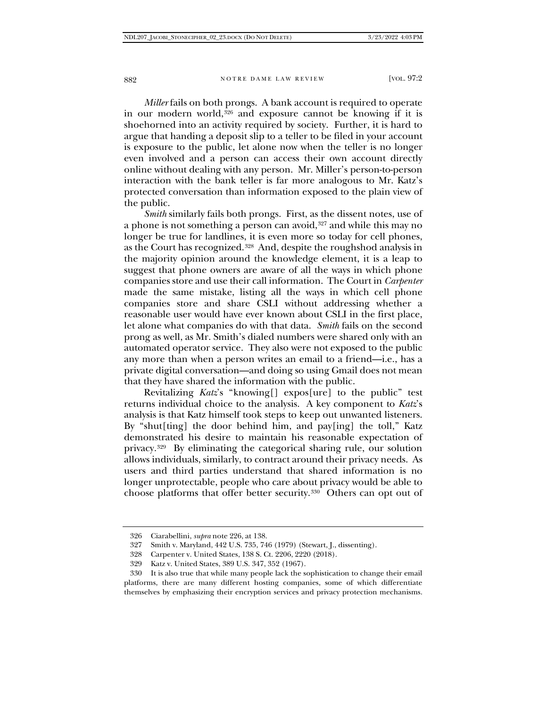*Miller* fails on both prongs. A bank account is required to operate in our modern world, $326$  and exposure cannot be knowing if it is shoehorned into an activity required by society. Further, it is hard to argue that handing a deposit slip to a teller to be filed in your account is exposure to the public, let alone now when the teller is no longer even involved and a person can access their own account directly online without dealing with any person. Mr. Miller's person-to-person interaction with the bank teller is far more analogous to Mr. Katz's protected conversation than information exposed to the plain view of the public.

*Smith* similarly fails both prongs. First, as the dissent notes, use of a phone is not something a person can avoid,[327](#page-59-1) and while this may no longer be true for landlines, it is even more so today for cell phones, as the Court has recognized.[328](#page-59-2) And, despite the roughshod analysis in the majority opinion around the knowledge element, it is a leap to suggest that phone owners are aware of all the ways in which phone companies store and use their call information. The Court in *Carpenter*  made the same mistake, listing all the ways in which cell phone companies store and share CSLI without addressing whether a reasonable user would have ever known about CSLI in the first place, let alone what companies do with that data. *Smith* fails on the second prong as well, as Mr. Smith's dialed numbers were shared only with an automated operator service. They also were not exposed to the public any more than when a person writes an email to a friend—i.e., has a private digital conversation—and doing so using Gmail does not mean that they have shared the information with the public.

Revitalizing *Katz*'s "knowing[] expos[ure] to the public" test returns individual choice to the analysis. A key component to *Katz*'s analysis is that Katz himself took steps to keep out unwanted listeners. By "shut[ting] the door behind him, and pay[ing] the toll," Katz demonstrated his desire to maintain his reasonable expectation of privacy.[329](#page-59-3) By eliminating the categorical sharing rule, our solution allows individuals, similarly, to contract around their privacy needs. As users and third parties understand that shared information is no longer unprotectable, people who care about privacy would be able to choose platforms that offer better security[.330](#page-59-4) Others can opt out of

<span id="page-59-0"></span><sup>326</sup> Ciarabellini, *supra* note 226, at 138.

<sup>327</sup> Smith v. Maryland, 442 U.S. 735, 746 (1979) (Stewart, J., dissenting).

<sup>328</sup> Carpenter v. United States, 138 S. Ct. 2206, 2220 (2018).

<sup>329</sup> Katz v. United States, 389 U.S. 347, 352 (1967).

<span id="page-59-4"></span><span id="page-59-3"></span><span id="page-59-2"></span><span id="page-59-1"></span><sup>330</sup> It is also true that while many people lack the sophistication to change their email platforms, there are many different hosting companies, some of which differentiate themselves by emphasizing their encryption services and privacy protection mechanisms.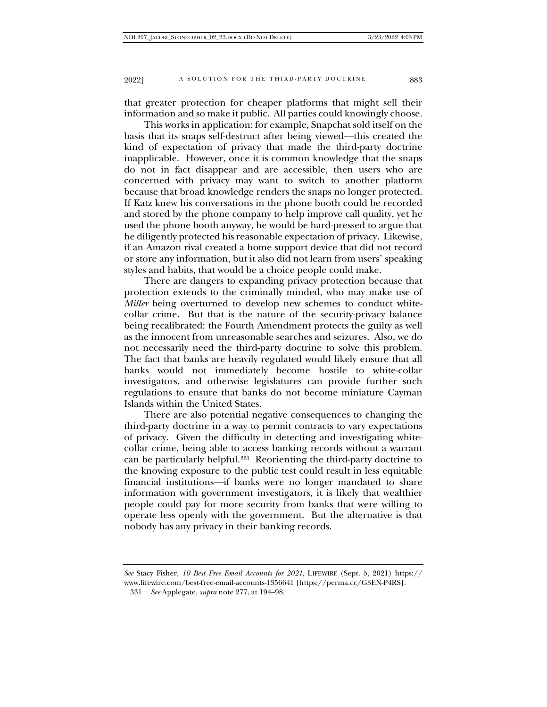that greater protection for cheaper platforms that might sell their information and so make it public. All parties could knowingly choose.

This works in application: for example, Snapchat sold itself on the basis that its snaps self-destruct after being viewed—this created the kind of expectation of privacy that made the third-party doctrine inapplicable. However, once it is common knowledge that the snaps do not in fact disappear and are accessible, then users who are concerned with privacy may want to switch to another platform because that broad knowledge renders the snaps no longer protected. If Katz knew his conversations in the phone booth could be recorded and stored by the phone company to help improve call quality, yet he used the phone booth anyway, he would be hard-pressed to argue that he diligently protected his reasonable expectation of privacy. Likewise, if an Amazon rival created a home support device that did not record or store any information, but it also did not learn from users' speaking styles and habits, that would be a choice people could make.

There are dangers to expanding privacy protection because that protection extends to the criminally minded, who may make use of *Miller* being overturned to develop new schemes to conduct whitecollar crime. But that is the nature of the security-privacy balance being recalibrated: the Fourth Amendment protects the guilty as well as the innocent from unreasonable searches and seizures. Also, we do not necessarily need the third-party doctrine to solve this problem. The fact that banks are heavily regulated would likely ensure that all banks would not immediately become hostile to white-collar investigators, and otherwise legislatures can provide further such regulations to ensure that banks do not become miniature Cayman Islands within the United States.

There are also potential negative consequences to changing the third-party doctrine in a way to permit contracts to vary expectations of privacy. Given the difficulty in detecting and investigating whitecollar crime, being able to access banking records without a warrant can be particularly helpful.[331](#page-60-0) Reorienting the third-party doctrine to the knowing exposure to the public test could result in less equitable financial institutions—if banks were no longer mandated to share information with government investigators, it is likely that wealthier people could pay for more security from banks that were willing to operate less openly with the government. But the alternative is that nobody has any privacy in their banking records.

<span id="page-60-0"></span>*See* Stacy Fisher, *10 Best Free Email Accounts for 2021*, LIFEWIRE (Sept. 5, 2021) https:// www.lifewire.com/best-free-email-accounts-1356641 [https://perma.cc/G3EN-P4RS].

<sup>331</sup> *See* Applegate, *supra* note 277, at 194–98.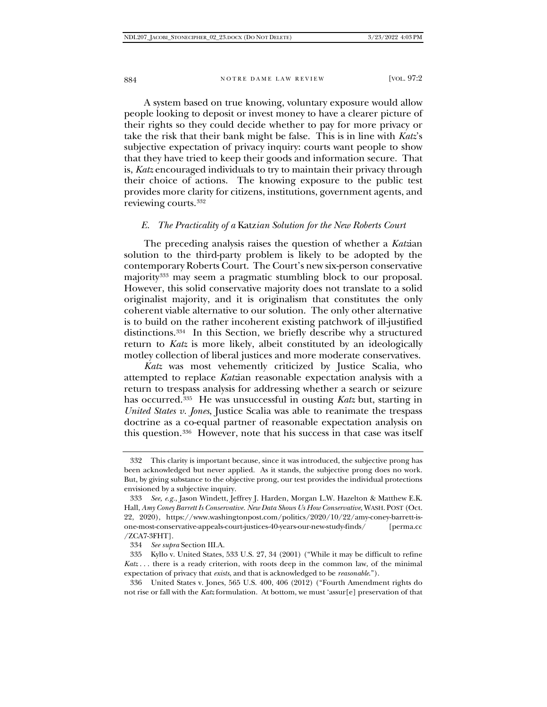A system based on true knowing, voluntary exposure would allow people looking to deposit or invest money to have a clearer picture of their rights so they could decide whether to pay for more privacy or take the risk that their bank might be false. This is in line with *Katz*'s subjective expectation of privacy inquiry: courts want people to show that they have tried to keep their goods and information secure. That is, *Katz* encouraged individuals to try to maintain their privacy through their choice of actions. The knowing exposure to the public test provides more clarity for citizens, institutions, government agents, and reviewing courts.[332](#page-61-0)

### *E. The Practicality of a* Katz*ian Solution for the New Roberts Court*

The preceding analysis raises the question of whether a *Katz*ian solution to the third-party problem is likely to be adopted by the contemporary Roberts Court. The Court's new six-person conservative majority<sup>[333](#page-61-1)</sup> may seem a pragmatic stumbling block to our proposal. However, this solid conservative majority does not translate to a solid originalist majority, and it is originalism that constitutes the only coherent viable alternative to our solution. The only other alternative is to build on the rather incoherent existing patchwork of ill-justified distinctions.[334](#page-61-2) In this Section, we briefly describe why a structured return to *Katz* is more likely, albeit constituted by an ideologically motley collection of liberal justices and more moderate conservatives.

*Katz* was most vehemently criticized by Justice Scalia, who attempted to replace *Katz*ian reasonable expectation analysis with a return to trespass analysis for addressing whether a search or seizure has occurred.[335](#page-61-3) He was unsuccessful in ousting *Katz* but, starting in *United States v. Jones*, Justice Scalia was able to reanimate the trespass doctrine as a co-equal partner of reasonable expectation analysis on this question.[336](#page-61-4) However, note that his success in that case was itself

<span id="page-61-0"></span><sup>332</sup> This clarity is important because, since it was introduced, the subjective prong has been acknowledged but never applied. As it stands, the subjective prong does no work. But, by giving substance to the objective prong, our test provides the individual protections envisioned by a subjective inquiry.

<span id="page-61-1"></span><sup>333</sup> *See, e.g.*, Jason Windett, Jeffrey J. Harden, Morgan L.W. Hazelton & Matthew E.K. Hall, *Amy Coney Barrett Is Conservative. New Data Shows Us How Conservative*, WASH. POST (Oct. 22, 2020), https://www.washingtonpost.com/politics/2020/10/22/amy-coney-barrett-isone-most-conservative-appeals-court-justices-40-years-our-new-study-finds/ [perma.cc /ZCA7-3FHT].

<sup>334</sup> *See supra* Section III.A.

<span id="page-61-3"></span><span id="page-61-2"></span><sup>335</sup> Kyllo v. United States, 533 U.S. 27, 34 (2001) ("While it may be difficult to refine *Katz* . . . there is a ready criterion, with roots deep in the common law, of the minimal expectation of privacy that *exists*, and that is acknowledged to be *reasonable*.").

<span id="page-61-4"></span><sup>336</sup> United States v. Jones, 565 U.S. 400, 406 (2012) ("Fourth Amendment rights do not rise or fall with the *Katz* formulation. At bottom, we must 'assur[e] preservation of that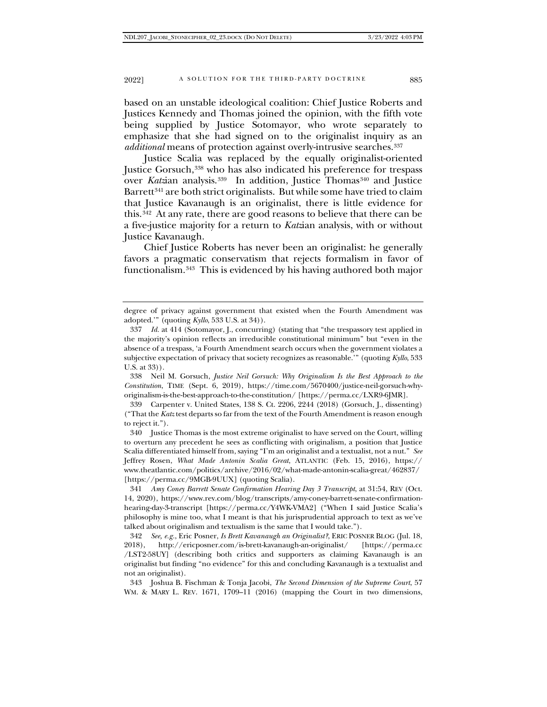based on an unstable ideological coalition: Chief Justice Roberts and Justices Kennedy and Thomas joined the opinion, with the fifth vote being supplied by Justice Sotomayor, who wrote separately to emphasize that she had signed on to the originalist inquiry as an *additional* means of protection against overly-intrusive searches[.337](#page-62-0)

Justice Scalia was replaced by the equally originalist-oriented Justice Gorsuch,[338](#page-62-1) who has also indicated his preference for trespass over *Katzian* analysis.<sup>[339](#page-62-2)</sup> In addition, Justice Thomas<sup>[340](#page-62-3)</sup> and Justice Barrett<sup>[341](#page-62-4)</sup> are both strict originalists. But while some have tried to claim that Justice Kavanaugh is an originalist, there is little evidence for this.[342](#page-62-5) At any rate, there are good reasons to believe that there can be a five-justice majority for a return to *Katz*ian analysis, with or without Justice Kavanaugh.

Chief Justice Roberts has never been an originalist: he generally favors a pragmatic conservatism that rejects formalism in favor of functionalism[.343](#page-62-6) This is evidenced by his having authored both major

degree of privacy against government that existed when the Fourth Amendment was adopted.'" (quoting *Kyllo*, 533 U.S. at 34)).

<span id="page-62-0"></span><sup>337</sup> *Id.* at 414 (Sotomayor, J., concurring) (stating that "the trespassory test applied in the majority's opinion reflects an irreducible constitutional minimum" but "even in the absence of a trespass, 'a Fourth Amendment search occurs when the government violates a subjective expectation of privacy that society recognizes as reasonable.'" (quoting *Kyllo*, 533 U.S. at 33)).

<span id="page-62-1"></span><sup>338</sup> Neil M. Gorsuch, *Justice Neil Gorsuch: Why Originalism Is the Best Approach to the Constitution*, TIME (Sept. 6, 2019), https://time.com/5670400/justice-neil-gorsuch-whyoriginalism-is-the-best-approach-to-the-constitution/ [https://perma.cc/LXR9-6JMR].

<span id="page-62-2"></span><sup>339</sup> Carpenter v. United States, 138 S. Ct. 2206, 2244 (2018) (Gorsuch, J., dissenting) ("That the *Katz* test departs so far from the text of the Fourth Amendment is reason enough to reject it.").

<span id="page-62-3"></span><sup>340</sup> Justice Thomas is the most extreme originalist to have served on the Court, willing to overturn any precedent he sees as conflicting with originalism, a position that Justice Scalia differentiated himself from, saying "I'm an originalist and a textualist, not a nut." *See*  Jeffrey Rosen, *What Made Antonin Scalia Great*, ATLANTIC (Feb. 15, 2016), https:// www.theatlantic.com/politics/archive/2016/02/what-made-antonin-scalia-great/462837/ [https://perma.cc/9MGB-9UUX] (quoting Scalia).

<span id="page-62-4"></span><sup>341</sup> *Amy Coney Barrett Senate Confirmation Hearing Day 3 Transcript*, at 31:54, REV (Oct. 14, 2020), https://www.rev.com/blog/transcripts/amy-coney-barrett-senate-confirmationhearing-day-3-transcript [https://perma.cc/Y4WK-VMA2] ("When I said Justice Scalia's philosophy is mine too, what I meant is that his jurisprudential approach to text as we've talked about originalism and textualism is the same that I would take.").

<span id="page-62-5"></span><sup>342</sup> *See, e.g.*, Eric Posner, *Is Brett Kavanaugh an Originalist?*, ERIC POSNER BLOG (Jul. 18, 2018), http://ericposner.com/is-brett-kavanaugh-an-originalist/ [https://perma.cc /LST2-58UY] (describing both critics and supporters as claiming Kavanaugh is an originalist but finding "no evidence" for this and concluding Kavanaugh is a textualist and not an originalist).

<span id="page-62-6"></span><sup>343</sup> Joshua B. Fischman & Tonja Jacobi, *The Second Dimension of the Supreme Court*, 57 WM. & MARY L. REV. 1671, 1709–11 (2016) (mapping the Court in two dimensions,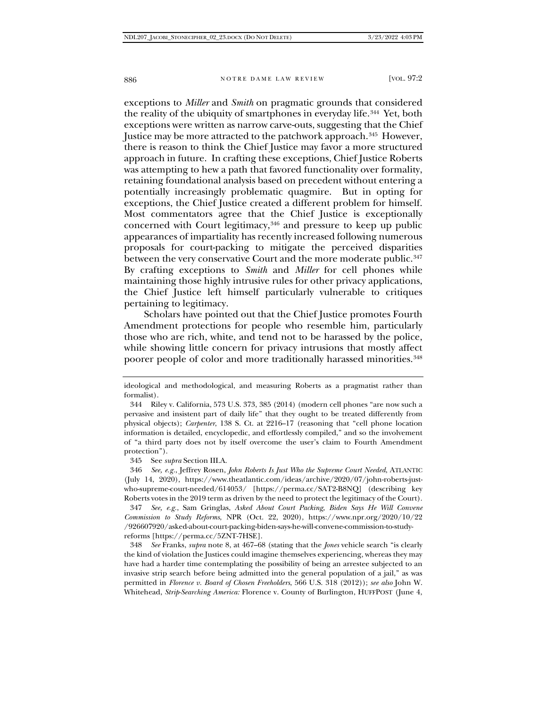exceptions to *Miller* and *Smith* on pragmatic grounds that considered the reality of the ubiquity of smartphones in everyday life.[344](#page-63-0) Yet, both exceptions were written as narrow carve-outs, suggesting that the Chief Justice may be more attracted to the patchwork approach.[345](#page-63-1) However, there is reason to think the Chief Justice may favor a more structured approach in future. In crafting these exceptions, Chief Justice Roberts was attempting to hew a path that favored functionality over formality, retaining foundational analysis based on precedent without entering a potentially increasingly problematic quagmire. But in opting for exceptions, the Chief Justice created a different problem for himself. Most commentators agree that the Chief Justice is exceptionally concerned with Court legitimacy,[346](#page-63-2) and pressure to keep up public appearances of impartiality has recently increased following numerous proposals for court-packing to mitigate the perceived disparities between the very conservative Court and the more moderate public.<sup>[347](#page-63-3)</sup> By crafting exceptions to *Smith* and *Miller* for cell phones while maintaining those highly intrusive rules for other privacy applications, the Chief Justice left himself particularly vulnerable to critiques pertaining to legitimacy.

Scholars have pointed out that the Chief Justice promotes Fourth Amendment protections for people who resemble him, particularly those who are rich, white, and tend not to be harassed by the police, while showing little concern for privacy intrusions that mostly affect poorer people of color and more traditionally harassed minorities.<sup>[348](#page-63-4)</sup>

<span id="page-63-4"></span>348 *See* Franks, *supra* note 8, at 467–68 (stating that the *Jones* vehicle search "is clearly the kind of violation the Justices could imagine themselves experiencing, whereas they may have had a harder time contemplating the possibility of being an arrestee subjected to an invasive strip search before being admitted into the general population of a jail," as was permitted in *Florence v. Board of Chosen Freeholders*, 566 U.S. 318 (2012)); *see also* John W. Whitehead, *Strip-Searching America:* Florence v. County of Burlington, HUFFPOST (June 4,

ideological and methodological, and measuring Roberts as a pragmatist rather than formalist).

<span id="page-63-0"></span><sup>344</sup> Riley v. California, 573 U.S. 373, 385 (2014) (modern cell phones "are now such a pervasive and insistent part of daily life" that they ought to be treated differently from physical objects); *Carpenter*, 138 S. Ct. at 2216–17 (reasoning that "cell phone location information is detailed, encyclopedic, and effortlessly compiled," and so the involvement of "a third party does not by itself overcome the user's claim to Fourth Amendment protection").

<sup>345</sup> See *supra* Section III.A.

<span id="page-63-2"></span><span id="page-63-1"></span><sup>346</sup> *See, e.g.*, Jeffrey Rosen, *John Roberts Is Just Who the Supreme Court Needed*, ATLANTIC (July 14, 2020), https://www.theatlantic.com/ideas/archive/2020/07/john-roberts-justwho-supreme-court-needed/614053/ [https://perma.cc/SAT2-B8NQ] (describing key Roberts votes in the 2019 term as driven by the need to protect the legitimacy of the Court).

<span id="page-63-3"></span><sup>347</sup> *See, e.g.*, Sam Gringlas, *Asked About Court Packing, Biden Says He Will Convene Commission to Study Reforms*, NPR (Oct. 22, 2020), https://www.npr.org/2020/10/22 /926607920/asked-about-court-packing-biden-says-he-will-convene-commission-to-studyreforms [https://perma.cc/5ZNT-7HSE].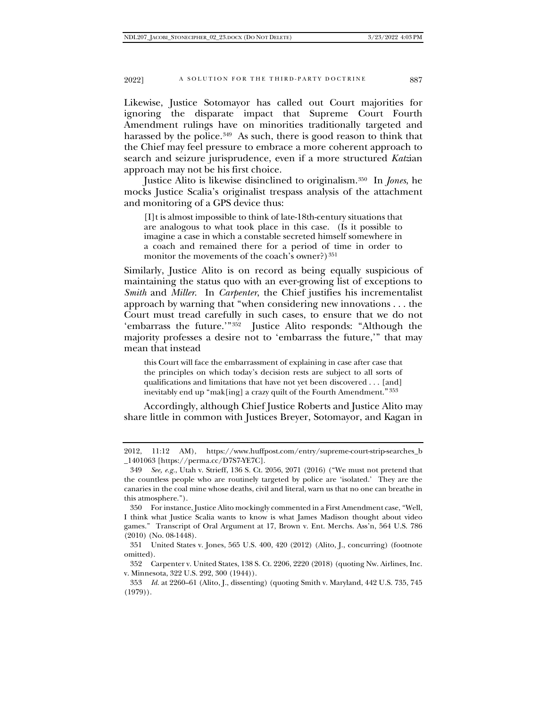Likewise, Justice Sotomayor has called out Court majorities for ignoring the disparate impact that Supreme Court Fourth Amendment rulings have on minorities traditionally targeted and harassed by the police.<sup>[349](#page-64-0)</sup> As such, there is good reason to think that the Chief may feel pressure to embrace a more coherent approach to search and seizure jurisprudence, even if a more structured *Katz*ian approach may not be his first choice.

Justice Alito is likewise disinclined to originalism[.350](#page-64-1) In *Jones*, he mocks Justice Scalia's originalist trespass analysis of the attachment and monitoring of a GPS device thus:

[I]t is almost impossible to think of late-18th-century situations that are analogous to what took place in this case. (Is it possible to imagine a case in which a constable secreted himself somewhere in a coach and remained there for a period of time in order to monitor the movements of the coach's owner?)  $351$ 

Similarly, Justice Alito is on record as being equally suspicious of maintaining the status quo with an ever-growing list of exceptions to *Smith* and *Miller*. In *Carpenter*, the Chief justifies his incrementalist approach by warning that "when considering new innovations . . . the Court must tread carefully in such cases, to ensure that we do not 'embarrass the future.'"[352](#page-64-3) Justice Alito responds: "Although the majority professes a desire not to 'embarrass the future,'" that may mean that instead

this Court will face the embarrassment of explaining in case after case that the principles on which today's decision rests are subject to all sorts of qualifications and limitations that have not yet been discovered . . . [and] inevitably end up "mak[ing] a crazy quilt of the Fourth Amendment."[353](#page-64-4)

Accordingly, although Chief Justice Roberts and Justice Alito may share little in common with Justices Breyer, Sotomayor, and Kagan in

<sup>2012, 11:12</sup> AM), https://www.huffpost.com/entry/supreme-court-strip-searches\_b \_1401063 [https://perma.cc/D7S7-YE7C].

<span id="page-64-0"></span><sup>349</sup> *See, e.g.*, Utah v. Strieff, 136 S. Ct. 2056, 2071 (2016) ("We must not pretend that the countless people who are routinely targeted by police are 'isolated.' They are the canaries in the coal mine whose deaths, civil and literal, warn us that no one can breathe in this atmosphere.").

<span id="page-64-1"></span><sup>350</sup> For instance, Justice Alito mockingly commented in a First Amendment case, "Well, I think what Justice Scalia wants to know is what James Madison thought about video games." Transcript of Oral Argument at 17, Brown v. Ent. Merchs. Ass'n, 564 U.S. 786 (2010) (No. 08-1448).

<span id="page-64-2"></span><sup>351</sup> United States v. Jones, 565 U.S. 400, 420 (2012) (Alito, J., concurring) (footnote omitted).

<span id="page-64-3"></span><sup>352</sup> Carpenter v. United States, 138 S. Ct. 2206, 2220 (2018) (quoting Nw. Airlines, Inc. v. Minnesota, 322 U.S. 292, 300 (1944)).

<span id="page-64-4"></span><sup>353</sup> *Id.* at 2260–61 (Alito, J., dissenting) (quoting Smith v. Maryland, 442 U.S. 735, 745  $(1979)$ .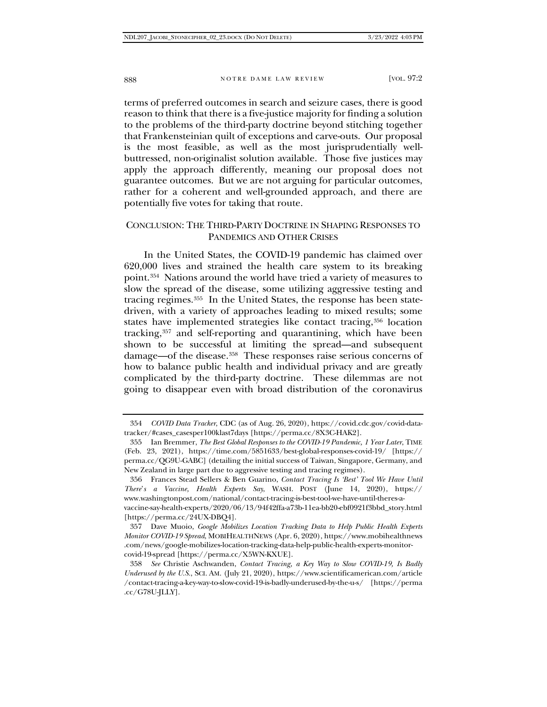terms of preferred outcomes in search and seizure cases, there is good reason to think that there is a five-justice majority for finding a solution to the problems of the third-party doctrine beyond stitching together that Frankensteinian quilt of exceptions and carve-outs. Our proposal is the most feasible, as well as the most jurisprudentially wellbuttressed, non-originalist solution available. Those five justices may apply the approach differently, meaning our proposal does not guarantee outcomes. But we are not arguing for particular outcomes, rather for a coherent and well-grounded approach, and there are potentially five votes for taking that route.

# CONCLUSION: THE THIRD-PARTY DOCTRINE IN SHAPING RESPONSES TO PANDEMICS AND OTHER CRISES

In the United States, the COVID-19 pandemic has claimed over 620,000 lives and strained the health care system to its breaking point.[354](#page-65-0) Nations around the world have tried a variety of measures to slow the spread of the disease, some utilizing aggressive testing and tracing regimes.[355](#page-65-1) In the United States, the response has been statedriven, with a variety of approaches leading to mixed results; some states have implemented strategies like contact tracing,<sup>[356](#page-65-2)</sup> location tracking,[357](#page-65-3) and self-reporting and quarantining, which have been shown to be successful at limiting the spread—and subsequent damage—of the disease.[358](#page-65-4) These responses raise serious concerns of how to balance public health and individual privacy and are greatly complicated by the third-party doctrine. These dilemmas are not going to disappear even with broad distribution of the coronavirus

<span id="page-65-0"></span><sup>354</sup> *COVID Data Tracker*, CDC (as of Aug. 26, 2020), https://covid.cdc.gov/covid-datatracker/#cases\_casesper100klast7days [https://perma.cc/8X3C-HAK2].

<span id="page-65-1"></span><sup>355</sup> Ian Bremmer, *The Best Global Responses to the COVID-19 Pandemic, 1 Year Later*, TIME (Feb. 23, 2021), https://time.com/5851633/best-global-responses-covid-19/ [https:// perma.cc/QG9U-GABC] (detailing the initial success of Taiwan, Singapore, Germany, and New Zealand in large part due to aggressive testing and tracing regimes).

<span id="page-65-2"></span><sup>356</sup> Frances Stead Sellers & Ben Guarino, *Contact Tracing Is 'Best' Tool We Have Until There*'*s a Vaccine, Health Experts Say*, WASH. POST (June 14, 2020), https:// www.washingtonpost.com/national/contact-tracing-is-best-tool-we-have-until-theres-avaccine-say-health-experts/2020/06/13/94f42ffa-a73b-11ea-bb20-ebf0921f3bbd\_story.html [https://perma.cc/24UX-DBQ4].

<span id="page-65-3"></span><sup>357</sup> Dave Muoio, *Google Mobilizes Location Tracking Data to Help Public Health Experts Monitor COVID-19 Spread*, MOBIHEALTHNEWS (Apr. 6, 2020), https://www.mobihealthnews .com/news/google-mobilizes-location-tracking-data-help-public-health-experts-monitorcovid-19-spread [https://perma.cc/X5WN-KXUE].

<span id="page-65-4"></span><sup>358</sup> *See* Christie Aschwanden, *Contact Tracing, a Key Way to Slow COVID-19, Is Badly Underused by the U.S.*, SCI. AM. (July 21, 2020), https://www.scientificamerican.com/article /contact-tracing-a-key-way-to-slow-covid-19-is-badly-underused-by-the-u-s/ [https://perma .cc/G78U-JLLY].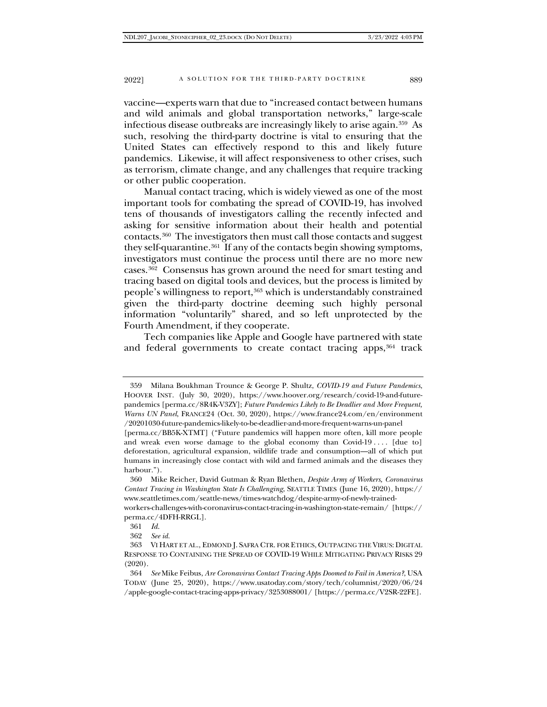vaccine—experts warn that due to "increased contact between humans and wild animals and global transportation networks," large-scale infectious disease outbreaks are increasingly likely to arise again.[359](#page-66-0) As such, resolving the third-party doctrine is vital to ensuring that the United States can effectively respond to this and likely future pandemics. Likewise, it will affect responsiveness to other crises, such as terrorism, climate change, and any challenges that require tracking or other public cooperation.

Manual contact tracing, which is widely viewed as one of the most important tools for combating the spread of COVID-19, has involved tens of thousands of investigators calling the recently infected and asking for sensitive information about their health and potential contacts.[360](#page-66-1) The investigators then must call those contacts and suggest they self-quarantine.[361](#page-66-2) If any of the contacts begin showing symptoms, investigators must continue the process until there are no more new cases.[362](#page-66-3) Consensus has grown around the need for smart testing and tracing based on digital tools and devices, but the process is limited by people's willingness to report,<sup>[363](#page-66-4)</sup> which is understandably constrained given the third-party doctrine deeming such highly personal information "voluntarily" shared, and so left unprotected by the Fourth Amendment, if they cooperate.

Tech companies like Apple and Google have partnered with state and federal governments to create contact tracing apps,[364](#page-66-5) track

<span id="page-66-0"></span><sup>359</sup> Milana Boukhman Trounce & George P. Shultz, *COVID-19 and Future Pandemics*, HOOVER INST. (July 30, 2020), https://www.hoover.org/research/covid-19-and-futurepandemics [perma.cc/8R4K-V3ZY]; *Future Pandemics Likely to Be Deadlier and More Frequent, Warns UN Panel*, FRANCE24 (Oct. 30, 2020), https://www.france24.com/en/environment /20201030-future-pandemics-likely-to-be-deadlier-and-more-frequent-warns-un-panel

<sup>[</sup>perma.cc/BB5K-XTMT] ("Future pandemics will happen more often, kill more people and wreak even worse damage to the global economy than  $Covid-19 \ldots$  [due to] deforestation, agricultural expansion, wildlife trade and consumption—all of which put humans in increasingly close contact with wild and farmed animals and the diseases they harbour.").

<span id="page-66-1"></span><sup>360</sup> Mike Reicher, David Gutman & Ryan Blethen, *Despite Army of Workers, Coronavirus Contact Tracing in Washington State Is Challenging*, SEATTLE TIMES (June 16, 2020), https:// www.seattletimes.com/seattle-news/times-watchdog/despite-army-of-newly-trainedworkers-challenges-with-coronavirus-contact-tracing-in-washington-state-remain/ [https:// perma.cc/4DFH-RRGL].

<sup>361</sup> *Id.*

<sup>362</sup> *See id.*

<span id="page-66-4"></span><span id="page-66-3"></span><span id="page-66-2"></span><sup>363</sup> VI HART ET AL., EDMOND J. SAFRA CTR. FOR ETHICS, OUTPACING THE VIRUS: DIGITAL RESPONSE TO CONTAINING THE SPREAD OF COVID-19 WHILE MITIGATING PRIVACY RISKS 29 (2020).

<span id="page-66-5"></span><sup>364</sup> *See* Mike Feibus, *Are Coronavirus Contact Tracing Apps Doomed to Fail in America?*, USA TODAY (June 25, 2020), https://www.usatoday.com/story/tech/columnist/2020/06/24 /apple-google-contact-tracing-apps-privacy/3253088001/ [https://perma.cc/V2SR-22FE].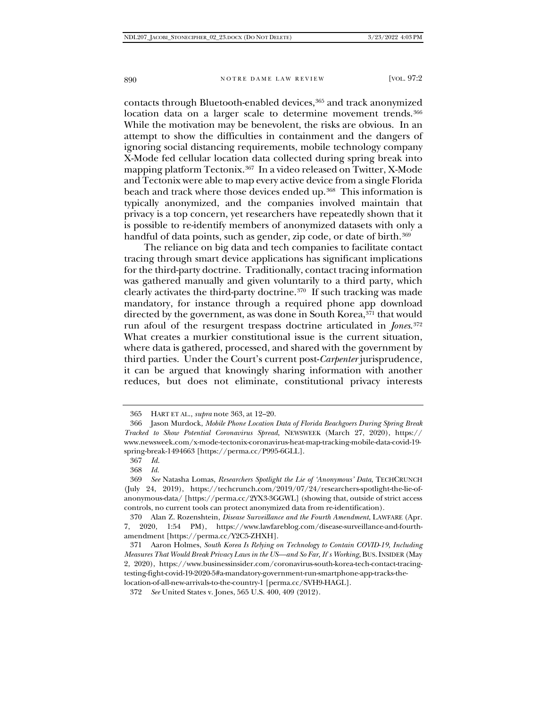contacts through Bluetooth-enabled devices,<sup>[365](#page-67-0)</sup> and track anonymized location data on a larger scale to determine movement trends.<sup>[366](#page-67-1)</sup> While the motivation may be benevolent, the risks are obvious. In an attempt to show the difficulties in containment and the dangers of ignoring social distancing requirements, mobile technology company X-Mode fed cellular location data collected during spring break into mapping platform Tectonix.[367](#page-67-2) In a video released on Twitter, X-Mode and Tectonix were able to map every active device from a single Florida beach and track where those devices ended up.<sup>368</sup> This information is typically anonymized, and the companies involved maintain that privacy is a top concern, yet researchers have repeatedly shown that it is possible to re-identify members of anonymized datasets with only a handful of data points, such as gender, zip code, or date of birth.<sup>[369](#page-67-4)</sup>

The reliance on big data and tech companies to facilitate contact tracing through smart device applications has significant implications for the third-party doctrine. Traditionally, contact tracing information was gathered manually and given voluntarily to a third party, which clearly activates the third-party doctrine.[370](#page-67-5) If such tracking was made mandatory, for instance through a required phone app download directed by the government, as was done in South Korea, $3\overline{7}$  that would run afoul of the resurgent trespass doctrine articulated in *Jones*.[372](#page-67-7) What creates a murkier constitutional issue is the current situation, where data is gathered, processed, and shared with the government by third parties. Under the Court's current post-*Carpenter* jurisprudence, it can be argued that knowingly sharing information with another reduces, but does not eliminate, constitutional privacy interests

<sup>365</sup> HART ET AL., *supra* note 363, at 12–20.

<span id="page-67-1"></span><span id="page-67-0"></span><sup>366</sup> Jason Murdock, *Mobile Phone Location Data of Florida Beachgoers During Spring Break Tracked to Show Potential Coronavirus Spread*, NEWSWEEK (March 27, 2020), https:// www.newsweek.com/x-mode-tectonix-coronavirus-heat-map-tracking-mobile-data-covid-19 spring-break-1494663 [https://perma.cc/P995-6GLL].

<sup>367</sup> *Id.*

<sup>368</sup> *Id.*

<span id="page-67-4"></span><span id="page-67-3"></span><span id="page-67-2"></span><sup>369</sup> *See* Natasha Lomas, *Researchers Spotlight the Lie of 'Anonymous' Data*, TECHCRUNCH (July 24, 2019), https://techcrunch.com/2019/07/24/researchers-spotlight-the-lie-ofanonymous-data/ [https://perma.cc/2YX3-3GGWL] (showing that, outside of strict access controls, no current tools can protect anonymized data from re-identification).

<span id="page-67-5"></span><sup>370</sup> Alan Z. Rozenshtein, *Disease Surveillance and the Fourth Amendment*, LAWFARE (Apr. 7, 2020, 1:54 PM), https://www.lawfareblog.com/disease-surveillance-and-fourthamendment [https://perma.cc/Y2C5-ZHXH].

<span id="page-67-6"></span><sup>371</sup> Aaron Holmes, *South Korea Is Relying on Technology to Contain COVID-19, Including Measures That Would Break Privacy Laws in the US—and So Far, It*'*s Working*, BUS.INSIDER (May 2, 2020), https://www.businessinsider.com/coronavirus-south-korea-tech-contact-tracingtesting-fight-covid-19-2020-5#a-mandatory-government-run-smartphone-app-tracks-thelocation-of-all-new-arrivals-to-the-country-1 [perma.cc/SVH9-HAGL].

<span id="page-67-7"></span><sup>372</sup> *See* United States v. Jones, 565 U.S. 400, 409 (2012).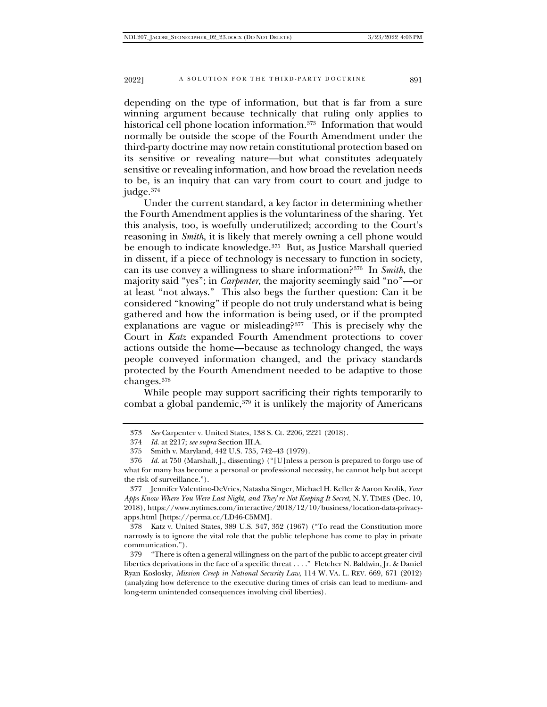depending on the type of information, but that is far from a sure winning argument because technically that ruling only applies to historical cell phone location information.[373](#page-68-0) Information that would normally be outside the scope of the Fourth Amendment under the third-party doctrine may now retain constitutional protection based on its sensitive or revealing nature—but what constitutes adequately sensitive or revealing information, and how broad the revelation needs to be, is an inquiry that can vary from court to court and judge to judge.[374](#page-68-1)

Under the current standard, a key factor in determining whether the Fourth Amendment applies is the voluntariness of the sharing. Yet this analysis, too, is woefully underutilized; according to the Court's reasoning in *Smith*, it is likely that merely owning a cell phone would be enough to indicate knowledge.<sup>[375](#page-68-2)</sup> But, as Justice Marshall queried in dissent, if a piece of technology is necessary to function in society, can its use convey a willingness to share information[?376](#page-68-3) In *Smith*, the majority said "yes"; in *Carpenter*, the majority seemingly said "no"—or at least "not always." This also begs the further question: Can it be considered "knowing" if people do not truly understand what is being gathered and how the information is being used, or if the prompted explanations are vague or misleading? $377$  This is precisely why the Court in *Katz* expanded Fourth Amendment protections to cover actions outside the home—because as technology changed, the ways people conveyed information changed, and the privacy standards protected by the Fourth Amendment needed to be adaptive to those changes.[378](#page-68-5)

While people may support sacrificing their rights temporarily to combat a global pandemic,  $379$  it is unlikely the majority of Americans

<span id="page-68-5"></span>378 Katz v. United States, 389 U.S. 347, 352 (1967) ("To read the Constitution more narrowly is to ignore the vital role that the public telephone has come to play in private communication.").

<sup>373</sup> *See* Carpenter v. United States, 138 S. Ct. 2206, 2221 (2018).

<sup>374</sup> *Id.* at 2217; *see supra* Section III.A.

<sup>375</sup> Smith v. Maryland, 442 U.S. 735, 742–43 (1979).

<span id="page-68-3"></span><span id="page-68-2"></span><span id="page-68-1"></span><span id="page-68-0"></span><sup>376</sup> *Id.* at 750 (Marshall, J., dissenting) ("[U]nless a person is prepared to forgo use of what for many has become a personal or professional necessity, he cannot help but accept the risk of surveillance.").

<span id="page-68-4"></span><sup>377</sup> Jennifer Valentino-DeVries, Natasha Singer, Michael H. Keller & Aaron Krolik, *Your Apps Know Where You Were Last Night, and They*'*re Not Keeping It Secret*, N. Y. TIMES (Dec. 10, 2018), https://www.nytimes.com/interactive/2018/12/10/business/location-data-privacyapps.html [https://perma.cc/LD46-C5MM].

<span id="page-68-6"></span><sup>379</sup> "There is often a general willingness on the part of the public to accept greater civil liberties deprivations in the face of a specific threat . . . ." Fletcher N. Baldwin, Jr. & Daniel Ryan Koslosky, *Mission Creep in National Security Law*, 114 W. VA. L. REV. 669, 671 (2012) (analyzing how deference to the executive during times of crisis can lead to medium- and long-term unintended consequences involving civil liberties).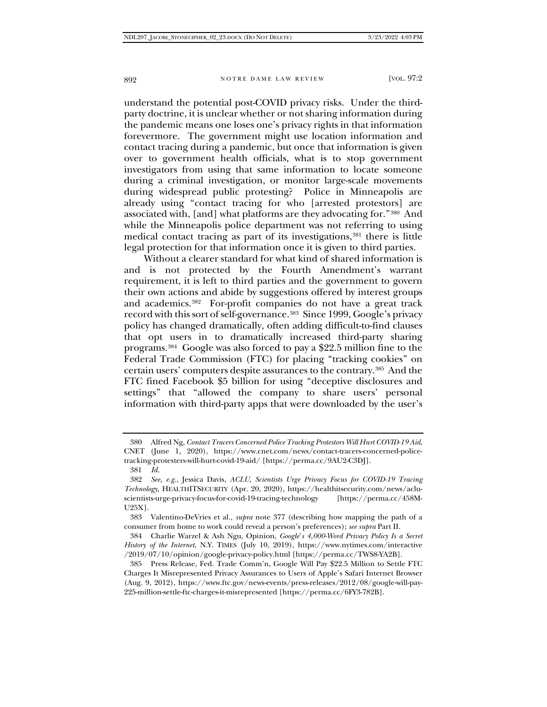understand the potential post-COVID privacy risks. Under the thirdparty doctrine, it is unclear whether or not sharing information during the pandemic means one loses one's privacy rights in that information forevermore. The government might use location information and contact tracing during a pandemic, but once that information is given over to government health officials, what is to stop government investigators from using that same information to locate someone during a criminal investigation, or monitor large-scale movements during widespread public protesting? Police in Minneapolis are already using "contact tracing for who [arrested protestors] are associated with, [and] what platforms are they advocating for."[380](#page-69-0) And while the Minneapolis police department was not referring to using medical contact tracing as part of its investigations, $381$  there is little legal protection for that information once it is given to third parties.

Without a clearer standard for what kind of shared information is and is not protected by the Fourth Amendment's warrant requirement, it is left to third parties and the government to govern their own actions and abide by suggestions offered by interest groups and academics.[382](#page-69-2) For-profit companies do not have a great track record with this sort of self-governance.[383](#page-69-3) Since 1999, Google's privacy policy has changed dramatically, often adding difficult-to-find clauses that opt users in to dramatically increased third-party sharing programs[.384](#page-69-4) Google was also forced to pay a \$22.5 million fine to the Federal Trade Commission (FTC) for placing "tracking cookies" on certain users' computers despite assurances to the contrary.[385](#page-69-5) And the FTC fined Facebook \$5 billion for using "deceptive disclosures and settings" that "allowed the company to share users' personal information with third-party apps that were downloaded by the user's

<sup>380</sup> Alfred Ng, *Contact Tracers Concerned Police Tracking Protestors Will Hurt COVID-19 Aid*, CNET (June 1, 2020), https://www.cnet.com/news/contact-tracers-concerned-policetracking-protesters-will-hurt-covid-19-aid/ [https://perma.cc/9AU2-C3DJ]. 381 *Id.*

<span id="page-69-3"></span><span id="page-69-2"></span><span id="page-69-1"></span><span id="page-69-0"></span><sup>382</sup> *See, e.g.*, Jessica Davis, *ACLU, Scientists Urge Privacy Focus for COVID-19 Tracing Technology*, HEALTHITSECURITY (Apr. 20, 2020), https://healthitsecurity.com/news/acluscientists-urge-privacy-focus-for-covid-19-tracing-technology [https://perma.cc/458M-

U25X].

<sup>383</sup> Valentino-DeVries et al., *supra* note 377 (describing how mapping the path of a consumer from home to work could reveal a person's preferences); *see supra* Part II.

<span id="page-69-4"></span><sup>384</sup> Charlie Warzel & Ash Ngu, Opinion, *Google*'*s 4,000-Word Privacy Policy Is a Secret History of the Internet*, N.Y. TIMES (July 10, 2019), https://www.nytimes.com/interactive /2019/07/10/opinion/google-privacy-policy.html [https://perma.cc/TWS8-YA2B].

<span id="page-69-5"></span><sup>385</sup> Press Release, Fed. Trade Comm'n, Google Will Pay \$22.5 Million to Settle FTC Charges It Misrepresented Privacy Assurances to Users of Apple's Safari Internet Browser (Aug. 9, 2012), https://www.ftc.gov/news-events/press-releases/2012/08/google-will-pay-225-million-settle-ftc-charges-it-misrepresented [https://perma.cc/6FY3-782B].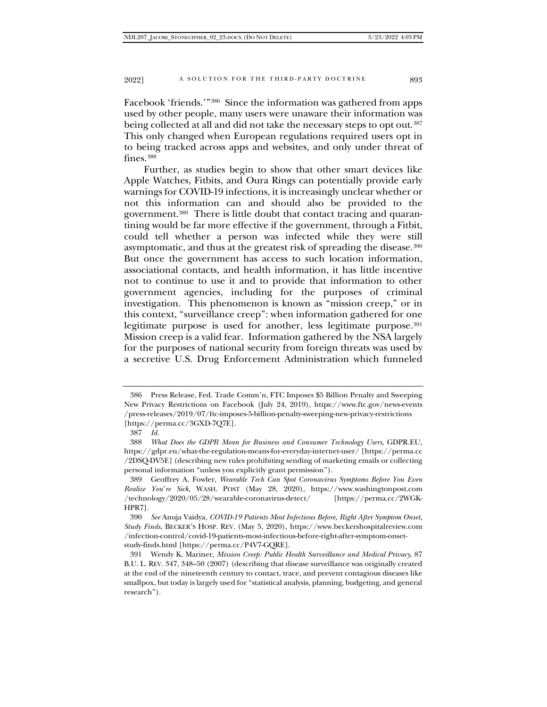Facebook 'friends.'"[386](#page-70-0) Since the information was gathered from apps used by other people, many users were unaware their information was being collected at all and did not take the necessary steps to opt out.<sup>[387](#page-70-1)</sup> This only changed when European regulations required users opt in to being tracked across apps and websites, and only under threat of fines.[388](#page-70-2)

Further, as studies begin to show that other smart devices like Apple Watches, Fitbits, and Oura Rings can potentially provide early warnings for COVID-19 infections, it is increasingly unclear whether or not this information can and should also be provided to the government.[389](#page-70-3) There is little doubt that contact tracing and quarantining would be far more effective if the government, through a Fitbit, could tell whether a person was infected while they were still asymptomatic, and thus at the greatest risk of spreading the disease.<sup>[390](#page-70-4)</sup> But once the government has access to such location information, associational contacts, and health information, it has little incentive not to continue to use it and to provide that information to other government agencies, including for the purposes of criminal investigation. This phenomenon is known as "mission creep," or in this context, "surveillance creep": when information gathered for one legitimate purpose is used for another, less legitimate purpose.<sup>[391](#page-70-5)</sup> Mission creep is a valid fear. Information gathered by the NSA largely for the purposes of national security from foreign threats was used by a secretive U.S. Drug Enforcement Administration which funneled

<span id="page-70-0"></span><sup>386</sup> Press Release, Fed. Trade Comm'n, FTC Imposes \$5 Billion Penalty and Sweeping New Privacy Restrictions on Facebook (July 24, 2019), https://www.ftc.gov/news-events /press-releases/2019/07/ftc-imposes-5-billion-penalty-sweeping-new-privacy-restrictions [https://perma.cc/3GXD-7Q7E].

<sup>387</sup> *Id.*

<span id="page-70-2"></span><span id="page-70-1"></span><sup>388</sup> *What Does the GDPR Mean for Business and Consumer Technology Users*, GDPR.EU, https://gdpr.eu/what-the-regulation-means-for-everyday-internet-user/ [https://perma.cc /2DSQ-DV5E] (describing new rules prohibiting sending of marketing emails or collecting personal information "unless you explicitly grant permission").

<span id="page-70-3"></span><sup>389</sup> Geoffrey A. Fowler, *Wearable Tech Can Spot Coronavirus Symptoms Before You Even Realize You*'*re Sick*, WASH. POST (May 28, 2020), https://www.washingtonpost.com /technology/2020/05/28/wearable-coronavirus-detect/ [https://perma.cc/2WGK-HPR7].

<span id="page-70-4"></span><sup>390</sup> *See* Anuja Vaidya, *COVID-19 Patients Most Infectious Before, Right After Symptom Onset, Study Finds*, BECKER'S HOSP. REV. (May 5, 2020), https://www.beckershospitalreview.com /infection-control/covid-19-patients-most-infectious-before-right-after-symptom-onsetstudy-finds.html [https://perma.cc/P4V7-GQRE].

<span id="page-70-5"></span><sup>391</sup> Wendy K. Mariner, *Mission Creep: Public Health Surveillance and Medical Privacy*, 87 B.U. L. REV. 347, 348–50 (2007) (describing that disease surveillance was originally created at the end of the nineteenth century to contact, trace, and prevent contagious diseases like smallpox, but today is largely used for "statistical analysis, planning, budgeting, and general research").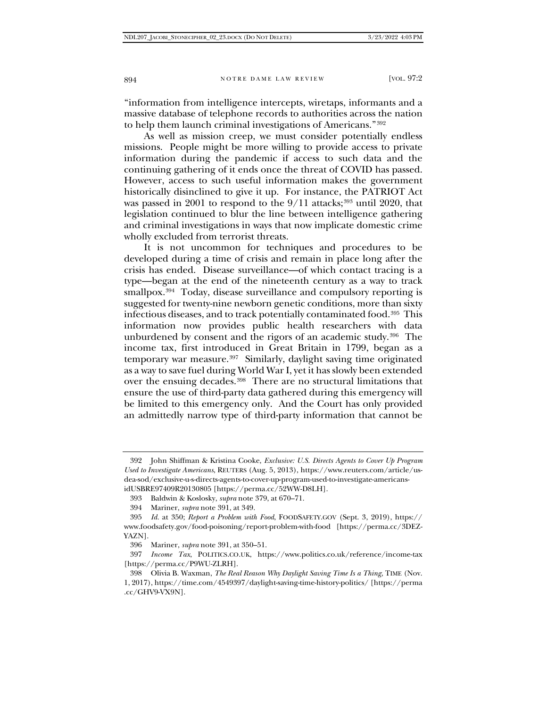"information from intelligence intercepts, wiretaps, informants and a massive database of telephone records to authorities across the nation to help them launch criminal investigations of Americans."[392](#page-71-0)

As well as mission creep, we must consider potentially endless missions. People might be more willing to provide access to private information during the pandemic if access to such data and the continuing gathering of it ends once the threat of COVID has passed. However, access to such useful information makes the government historically disinclined to give it up. For instance, the PATRIOT Act was passed in 2001 to respond to the  $9/11$  attacks;<sup>[393](#page-71-1)</sup> until 2020, that legislation continued to blur the line between intelligence gathering and criminal investigations in ways that now implicate domestic crime wholly excluded from terrorist threats.

It is not uncommon for techniques and procedures to be developed during a time of crisis and remain in place long after the crisis has ended. Disease surveillance—of which contact tracing is a type—began at the end of the nineteenth century as a way to track smallpox.<sup>394</sup> Today, disease surveillance and compulsory reporting is suggested for twenty-nine newborn genetic conditions, more than sixty infectious diseases, and to track potentially contaminated food.[395](#page-71-3) This information now provides public health researchers with data unburdened by consent and the rigors of an academic study.[396](#page-71-4) The income tax, first introduced in Great Britain in 1799, began as a temporary war measure.[397](#page-71-5) Similarly, daylight saving time originated as a way to save fuel during World War I, yet it has slowly been extended over the ensuing decades.[398](#page-71-6) There are no structural limitations that ensure the use of third-party data gathered during this emergency will be limited to this emergency only. And the Court has only provided an admittedly narrow type of third-party information that cannot be

<span id="page-71-0"></span><sup>392</sup> John Shiffman & Kristina Cooke, *Exclusive: U.S. Directs Agents to Cover Up Program Used to Investigate Americans*, REUTERS (Aug. 5, 2013), https://www.reuters.com/article/usdea-sod/exclusive-u-s-directs-agents-to-cover-up-program-used-to-investigate-americansidUSBRE97409R20130805 [https://perma.cc/52WW-D8LH].

<sup>393</sup> Baldwin & Koslosky, *supra* note 379, at 670–71.

<sup>394</sup> Mariner, *supra* note 391, at 349.

<span id="page-71-3"></span><span id="page-71-2"></span><span id="page-71-1"></span><sup>395</sup> *Id.* at 350; *Report a Problem with Food*, FOODSAFETY.GOV (Sept. 3, 2019), https:// www.foodsafety.gov/food-poisoning/report-problem-with-food [https://perma.cc/3DEZ-YAZN].

<sup>396</sup> Mariner, *supra* note 391, at 350–51.

<span id="page-71-5"></span><span id="page-71-4"></span><sup>397</sup> *Income Tax*, POLITICS.CO.UK, https://www.politics.co.uk/reference/income-tax [https://perma.cc/P9WU-ZLRH].

<span id="page-71-6"></span><sup>398</sup> Olivia B. Waxman, *The Real Reason Why Daylight Saving Time Is a Thing*, TIME (Nov. 1, 2017), https://time.com/4549397/daylight-saving-time-history-politics/ [https://perma .cc/GHV9-VX9N].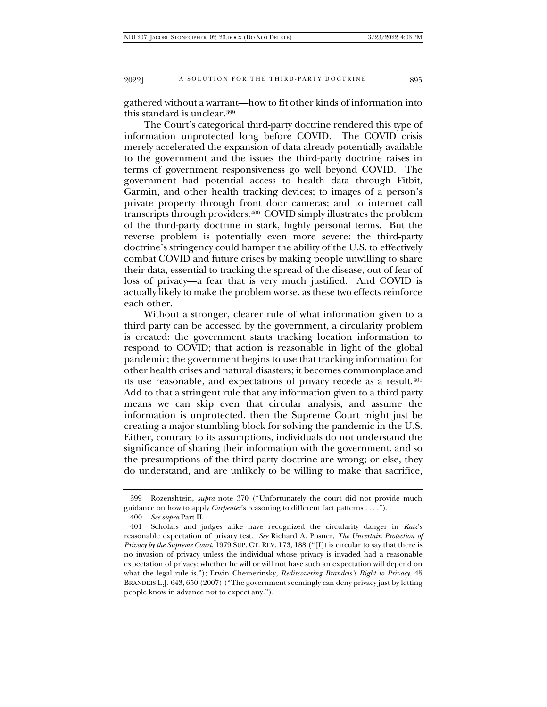gathered without a warrant—how to fit other kinds of information into this standard is unclear.[399](#page-72-0)

The Court's categorical third-party doctrine rendered this type of information unprotected long before COVID. The COVID crisis merely accelerated the expansion of data already potentially available to the government and the issues the third-party doctrine raises in terms of government responsiveness go well beyond COVID. The government had potential access to health data through Fitbit, Garmin, and other health tracking devices; to images of a person's private property through front door cameras; and to internet call transcripts through providers.[400](#page-72-1) COVID simply illustrates the problem of the third-party doctrine in stark, highly personal terms. But the reverse problem is potentially even more severe: the third-party doctrine's stringency could hamper the ability of the U.S. to effectively combat COVID and future crises by making people unwilling to share their data, essential to tracking the spread of the disease, out of fear of loss of privacy—a fear that is very much justified. And COVID is actually likely to make the problem worse, as these two effects reinforce each other.

Without a stronger, clearer rule of what information given to a third party can be accessed by the government, a circularity problem is created: the government starts tracking location information to respond to COVID; that action is reasonable in light of the global pandemic; the government begins to use that tracking information for other health crises and natural disasters; it becomes commonplace and its use reasonable, and expectations of privacy recede as a result.<sup>[401](#page-72-2)</sup> Add to that a stringent rule that any information given to a third party means we can skip even that circular analysis, and assume the information is unprotected, then the Supreme Court might just be creating a major stumbling block for solving the pandemic in the U.S. Either, contrary to its assumptions, individuals do not understand the significance of sharing their information with the government, and so the presumptions of the third-party doctrine are wrong; or else, they do understand, and are unlikely to be willing to make that sacrifice,

<span id="page-72-0"></span><sup>399</sup> Rozenshtein, *supra* note 370 ("Unfortunately the court did not provide much guidance on how to apply *Carpenter*'s reasoning to different fact patterns . . . .").

<sup>400</sup> *See supra* Part II.

<span id="page-72-2"></span><span id="page-72-1"></span><sup>401</sup> Scholars and judges alike have recognized the circularity danger in *Katz*'s reasonable expectation of privacy test. *See* Richard A. Posner, *The Uncertain Protection of Privacy by the Supreme Court*, 1979 SUP. CT. REV. 173, 188 ("[I]t is circular to say that there is no invasion of privacy unless the individual whose privacy is invaded had a reasonable expectation of privacy; whether he will or will not have such an expectation will depend on what the legal rule is."); Erwin Chemerinsky, *Rediscovering Brandeis's Right to Privacy*, 45 BRANDEIS L.J. 643, 650 (2007) ("The government seemingly can deny privacy just by letting people know in advance not to expect any.").